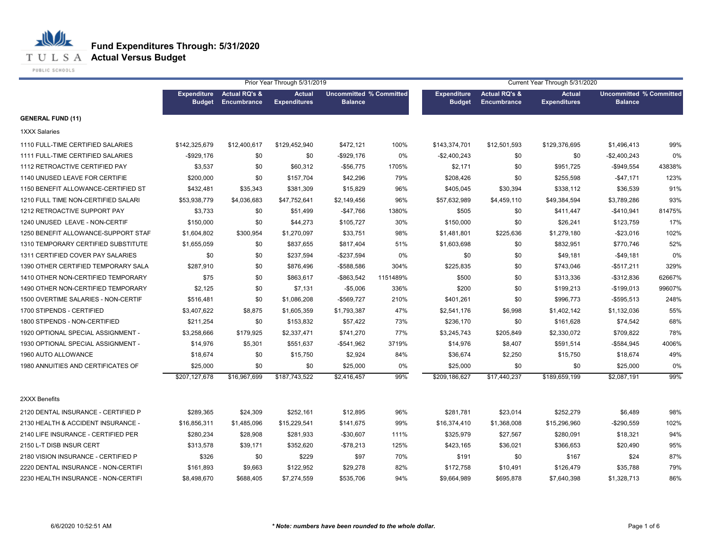

**T U L S A Actual Versus Budget** 

PUBLIC SCHOOLS

|                                     | Prior Year Through 5/31/2019        |                                         |                                      |                                                  |          | Current Year Through 5/31/2020      |                                         |                                      |                                                  |        |  |
|-------------------------------------|-------------------------------------|-----------------------------------------|--------------------------------------|--------------------------------------------------|----------|-------------------------------------|-----------------------------------------|--------------------------------------|--------------------------------------------------|--------|--|
|                                     | <b>Expenditure</b><br><b>Budget</b> | <b>Actual RQ's &amp;</b><br>Encumbrance | <b>Actual</b><br><b>Expenditures</b> | <b>Uncommitted % Committed</b><br><b>Balance</b> |          | <b>Expenditure</b><br><b>Budget</b> | <b>Actual RQ's &amp;</b><br>Encumbrance | <b>Actual</b><br><b>Expenditures</b> | <b>Uncommitted % Committed</b><br><b>Balance</b> |        |  |
| <b>GENERAL FUND (11)</b>            |                                     |                                         |                                      |                                                  |          |                                     |                                         |                                      |                                                  |        |  |
| <b>1XXX Salaries</b>                |                                     |                                         |                                      |                                                  |          |                                     |                                         |                                      |                                                  |        |  |
| 1110 FULL-TIME CERTIFIED SALARIES   | \$142,325,679                       | \$12,400,617                            | \$129,452,940                        | \$472,121                                        | 100%     | \$143,374,701                       | \$12,501,593                            | \$129,376,695                        | \$1,496,413                                      | 99%    |  |
| 1111 FULL-TIME CERTIFIED SALARIES   | $-$ \$929,176                       | \$0                                     | \$0                                  | $-$ \$929,176                                    | 0%       | $-$2,400,243$                       | \$0                                     | \$0                                  | -\$2,400,243                                     | 0%     |  |
| 1112 RETROACTIVE CERTIFIED PAY      | \$3,537                             | \$0                                     | \$60,312                             | $-$56,775$                                       | 1705%    | \$2,171                             | \$0                                     | \$951,725                            | $-$949.554$                                      | 43838% |  |
| 1140 UNUSED LEAVE FOR CERTIFIE      | \$200,000                           | \$0                                     | \$157,704                            | \$42,296                                         | 79%      | \$208,426                           | \$0                                     | \$255,598                            | $-$47,171$                                       | 123%   |  |
| 1150 BENEFIT ALLOWANCE-CERTIFIED ST | \$432,481                           | \$35,343                                | \$381,309                            | \$15,829                                         | 96%      | \$405,045                           | \$30,394                                | \$338,112                            | \$36,539                                         | 91%    |  |
| 1210 FULL TIME NON-CERTIFIED SALARI | \$53,938,779                        | \$4,036,683                             | \$47,752,641                         | \$2,149,456                                      | 96%      | \$57,632,989                        | \$4,459,110                             | \$49,384,594                         | \$3,789,286                                      | 93%    |  |
| 1212 RETROACTIVE SUPPORT PAY        | \$3,733                             | \$0                                     | \$51,499                             | $-$47,766$                                       | 1380%    | \$505                               | \$0                                     | \$411,447                            | $-$410,941$                                      | 81475% |  |
| 1240 UNUSED LEAVE - NON-CERTIF      | \$150,000                           | \$0                                     | \$44,273                             | \$105,727                                        | 30%      | \$150,000                           | \$0                                     | \$26,241                             | \$123,759                                        | 17%    |  |
| 1250 BENEFIT ALLOWANCE-SUPPORT STAF | \$1,604,802                         | \$300,954                               | \$1,270,097                          | \$33,751                                         | 98%      | \$1,481,801                         | \$225,636                               | \$1,279,180                          | $-$ \$23,016                                     | 102%   |  |
| 1310 TEMPORARY CERTIFIED SUBSTITUTE | \$1,655,059                         | \$0                                     | \$837,655                            | \$817,404                                        | 51%      | \$1,603,698                         | \$0                                     | \$832,951                            | \$770,746                                        | 52%    |  |
| 1311 CERTIFIED COVER PAY SALARIES   | \$0                                 | \$0                                     | \$237,594                            | $-$237,594$                                      | 0%       | \$0                                 | \$0                                     | \$49,181                             | $-$49,181$                                       | 0%     |  |
| 1390 OTHER CERTIFIED TEMPORARY SALA | \$287,910                           | \$0                                     | \$876,496                            | -\$588,586                                       | 304%     | \$225,835                           | \$0                                     | \$743,046                            | $-$517,211$                                      | 329%   |  |
| 1410 OTHER NON-CERTIFIED TEMPORARY  | \$75                                | \$0                                     | \$863,617                            | -\$863,542                                       | 1151489% | \$500                               | \$0                                     | \$313,336                            | $-$ \$312,836                                    | 62667% |  |
| 1490 OTHER NON-CERTIFIED TEMPORARY  | \$2,125                             | \$0                                     | \$7,131                              | $-$5,006$                                        | 336%     | \$200                               | \$0                                     | \$199,213                            | $-$199,013$                                      | 99607% |  |
| 1500 OVERTIME SALARIES - NON-CERTIF | \$516,481                           | \$0                                     | \$1,086,208                          | -\$569,727                                       | 210%     | \$401,261                           | \$0                                     | \$996,773                            | $-$ \$595,513                                    | 248%   |  |
| 1700 STIPENDS - CERTIFIED           | \$3,407,622                         | \$8,875                                 | \$1,605,359                          | \$1,793,387                                      | 47%      | \$2,541,176                         | \$6,998                                 | \$1,402,142                          | \$1,132,036                                      | 55%    |  |
| 1800 STIPENDS - NON-CERTIFIED       | \$211,254                           | \$0                                     | \$153,832                            | \$57,422                                         | 73%      | \$236,170                           | \$0                                     | \$161,628                            | \$74,542                                         | 68%    |  |
| 1920 OPTIONAL SPECIAL ASSIGNMENT -  | \$3,258,666                         | \$179,925                               | \$2,337,471                          | \$741,270                                        | 77%      | \$3,245,743                         | \$205,849                               | \$2,330,072                          | \$709,822                                        | 78%    |  |
| 1930 OPTIONAL SPECIAL ASSIGNMENT -  | \$14,976                            | \$5,301                                 | \$551,637                            | $-$541,962$                                      | 3719%    | \$14,976                            | \$8,407                                 | \$591,514                            | -\$584,945                                       | 4006%  |  |
| 1960 AUTO ALLOWANCE                 | \$18,674                            | \$0                                     | \$15,750                             | \$2,924                                          | 84%      | \$36,674                            | \$2,250                                 | \$15,750                             | \$18,674                                         | 49%    |  |
| 1980 ANNUITIES AND CERTIFICATES OF  | \$25,000                            | \$0                                     | \$0                                  | \$25,000                                         | 0%       | \$25,000                            | \$0                                     | \$0                                  | \$25,000                                         | 0%     |  |
|                                     | \$207,127,678                       | \$16,967,699                            | \$187,743,522                        | \$2,416,457                                      | 99%      | \$209,186,627                       | \$17,440,237                            | \$189,659,199                        | \$2,087,191                                      | 99%    |  |
| 2XXX Benefits                       |                                     |                                         |                                      |                                                  |          |                                     |                                         |                                      |                                                  |        |  |
| 2120 DENTAL INSURANCE - CERTIFIED P | \$289,365                           | \$24,309                                | \$252,161                            | \$12,895                                         | 96%      | \$281,781                           | \$23,014                                | \$252,279                            | \$6,489                                          | 98%    |  |
| 2130 HEALTH & ACCIDENT INSURANCE -  | \$16,856,311                        | \$1,485,096                             | \$15,229,541                         | \$141,675                                        | 99%      | \$16,374,410                        | \$1,368,008                             | \$15,296,960                         | $-$290,559$                                      | 102%   |  |
| 2140 LIFE INSURANCE - CERTIFIED PER | \$280,234                           | \$28,908                                | \$281,933                            | $-$30,607$                                       | 111%     | \$325,979                           | \$27,567                                | \$280,091                            | \$18,321                                         | 94%    |  |
| 2150 L-T DISB INSUR CERT            | \$313,578                           | \$39,171                                | \$352,620                            | $-$78,213$                                       | 125%     | \$423,165                           | \$36,021                                | \$366,653                            | \$20,490                                         | 95%    |  |
| 2180 VISION INSURANCE - CERTIFIED P | \$326                               | \$0                                     | \$229                                | \$97                                             | 70%      | \$191                               | \$0                                     | \$167                                | \$24                                             | 87%    |  |
| 2220 DENTAL INSURANCE - NON-CERTIFI | \$161,893                           | \$9,663                                 | \$122,952                            | \$29,278                                         | 82%      | \$172,758                           | \$10,491                                | \$126,479                            | \$35,788                                         | 79%    |  |
| 2230 HEALTH INSURANCE - NON-CERTIFI | \$8,498,670                         | \$688,405                               | \$7,274,559                          | \$535,706                                        | 94%      | \$9,664,989                         | \$695,878                               | \$7,640,398                          | \$1,328,713                                      | 86%    |  |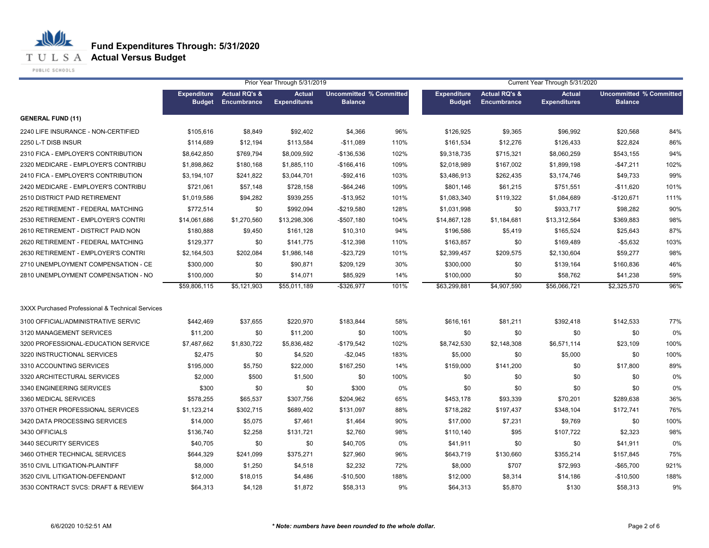**T U L S A Actual Versus Budget** 

PUBLIC SCHOOLS

|                                                  |                                     |                                                | Prior Year Through 5/31/2019         |                                                  |      |                                     |                                         | Current Year Through 5/31/2020       |                                                  |      |
|--------------------------------------------------|-------------------------------------|------------------------------------------------|--------------------------------------|--------------------------------------------------|------|-------------------------------------|-----------------------------------------|--------------------------------------|--------------------------------------------------|------|
|                                                  | <b>Expenditure</b><br><b>Budget</b> | <b>Actual RQ's &amp;</b><br><b>Encumbrance</b> | <b>Actual</b><br><b>Expenditures</b> | <b>Uncommitted % Committed</b><br><b>Balance</b> |      | <b>Expenditure</b><br><b>Budget</b> | <b>Actual RQ's &amp;</b><br>Encumbrance | <b>Actual</b><br><b>Expenditures</b> | <b>Uncommitted % Committed</b><br><b>Balance</b> |      |
| <b>GENERAL FUND (11)</b>                         |                                     |                                                |                                      |                                                  |      |                                     |                                         |                                      |                                                  |      |
| 2240 LIFE INSURANCE - NON-CERTIFIED              | \$105,616                           | \$8,849                                        | \$92,402                             | \$4,366                                          | 96%  | \$126,925                           | \$9,365                                 | \$96,992                             | \$20,568                                         | 84%  |
| 2250 L-T DISB INSUR                              | \$114,689                           | \$12,194                                       | \$113,584                            | $-$11,089$                                       | 110% | \$161,534                           | \$12,276                                | \$126,433                            | \$22,824                                         | 86%  |
| 2310 FICA - EMPLOYER'S CONTRIBUTION              | \$8,642,850                         | \$769,794                                      | \$8,009,592                          | $-$136,536$                                      | 102% | \$9,318,735                         | \$715,321                               | \$8,060,259                          | \$543,155                                        | 94%  |
| 2320 MEDICARE - EMPLOYER'S CONTRIBU              | \$1,898,862                         | \$180,168                                      | \$1,885,110                          | $-$166,416$                                      | 109% | \$2,018,989                         | \$167,002                               | \$1,899,198                          | -\$47,211                                        | 102% |
| 2410 FICA - EMPLOYER'S CONTRIBUTION              | \$3,194,107                         | \$241,822                                      | \$3,044,701                          | $-$ \$92,416                                     | 103% | \$3,486,913                         | \$262,435                               | \$3,174,746                          | \$49,733                                         | 99%  |
| 2420 MEDICARE - EMPLOYER'S CONTRIBU              | \$721,061                           | \$57,148                                       | \$728,158                            | $-$ \$64,246                                     | 109% | \$801,146                           | \$61,215                                | \$751,551                            | $-$11,620$                                       | 101% |
| 2510 DISTRICT PAID RETIREMENT                    | \$1,019,586                         | \$94,282                                       | \$939,255                            | $-$ \$13,952                                     | 101% | \$1,083,340                         | \$119,322                               | \$1,084,689                          | $-$120,671$                                      | 111% |
| 2520 RETIREMENT - FEDERAL MATCHING               | \$772,514                           | \$0                                            | \$992,094                            | $-$219,580$                                      | 128% | \$1,031,998                         | \$0                                     | \$933,717                            | \$98,282                                         | 90%  |
| 2530 RETIREMENT - EMPLOYER'S CONTRI              | \$14,061,686                        | \$1,270,560                                    | \$13,298,306                         | $-$507,180$                                      | 104% | \$14,867,128                        | \$1,184,681                             | \$13,312,564                         | \$369,883                                        | 98%  |
| 2610 RETIREMENT - DISTRICT PAID NON              | \$180,888                           | \$9,450                                        | \$161,128                            | \$10,310                                         | 94%  | \$196,586                           | \$5,419                                 | \$165,524                            | \$25,643                                         | 87%  |
| 2620 RETIREMENT - FEDERAL MATCHING               | \$129,377                           | \$0                                            | \$141,775                            | $-$12,398$                                       | 110% | \$163,857                           | \$0                                     | \$169,489                            | $-$5,632$                                        | 103% |
| 2630 RETIREMENT - EMPLOYER'S CONTRI              | \$2,164,503                         | \$202,084                                      | \$1,986,148                          | $-$23,729$                                       | 101% | \$2,399,457                         | \$209,575                               | \$2,130,604                          | \$59,277                                         | 98%  |
| 2710 UNEMPLOYMENT COMPENSATION - CE              | \$300,000                           | \$0                                            | \$90,871                             | \$209,129                                        | 30%  | \$300,000                           | \$0                                     | \$139,164                            | \$160,836                                        | 46%  |
| 2810 UNEMPLOYMENT COMPENSATION - NO              | \$100,000                           | \$0                                            | \$14,071                             | \$85,929                                         | 14%  | \$100,000                           | \$0                                     | \$58,762                             | \$41,238                                         | 59%  |
|                                                  | \$59,806,115                        | \$5,121,903                                    | \$55,011,189                         | $-$ \$326,977                                    | 101% | \$63,299,881                        | \$4,907,590                             | \$56,066,721                         | \$2,325,570                                      | 96%  |
| 3XXX Purchased Professional & Technical Services |                                     |                                                |                                      |                                                  |      |                                     |                                         |                                      |                                                  |      |
| 3100 OFFICIAL/ADMINISTRATIVE SERVIC              | \$442,469                           | \$37,655                                       | \$220,970                            | \$183,844                                        | 58%  | \$616,161                           | \$81,211                                | \$392,418                            | \$142,533                                        | 77%  |
| 3120 MANAGEMENT SERVICES                         | \$11,200                            | \$0                                            | \$11,200                             | \$0                                              | 100% | \$0                                 | \$0                                     | \$0                                  | \$0                                              | 0%   |
| 3200 PROFESSIONAL-EDUCATION SERVICE              | \$7,487,662                         | \$1,830,722                                    | \$5,836,482                          | $-$179,542$                                      | 102% | \$8,742,530                         | \$2,148,308                             | \$6,571,114                          | \$23,109                                         | 100% |
| 3220 INSTRUCTIONAL SERVICES                      | \$2,475                             | \$0                                            | \$4,520                              | $-$2,045$                                        | 183% | \$5,000                             | \$0                                     | \$5,000                              | \$0                                              | 100% |
| 3310 ACCOUNTING SERVICES                         | \$195,000                           | \$5,750                                        | \$22,000                             | \$167,250                                        | 14%  | \$159,000                           | \$141,200                               | \$0                                  | \$17,800                                         | 89%  |
| 3320 ARCHITECTURAL SERVICES                      | \$2,000                             | \$500                                          | \$1,500                              | \$0                                              | 100% | \$0                                 | \$0                                     | \$0                                  | \$0                                              | 0%   |
| 3340 ENGINEERING SERVICES                        | \$300                               | \$0                                            | \$0                                  | \$300                                            | 0%   | \$0                                 | \$0                                     | \$0                                  | \$0                                              | 0%   |
| 3360 MEDICAL SERVICES                            | \$578,255                           | \$65,537                                       | \$307,756                            | \$204,962                                        | 65%  | \$453,178                           | \$93,339                                | \$70,201                             | \$289,638                                        | 36%  |
| 3370 OTHER PROFESSIONAL SERVICES                 | \$1,123,214                         | \$302,715                                      | \$689,402                            | \$131,097                                        | 88%  | \$718,282                           | \$197,437                               | \$348,104                            | \$172,741                                        | 76%  |
| 3420 DATA PROCESSING SERVICES                    | \$14,000                            | \$5,075                                        | \$7,461                              | \$1,464                                          | 90%  | \$17,000                            | \$7,231                                 | \$9,769                              | \$0                                              | 100% |
| 3430 OFFICIALS                                   | \$136,740                           | \$2,258                                        | \$131,721                            | \$2,760                                          | 98%  | \$110,140                           | \$95                                    | \$107,722                            | \$2,323                                          | 98%  |
| 3440 SECURITY SERVICES                           | \$40,705                            | \$0                                            | \$0                                  | \$40,705                                         | 0%   | \$41,911                            | \$0                                     | \$0                                  | \$41,911                                         | 0%   |
| 3460 OTHER TECHNICAL SERVICES                    | \$644,329                           | \$241,099                                      | \$375,271                            | \$27,960                                         | 96%  | \$643,719                           | \$130,660                               | \$355,214                            | \$157,845                                        | 75%  |
| 3510 CIVIL LITIGATION-PLAINTIFF                  | \$8,000                             | \$1,250                                        | \$4,518                              | \$2,232                                          | 72%  | \$8,000                             | \$707                                   | \$72,993                             | $-$ \$65,700                                     | 921% |
| 3520 CIVIL LITIGATION-DEFENDANT                  | \$12,000                            | \$18,015                                       | \$4,486                              | -\$10,500                                        | 188% | \$12,000                            | \$8,314                                 | \$14,186                             | $-$10,500$                                       | 188% |
| 3530 CONTRACT SVCS: DRAFT & REVIEW               | \$64,313                            | \$4,128                                        | \$1,872                              | \$58,313                                         | 9%   | \$64,313                            | \$5,870                                 | \$130                                | \$58,313                                         | 9%   |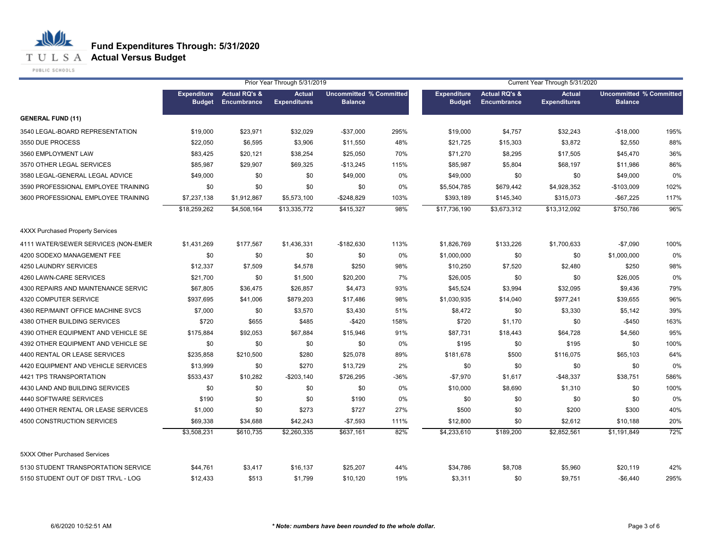**T U L S A Actual Versus Budget** 

PUBLIC SCHOOLS

|                                         |                                     |                                         | Prior Year Through 5/31/2019         |                                                  |      |                                     |                                         | Current Year Through 5/31/2020<br><b>Actual</b><br><b>Uncommitted % Committed</b> |                |      |  |
|-----------------------------------------|-------------------------------------|-----------------------------------------|--------------------------------------|--------------------------------------------------|------|-------------------------------------|-----------------------------------------|-----------------------------------------------------------------------------------|----------------|------|--|
|                                         | <b>Expenditure</b><br><b>Budget</b> | <b>Actual RQ's &amp;</b><br>Encumbrance | <b>Actual</b><br><b>Expenditures</b> | <b>Uncommitted % Committed</b><br><b>Balance</b> |      | <b>Expenditure</b><br><b>Budget</b> | <b>Actual RQ's &amp;</b><br>Encumbrance | <b>Expenditures</b>                                                               | <b>Balance</b> |      |  |
| <b>GENERAL FUND (11)</b>                |                                     |                                         |                                      |                                                  |      |                                     |                                         |                                                                                   |                |      |  |
| 3540 LEGAL-BOARD REPRESENTATION         | \$19,000                            | \$23,971                                | \$32,029                             | $-$37,000$                                       | 295% | \$19,000                            | \$4,757                                 | \$32,243                                                                          | $-$18,000$     | 195% |  |
| 3550 DUE PROCESS                        | \$22,050                            | \$6,595                                 | \$3,906                              | \$11,550                                         | 48%  | \$21,725                            | \$15,303                                | \$3,872                                                                           | \$2,550        | 88%  |  |
| 3560 EMPLOYMENT LAW                     | \$83,425                            | \$20,121                                | \$38,254                             | \$25,050                                         | 70%  | \$71,270                            | \$8,295                                 | \$17,505                                                                          | \$45,470       | 36%  |  |
| 3570 OTHER LEGAL SERVICES               | \$85,987                            | \$29,907                                | \$69,325                             | $-$13,245$                                       | 115% | \$85,987                            | \$5,804                                 | \$68,197                                                                          | \$11,986       | 86%  |  |
| 3580 LEGAL-GENERAL LEGAL ADVICE         | \$49,000                            | \$0                                     | \$0                                  | \$49,000                                         | 0%   | \$49,000                            | \$0                                     | \$0                                                                               | \$49,000       | 0%   |  |
| 3590 PROFESSIONAL EMPLOYEE TRAINING     | \$0                                 | \$0                                     | \$0                                  | \$0                                              | 0%   | \$5,504,785                         | \$679,442                               | \$4,928,352                                                                       | $-$103,009$    | 102% |  |
| 3600 PROFESSIONAL EMPLOYEE TRAINING     | \$7,237,138                         | \$1,912,867                             | \$5,573,100                          | $-$248,829$                                      | 103% | \$393,189                           | \$145,340                               | \$315,073                                                                         | $-$67,225$     | 117% |  |
|                                         | \$18,259,262                        | \$4,508,164                             | \$13,335,772                         | \$415,327                                        | 98%  | \$17,736,190                        | \$3,673,312                             | \$13,312,092                                                                      | \$750,786      | 96%  |  |
| <b>4XXX Purchased Property Services</b> |                                     |                                         |                                      |                                                  |      |                                     |                                         |                                                                                   |                |      |  |
| 4111 WATER/SEWER SERVICES (NON-EMER     | \$1,431,269                         | \$177,567                               | \$1,436,331                          | $-$182,630$                                      | 113% | \$1,826,769                         | \$133,226                               | \$1,700,633                                                                       | $-$7,090$      | 100% |  |
| 4200 SODEXO MANAGEMENT FEE              | \$0                                 | \$0                                     | \$0                                  | \$0                                              | 0%   | \$1,000,000                         | \$0                                     | \$0                                                                               | \$1,000,000    | 0%   |  |
| 4250 LAUNDRY SERVICES                   | \$12,337                            | \$7,509                                 | \$4,578                              | \$250                                            | 98%  | \$10,250                            | \$7,520                                 | \$2,480                                                                           | \$250          | 98%  |  |
| 4260 LAWN-CARE SERVICES                 | \$21,700                            | \$0                                     | \$1,500                              | \$20,200                                         | 7%   | \$26,005                            | \$0                                     | \$0                                                                               | \$26,005       | 0%   |  |
| 4300 REPAIRS AND MAINTENANCE SERVIC     | \$67,805                            | \$36,475                                | \$26,857                             | \$4,473                                          | 93%  | \$45,524                            | \$3,994                                 | \$32,095                                                                          | \$9,436        | 79%  |  |
| 4320 COMPUTER SERVICE                   | \$937,695                           | \$41,006                                | \$879,203                            | \$17,486                                         | 98%  | \$1,030,935                         | \$14,040                                | \$977,241                                                                         | \$39,655       | 96%  |  |
| 4360 REP/MAINT OFFICE MACHINE SVCS      | \$7,000                             | \$0                                     | \$3,570                              | \$3,430                                          | 51%  | \$8,472                             | \$0                                     | \$3,330                                                                           | \$5,142        | 39%  |  |
| 4380 OTHER BUILDING SERVICES            | \$720                               | \$655                                   | \$485                                | $-$420$                                          | 158% | \$720                               | \$1,170                                 | \$0                                                                               | $-$450$        | 163% |  |
| 4390 OTHER EQUIPMENT AND VEHICLE SE     | \$175,884                           | \$92,053                                | \$67,884                             | \$15,946                                         | 91%  | \$87,731                            | \$18,443                                | \$64,728                                                                          | \$4,560        | 95%  |  |
| 4392 OTHER EQUIPMENT AND VEHICLE SE     | \$0                                 | \$0                                     | \$0                                  | \$0                                              | 0%   | \$195                               | \$0                                     | \$195                                                                             | \$0            | 100% |  |
| 4400 RENTAL OR LEASE SERVICES           | \$235,858                           | \$210,500                               | \$280                                | \$25,078                                         | 89%  | \$181,678                           | \$500                                   | \$116,075                                                                         | \$65,103       | 64%  |  |
| 4420 EQUIPMENT AND VEHICLE SERVICES     | \$13,999                            | \$0                                     | \$270                                | \$13,729                                         | 2%   | \$0                                 | \$0                                     | \$0                                                                               | \$0            | 0%   |  |
| 4421 TPS TRANSPORTATION                 | \$533,437                           | \$10,282                                | $-$203,140$                          | \$726,295                                        | -36% | $-$7,970$                           | \$1,617                                 | $-$48,337$                                                                        | \$38,751       | 586% |  |
| 4430 LAND AND BUILDING SERVICES         | \$0                                 | \$0                                     | \$0                                  | \$0                                              | 0%   | \$10,000                            | \$8,690                                 | \$1,310                                                                           | \$0            | 100% |  |
| 4440 SOFTWARE SERVICES                  | \$190                               | \$0                                     | \$0                                  | \$190                                            | 0%   | \$0                                 | \$0                                     | \$0                                                                               | \$0            | 0%   |  |
| 4490 OTHER RENTAL OR LEASE SERVICES     | \$1,000                             | \$0                                     | \$273                                | \$727                                            | 27%  | \$500                               | \$0                                     | \$200                                                                             | \$300          | 40%  |  |
| 4500 CONSTRUCTION SERVICES              | \$69,338                            | \$34,688                                | \$42,243                             | $-$7,593$                                        | 111% | \$12,800                            | \$0                                     | \$2,612                                                                           | \$10,188       | 20%  |  |
|                                         | \$3,508,231                         | \$610,735                               | \$2,260,335                          | \$637,161                                        | 82%  | \$4,233,610                         | \$189,200                               | \$2,852,561                                                                       | \$1,191,849    | 72%  |  |
| 5XXX Other Purchased Services           |                                     |                                         |                                      |                                                  |      |                                     |                                         |                                                                                   |                |      |  |
| 5130 STUDENT TRANSPORTATION SERVICE     | \$44,761                            | \$3,417                                 | \$16,137                             | \$25,207                                         | 44%  | \$34,786                            | \$8,708                                 | \$5,960                                                                           | \$20,119       | 42%  |  |
| 5150 STUDENT OUT OF DIST TRVL - LOG     | \$12,433                            | \$513                                   | \$1,799                              | \$10,120                                         | 19%  | \$3,311                             | \$0                                     | \$9,751                                                                           | $-$6,440$      | 295% |  |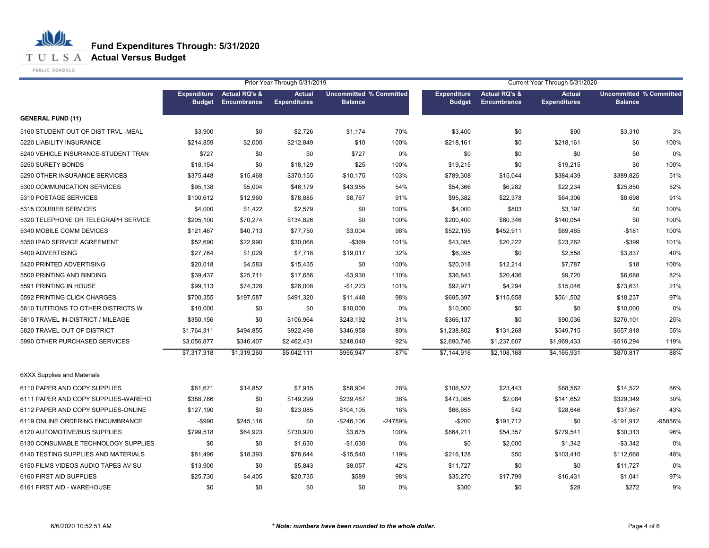**T U L S A Actual Versus Budget** 

PUBLIC SCHOOLS

|                                     |                                     |                                         | Prior Year Through 5/31/2019         |                                                  |         |                                     |                                                | Current Year Through 5/31/2020       |                                                  |         |
|-------------------------------------|-------------------------------------|-----------------------------------------|--------------------------------------|--------------------------------------------------|---------|-------------------------------------|------------------------------------------------|--------------------------------------|--------------------------------------------------|---------|
|                                     | <b>Expenditure</b><br><b>Budget</b> | <b>Actual RQ's &amp;</b><br>Encumbrance | <b>Actual</b><br><b>Expenditures</b> | <b>Uncommitted % Committed</b><br><b>Balance</b> |         | <b>Expenditure</b><br><b>Budget</b> | <b>Actual RQ's &amp;</b><br><b>Encumbrance</b> | <b>Actual</b><br><b>Expenditures</b> | <b>Uncommitted % Committed</b><br><b>Balance</b> |         |
| <b>GENERAL FUND (11)</b>            |                                     |                                         |                                      |                                                  |         |                                     |                                                |                                      |                                                  |         |
| 5160 STUDENT OUT OF DIST TRVL -MEAL | \$3,900                             | \$0                                     | \$2,726                              | \$1,174                                          | 70%     | \$3,400                             | \$0                                            | \$90                                 | \$3,310                                          | 3%      |
| 5220 LIABILITY INSURANCE            | \$214,859                           | \$2,000                                 | \$212,849                            | \$10                                             | 100%    | \$218,161                           | \$0                                            | \$218,161                            | \$0                                              | 100%    |
| 5240 VEHICLE INSURANCE-STUDENT TRAN | \$727                               | \$0                                     | \$0                                  | \$727                                            | 0%      | \$0                                 | \$0                                            | \$0                                  | \$0                                              | 0%      |
| 5250 SURETY BONDS                   | \$18,154                            | \$0                                     | \$18,129                             | \$25                                             | 100%    | \$19,215                            | \$0                                            | \$19,215                             | \$0                                              | 100%    |
| 5290 OTHER INSURANCE SERVICES       | \$375,448                           | \$15,468                                | \$370,155                            | $-$10,175$                                       | 103%    | \$789,308                           | \$15,044                                       | \$384,439                            | \$389,825                                        | 51%     |
| 5300 COMMUNICATION SERVICES         | \$95,138                            | \$5,004                                 | \$46,179                             | \$43,955                                         | 54%     | \$54,366                            | \$6,282                                        | \$22,234                             | \$25,850                                         | 52%     |
| 5310 POSTAGE SERVICES               | \$100,612                           | \$12,960                                | \$78,885                             | \$8,767                                          | 91%     | \$95,382                            | \$22,378                                       | \$64,306                             | \$8,698                                          | 91%     |
| 5315 COURIER SERVICES               | \$4,000                             | \$1,422                                 | \$2,579                              | \$0                                              | 100%    | \$4,000                             | \$803                                          | \$3,197                              | \$0                                              | 100%    |
| 5320 TELEPHONE OR TELEGRAPH SERVICE | \$205.100                           | \$70,274                                | \$134,826                            | \$0                                              | 100%    | \$200,400                           | \$60,346                                       | \$140,054                            | \$0                                              | 100%    |
| 5340 MOBILE COMM DEVICES            | \$121,467                           | \$40,713                                | \$77,750                             | \$3,004                                          | 98%     | \$522,195                           | \$452,911                                      | \$69,465                             | $-$181$                                          | 100%    |
| 5350 IPAD SERVICE AGREEMENT         | \$52,690                            | \$22,990                                | \$30,068                             | $-$369$                                          | 101%    | \$43,085                            | \$20,222                                       | \$23,262                             | $-$ \$399                                        | 101%    |
| 5400 ADVERTISING                    | \$27,764                            | \$1,029                                 | \$7,718                              | \$19,017                                         | 32%     | \$6,395                             | \$0                                            | \$2,558                              | \$3,837                                          | 40%     |
| 5420 PRINTED ADVERTISING            | \$20,018                            | \$4,583                                 | \$15,435                             | \$0                                              | 100%    | \$20,018                            | \$12,214                                       | \$7,787                              | \$18                                             | 100%    |
| 5500 PRINTING AND BINDING           | \$39,437                            | \$25,711                                | \$17,656                             | $-$3,930$                                        | 110%    | \$36,843                            | \$20,436                                       | \$9,720                              | \$6,688                                          | 82%     |
| 5591 PRINTING IN HOUSE              | \$99,113                            | \$74,328                                | \$26,008                             | $-$1,223$                                        | 101%    | \$92,971                            | \$4,294                                        | \$15,046                             | \$73,631                                         | 21%     |
| 5592 PRINTING CLICK CHARGES         | \$700,355                           | \$197,587                               | \$491,320                            | \$11,448                                         | 98%     | \$695,397                           | \$115,658                                      | \$561,502                            | \$18,237                                         | 97%     |
| 5610 TUTITIONS TO OTHER DISTRICTS W | \$10,000                            | \$0                                     | \$0                                  | \$10,000                                         | 0%      | \$10,000                            | \$0                                            | \$0                                  | \$10,000                                         | 0%      |
| 5810 TRAVEL IN-DISTRICT / MILEAGE   | \$350,156                           | \$0                                     | \$106,964                            | \$243,192                                        | 31%     | \$366,137                           | \$0                                            | \$90,036                             | \$276,101                                        | 25%     |
| 5820 TRAVEL OUT OF DISTRICT         | \$1,764,311                         | \$494,855                               | \$922,498                            | \$346,958                                        | 80%     | \$1,238,802                         | \$131,268                                      | \$549,715                            | \$557,818                                        | 55%     |
| 5990 OTHER PURCHASED SERVICES       | \$3,056,877                         | \$346,407                               | \$2,462,431                          | \$248,040                                        | 92%     | \$2,690,746                         | \$1,237,607                                    | \$1,969,433                          | $-$516,294$                                      | 119%    |
|                                     | \$7,317,318                         | \$1,319,260                             | \$5,042,111                          | \$955,947                                        | 87%     | \$7,144,916                         | \$2,108,168                                    | \$4,165,931                          | \$870,817                                        | 88%     |
| <b>6XXX Supplies and Materials</b>  |                                     |                                         |                                      |                                                  |         |                                     |                                                |                                      |                                                  |         |
| 6110 PAPER AND COPY SUPPLIES        | \$81,671                            | \$14,852                                | \$7,915                              | \$58,904                                         | 28%     | \$106,527                           | \$23,443                                       | \$68,562                             | \$14,522                                         | 86%     |
| 6111 PAPER AND COPY SUPPLIES-WAREHO | \$388,786                           | \$0                                     | \$149,299                            | \$239,487                                        | 38%     | \$473,085                           | \$2,084                                        | \$141,652                            | \$329,349                                        | 30%     |
| 6112 PAPER AND COPY SUPPLIES-ONLINE | \$127,190                           | \$0                                     | \$23,085                             | \$104,105                                        | 18%     | \$66,655                            | \$42                                           | \$28,646                             | \$37,967                                         | 43%     |
| 6119 ONLINE ORDERING ENCUMBRANCE    | -\$990                              | \$245,116                               | \$0                                  | -\$246,106                                       | -24759% | $-$200$                             | \$191,712                                      | \$0                                  | $-$191,912$                                      | -95856% |
| 6120 AUTOMOTIVE/BUS SUPPLIES        | \$799,518                           | \$64,923                                | \$730,920                            | \$3,675                                          | 100%    | \$864,211                           | \$54,357                                       | \$779,541                            | \$30,313                                         | 96%     |
| 6130 CONSUMABLE TECHNOLOGY SUPPLIES | \$0                                 | \$0                                     | \$1,630                              | $-$1,630$                                        | 0%      | \$0                                 | \$2,000                                        | \$1,342                              | $-$3,342$                                        | 0%      |
| 6140 TESTING SUPPLIES AND MATERIALS | \$81,496                            | \$18,393                                | \$78,644                             | $-$15,540$                                       | 119%    | \$216,128                           | \$50                                           | \$103,410                            | \$112,668                                        | 48%     |
| 6150 FILMS VIDEOS AUDIO TAPES AV SU | \$13,900                            | \$0                                     | \$5,843                              | \$8,057                                          | 42%     | \$11,727                            | \$0                                            | \$0                                  | \$11,727                                         | 0%      |
| 6160 FIRST AID SUPPLIES             | \$25,730                            | \$4,405                                 | \$20,735                             | \$589                                            | 98%     | \$35,270                            | \$17,799                                       | \$16,431                             | \$1,041                                          | 97%     |
| 6161 FIRST AID - WAREHOUSE          | \$0                                 | \$0                                     | \$0                                  | \$0                                              | 0%      | \$300                               | \$0                                            | \$28                                 | \$272                                            | 9%      |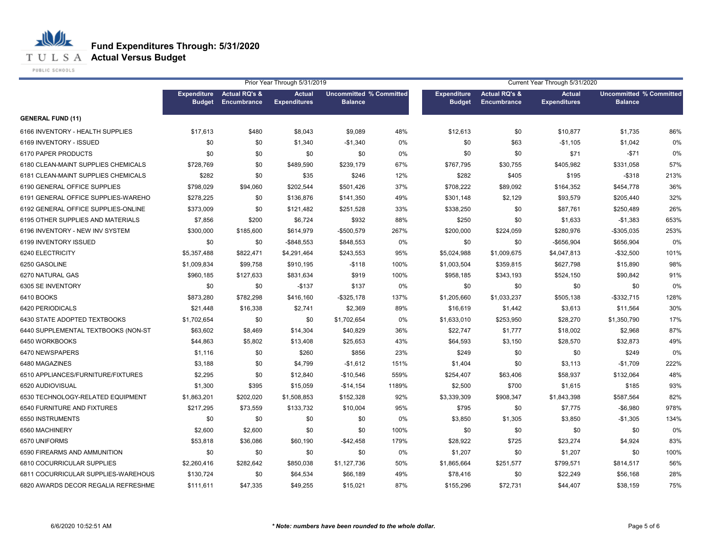**T U L S A Actual Versus Budget** 

PUBLIC SCHOOLS

|                                     |                                     |                                         | Prior Year Through 5/31/2019         |                                                  |       |                                     |                                         | Current Year Through 5/31/2020       |                                                  |      |
|-------------------------------------|-------------------------------------|-----------------------------------------|--------------------------------------|--------------------------------------------------|-------|-------------------------------------|-----------------------------------------|--------------------------------------|--------------------------------------------------|------|
|                                     | <b>Expenditure</b><br><b>Budget</b> | <b>Actual RQ's &amp;</b><br>Encumbrance | <b>Actual</b><br><b>Expenditures</b> | <b>Uncommitted % Committed</b><br><b>Balance</b> |       | <b>Expenditure</b><br><b>Budget</b> | <b>Actual RQ's &amp;</b><br>Encumbrance | <b>Actual</b><br><b>Expenditures</b> | <b>Uncommitted % Committed</b><br><b>Balance</b> |      |
| <b>GENERAL FUND (11)</b>            |                                     |                                         |                                      |                                                  |       |                                     |                                         |                                      |                                                  |      |
| 6166 INVENTORY - HEALTH SUPPLIES    | \$17,613                            | \$480                                   | \$8,043                              | \$9,089                                          | 48%   | \$12,613                            | \$0                                     | \$10,877                             | \$1,735                                          | 86%  |
| 6169 INVENTORY - ISSUED             | \$0                                 | \$0                                     | \$1,340                              | $-$1,340$                                        | 0%    | \$0                                 | \$63                                    | $-$1,105$                            | \$1,042                                          | 0%   |
| 6170 PAPER PRODUCTS                 | \$0                                 | \$0                                     | \$0                                  | \$0                                              | 0%    | \$0                                 | \$0                                     | \$71                                 | $-$ \$71                                         | 0%   |
| 6180 CLEAN-MAINT SUPPLIES CHEMICALS | \$728,769                           | \$0                                     | \$489,590                            | \$239,179                                        | 67%   | \$767,795                           | \$30,755                                | \$405,982                            | \$331,058                                        | 57%  |
| 6181 CLEAN-MAINT SUPPLIES CHEMICALS | \$282                               | \$0                                     | \$35                                 | \$246                                            | 12%   | \$282                               | \$405                                   | \$195                                | $-$ \$318                                        | 213% |
| 6190 GENERAL OFFICE SUPPLIES        | \$798,029                           | \$94,060                                | \$202,544                            | \$501,426                                        | 37%   | \$708,222                           | \$89,092                                | \$164,352                            | \$454,778                                        | 36%  |
| 6191 GENERAL OFFICE SUPPLIES-WAREHO | \$278,225                           | \$0                                     | \$136,876                            | \$141,350                                        | 49%   | \$301,148                           | \$2,129                                 | \$93,579                             | \$205,440                                        | 32%  |
| 6192 GENERAL OFFICE SUPPLIES-ONLINE | \$373,009                           | \$0                                     | \$121,482                            | \$251,528                                        | 33%   | \$338,250                           | \$0                                     | \$87,761                             | \$250,489                                        | 26%  |
| 6195 OTHER SUPPLIES AND MATERIALS   | \$7,856                             | \$200                                   | \$6,724                              | \$932                                            | 88%   | \$250                               | \$0                                     | \$1,633                              | $-$1,383$                                        | 653% |
| 6196 INVENTORY - NEW INV SYSTEM     | \$300,000                           | \$185,600                               | \$614,979                            | -\$500,579                                       | 267%  | \$200,000                           | \$224,059                               | \$280,976                            | $-$305,035$                                      | 253% |
| 6199 INVENTORY ISSUED               | \$0                                 | \$0                                     | $-$ \$848,553                        | \$848,553                                        | $0\%$ | \$0                                 | \$0                                     | -\$656,904                           | \$656,904                                        | 0%   |
| 6240 ELECTRICITY                    | \$5,357,488                         | \$822,471                               | \$4,291,464                          | \$243,553                                        | 95%   | \$5,024,988                         | \$1,009,675                             | \$4,047,813                          | $-$ \$32,500                                     | 101% |
| 6250 GASOLINE                       | \$1,009,834                         | \$99,758                                | \$910,195                            | $-$118$                                          | 100%  | \$1,003,504                         | \$359,815                               | \$627,798                            | \$15,890                                         | 98%  |
| 6270 NATURAL GAS                    | \$960,185                           | \$127,633                               | \$831,634                            | \$919                                            | 100%  | \$958,185                           | \$343,193                               | \$524,150                            | \$90,842                                         | 91%  |
| 6305 SE INVENTORY                   | \$0                                 | \$0                                     | $-$137$                              | \$137                                            | 0%    | \$0                                 | \$0                                     | \$0                                  | \$0                                              | 0%   |
| 6410 BOOKS                          | \$873,280                           | \$782,298                               | \$416,160                            | $-$ \$325,178                                    | 137%  | \$1,205,660                         | \$1,033,237                             | \$505,138                            | $-$ \$332,715                                    | 128% |
| 6420 PERIODICALS                    | \$21,448                            | \$16,338                                | \$2,741                              | \$2,369                                          | 89%   | \$16,619                            | \$1,442                                 | \$3,613                              | \$11,564                                         | 30%  |
| 6430 STATE ADOPTED TEXTBOOKS        | \$1,702,654                         | \$0                                     | \$0                                  | \$1,702,654                                      | $0\%$ | \$1,633,010                         | \$253,950                               | \$28,270                             | \$1,350,790                                      | 17%  |
| 6440 SUPPLEMENTAL TEXTBOOKS (NON-ST | \$63,602                            | \$8,469                                 | \$14,304                             | \$40,829                                         | 36%   | \$22,747                            | \$1,777                                 | \$18,002                             | \$2,968                                          | 87%  |
| 6450 WORKBOOKS                      | \$44,863                            | \$5,802                                 | \$13,408                             | \$25,653                                         | 43%   | \$64,593                            | \$3,150                                 | \$28,570                             | \$32,873                                         | 49%  |
| 6470 NEWSPAPERS                     | \$1,116                             | \$0                                     | \$260                                | \$856                                            | 23%   | \$249                               | \$0                                     | \$0                                  | \$249                                            | 0%   |
| 6480 MAGAZINES                      | \$3,188                             | \$0                                     | \$4,799                              | $-$1,612$                                        | 151%  | \$1,404                             | \$0                                     | \$3,113                              | $-$1,709$                                        | 222% |
| 6510 APPLIANCES/FURNITURE/FIXTURES  | \$2,295                             | \$0                                     | \$12,840                             | $-$10,546$                                       | 559%  | \$254,407                           | \$63,406                                | \$58,937                             | \$132,064                                        | 48%  |
| 6520 AUDIOVISUAL                    | \$1,300                             | \$395                                   | \$15,059                             | $-$14,154$                                       | 1189% | \$2,500                             | \$700                                   | \$1,615                              | \$185                                            | 93%  |
| 6530 TECHNOLOGY-RELATED EQUIPMENT   | \$1,863,201                         | \$202,020                               | \$1,508,853                          | \$152,328                                        | 92%   | \$3,339,309                         | \$908,347                               | \$1,843,398                          | \$587,564                                        | 82%  |
| 6540 FURNITURE AND FIXTURES         | \$217,295                           | \$73,559                                | \$133,732                            | \$10,004                                         | 95%   | \$795                               | \$0                                     | \$7,775                              | $-$6,980$                                        | 978% |
| 6550 INSTRUMENTS                    | \$0                                 | \$0                                     | \$0                                  | \$0                                              | 0%    | \$3,850                             | \$1,305                                 | \$3,850                              | $-$1,305$                                        | 134% |
| 6560 MACHINERY                      | \$2,600                             | \$2,600                                 | \$0                                  | \$0                                              | 100%  | \$0                                 | \$0                                     | \$0                                  | \$0                                              | 0%   |
| 6570 UNIFORMS                       | \$53,818                            | \$36,086                                | \$60,190                             | $-$42,458$                                       | 179%  | \$28,922                            | \$725                                   | \$23,274                             | \$4,924                                          | 83%  |
| 6590 FIREARMS AND AMMUNITION        | \$0                                 | \$0                                     | \$0                                  | \$0                                              | 0%    | \$1,207                             | \$0                                     | \$1,207                              | \$0                                              | 100% |
| 6810 COCURRICULAR SUPPLIES          | \$2,260,416                         | \$282,642                               | \$850,038                            | \$1,127,736                                      | 50%   | \$1,865,664                         | \$251,577                               | \$799,571                            | \$814,517                                        | 56%  |
| 6811 COCURRICULAR SUPPLIES-WAREHOUS | \$130,724                           | \$0                                     | \$64,534                             | \$66,189                                         | 49%   | \$78,416                            | \$0                                     | \$22,249                             | \$56,168                                         | 28%  |
| 6820 AWARDS DECOR REGALIA REFRESHME | \$111,611                           | \$47,335                                | \$49,255                             | \$15,021                                         | 87%   | \$155,296                           | \$72,731                                | \$44,407                             | \$38.159                                         | 75%  |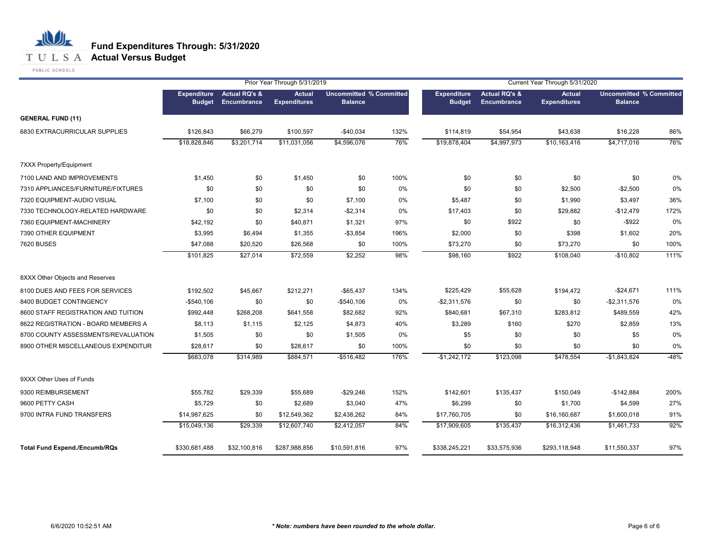## **T U L S A Actual Versus Budget**

PUBLIC SCHOOLS

|                                      |                                     |                                         | Prior Year Through 5/31/2019         |                                                  |             |                                     |                                         | Current Year Through 5/31/2020 |                                                  |            |
|--------------------------------------|-------------------------------------|-----------------------------------------|--------------------------------------|--------------------------------------------------|-------------|-------------------------------------|-----------------------------------------|--------------------------------|--------------------------------------------------|------------|
|                                      | <b>Expenditure</b><br><b>Budget</b> | <b>Actual RQ's &amp;</b><br>Encumbrance | <b>Actual</b><br><b>Expenditures</b> | <b>Uncommitted % Committed</b><br><b>Balance</b> |             | <b>Expenditure</b><br><b>Budget</b> | <b>Actual RQ's &amp;</b><br>Encumbrance | Actual<br><b>Expenditures</b>  | <b>Uncommitted % Committed</b><br><b>Balance</b> |            |
| <b>GENERAL FUND (11)</b>             |                                     |                                         |                                      |                                                  |             |                                     |                                         |                                |                                                  |            |
| 6830 EXTRACURRICULAR SUPPLIES        | \$126,843<br>\$18,828,846           | \$66,279<br>\$3,201,714                 | \$100,597<br>\$11,031,056            | $-$40,034$<br>\$4,596,076                        | 132%<br>76% | \$114,819<br>\$19,878,404           | \$54,954<br>\$4,997,973                 | \$43,638<br>\$10,163,416       | \$16,228<br>\$4,717,016                          | 86%<br>76% |
| 7XXX Property/Equipment              |                                     |                                         |                                      |                                                  |             |                                     |                                         |                                |                                                  |            |
| 7100 LAND AND IMPROVEMENTS           | \$1,450                             | \$0                                     | \$1,450                              | \$0                                              | 100%        | \$0                                 | \$0                                     | \$0                            | \$0                                              | 0%         |
| 7310 APPLIANCES/FURNITURE/FIXTURES   | \$0                                 | \$0                                     | \$0                                  | \$0                                              | 0%          | \$0                                 | \$0                                     | \$2,500                        | $-$2,500$                                        | 0%         |
| 7320 EQUIPMENT-AUDIO VISUAL          | \$7,100                             | \$0                                     | \$0                                  | \$7,100                                          | 0%          | \$5,487                             | \$0                                     | \$1,990                        | \$3,497                                          | 36%        |
| 7330 TECHNOLOGY-RELATED HARDWARE     | \$0                                 | \$0                                     | \$2,314                              | $-$2,314$                                        | 0%          | \$17,403                            | \$0                                     | \$29,882                       | $-$12,479$                                       | 172%       |
| 7360 EQUIPMENT-MACHINERY             | \$42,192                            | \$0                                     | \$40,871                             | \$1,321                                          | 97%         | \$0                                 | \$922                                   | \$0                            | $-$ \$922                                        | 0%         |
| 7390 OTHER EQUIPMENT                 | \$3,995                             | \$6,494                                 | \$1,355                              | $-$3,854$                                        | 196%        | \$2,000                             | \$0                                     | \$398                          | \$1,602                                          | 20%        |
| <b>7620 BUSES</b>                    | \$47,088                            | \$20,520                                | \$26,568                             | \$0                                              | 100%        | \$73,270                            | \$0                                     | \$73,270                       | \$0                                              | 100%       |
|                                      | \$101,825                           | \$27,014                                | \$72,559                             | \$2,252                                          | 98%         | \$98,160                            | \$922                                   | \$108,040                      | $-$10,802$                                       | 111%       |
| 8XXX Other Objects and Reserves      |                                     |                                         |                                      |                                                  |             |                                     |                                         |                                |                                                  |            |
| 8100 DUES AND FEES FOR SERVICES      | \$192,502                           | \$45,667                                | \$212,271                            | $-$65,437$                                       | 134%        | \$225,429                           | \$55,628                                | \$194,472                      | $-$24,671$                                       | 111%       |
| 8400 BUDGET CONTINGENCY              | $-$540,106$                         | \$0                                     | \$0                                  | $-$540,106$                                      | 0%          | $-$2,311,576$                       | \$0                                     | \$0                            | $-$2,311,576$                                    | 0%         |
| 8600 STAFF REGISTRATION AND TUITION  | \$992,448                           | \$268,208                               | \$641,558                            | \$82,682                                         | 92%         | \$840,681                           | \$67,310                                | \$283,812                      | \$489,559                                        | 42%        |
| 8622 REGISTRATION - BOARD MEMBERS A  | \$8,113                             | \$1,115                                 | \$2,125                              | \$4,873                                          | 40%         | \$3,289                             | \$160                                   | \$270                          | \$2,859                                          | 13%        |
| 8700 COUNTY ASSESSMENTS/REVALUATION  | \$1,505                             | \$0                                     | \$0                                  | \$1,505                                          | 0%          | \$5                                 | \$0                                     | \$0                            | \$5                                              | 0%         |
| 8900 OTHER MISCELLANEOUS EXPENDITUR  | \$28,617                            | \$0                                     | \$28,617                             | \$0                                              | 100%        | \$0                                 | \$0                                     | \$0                            | \$0                                              | 0%         |
|                                      | \$683,078                           | \$314,989                               | \$884,571                            | $-$516,482$                                      | 176%        | $-$1,242,172$                       | \$123,098                               | \$478,554                      | $-$1,843,824$                                    | $-48%$     |
| 9XXX Other Uses of Funds             |                                     |                                         |                                      |                                                  |             |                                     |                                         |                                |                                                  |            |
| 9300 REIMBURSEMENT                   | \$55,782                            | \$29,339                                | \$55,689                             | $-$29,246$                                       | 152%        | \$142,601                           | \$135,437                               | \$150,049                      | $-$142,884$                                      | 200%       |
| 9600 PETTY CASH                      | \$5,729                             | \$0                                     | \$2,689                              | \$3,040                                          | 47%         | \$6,299                             | \$0                                     | \$1,700                        | \$4,599                                          | 27%        |
| 9700 INTRA FUND TRANSFERS            | \$14,987,625                        | \$0                                     | \$12,549,362                         | \$2,438,262                                      | 84%         | \$17,760,705                        | \$0                                     | \$16,160,687                   | \$1,600,018                                      | 91%        |
|                                      | \$15,049,136                        | \$29,339                                | \$12,607,740                         | \$2,412,057                                      | 84%         | \$17,909,605                        | \$135,437                               | \$16,312,436                   | \$1,461,733                                      | 92%        |
| <b>Total Fund Expend./Encumb/RQs</b> | \$330,681,488                       | \$32,100,816                            | \$287,988,856                        | \$10,591,816                                     | 97%         | \$338,245,221                       | \$33,575,936                            | \$293,118,948                  | \$11,550,337                                     | 97%        |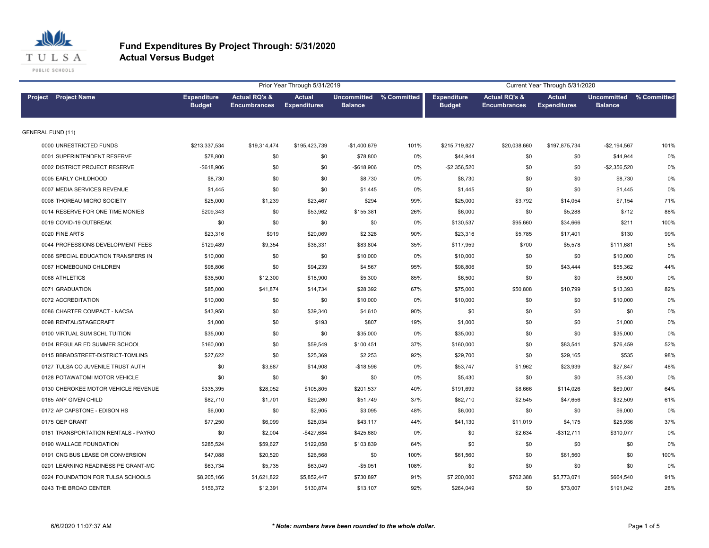

|                                     |                                     |                                                 | Prior Year Through 5/31/2019         |                |                         |                                     |                                                 | Current Year Through 5/31/2020       |                                      |             |
|-------------------------------------|-------------------------------------|-------------------------------------------------|--------------------------------------|----------------|-------------------------|-------------------------------------|-------------------------------------------------|--------------------------------------|--------------------------------------|-------------|
| <b>Project</b> Project Name         | <b>Expenditure</b><br><b>Budget</b> | <b>Actual RQ's &amp;</b><br><b>Encumbrances</b> | <b>Actual</b><br><b>Expenditures</b> | <b>Balance</b> | Uncommitted % Committed | <b>Expenditure</b><br><b>Budget</b> | <b>Actual RQ's &amp;</b><br><b>Encumbrances</b> | <b>Actual</b><br><b>Expenditures</b> | <b>Uncommitted</b><br><b>Balance</b> | % Committed |
| <b>GENERAL FUND (11)</b>            |                                     |                                                 |                                      |                |                         |                                     |                                                 |                                      |                                      |             |
| 0000 UNRESTRICTED FUNDS             | \$213,337,534                       | \$19,314,474                                    | \$195,423,739                        | $-$1,400,679$  | 101%                    | \$215,719,827                       | \$20,038,660                                    | \$197,875,734                        | $-$2,194,567$                        | 101%        |
| 0001 SUPERINTENDENT RESERVE         | \$78,800                            | \$0                                             | \$0                                  | \$78,800       | 0%                      | \$44,944                            | \$0                                             | \$0                                  | \$44,944                             | 0%          |
| 0002 DISTRICT PROJECT RESERVE       | $-$618,906$                         | \$0                                             | \$0                                  | -\$618,906     | 0%                      | $-$2,356,520$                       | \$0                                             | \$0                                  | $-$2,356,520$                        | 0%          |
| 0005 EARLY CHILDHOOD                | \$8,730                             | \$0                                             | \$0                                  | \$8,730        | 0%                      | \$8,730                             | \$0                                             | \$0                                  | \$8,730                              | 0%          |
| 0007 MEDIA SERVICES REVENUE         | \$1,445                             | \$0                                             | \$0                                  | \$1,445        | 0%                      | \$1,445                             | \$0                                             | \$0                                  | \$1,445                              | 0%          |
| 0008 THOREAU MICRO SOCIETY          | \$25,000                            | \$1,239                                         | \$23,467                             | \$294          | 99%                     | \$25,000                            | \$3,792                                         | \$14,054                             | \$7,154                              | 71%         |
| 0014 RESERVE FOR ONE TIME MONIES    | \$209,343                           | \$0                                             | \$53,962                             | \$155,381      | 26%                     | \$6,000                             | \$0                                             | \$5,288                              | \$712                                | 88%         |
| 0019 COVID-19 OUTBREAK              | \$0                                 | \$0                                             | \$0                                  | \$0            | 0%                      | \$130,537                           | \$95,660                                        | \$34,666                             | \$211                                | 100%        |
| 0020 FINE ARTS                      | \$23,316                            | \$919                                           | \$20,069                             | \$2,328        | 90%                     | \$23,316                            | \$5,785                                         | \$17,401                             | \$130                                | 99%         |
| 0044 PROFESSIONS DEVELOPMENT FEES   | \$129,489                           | \$9,354                                         | \$36,331                             | \$83,804       | 35%                     | \$117,959                           | \$700                                           | \$5,578                              | \$111,681                            | 5%          |
| 0066 SPECIAL EDUCATION TRANSFERS IN | \$10,000                            | \$0                                             | \$0                                  | \$10,000       | 0%                      | \$10,000                            | \$0                                             | \$0                                  | \$10,000                             | 0%          |
| 0067 HOMEBOUND CHILDREN             | \$98,806                            | \$0                                             | \$94,239                             | \$4,567        | 95%                     | \$98,806                            | \$0                                             | \$43,444                             | \$55,362                             | 44%         |
| 0068 ATHLETICS                      | \$36,500                            | \$12,300                                        | \$18,900                             | \$5,300        | 85%                     | \$6,500                             | \$0                                             | \$0                                  | \$6,500                              | 0%          |
| 0071 GRADUATION                     | \$85,000                            | \$41,874                                        | \$14,734                             | \$28,392       | 67%                     | \$75,000                            | \$50,808                                        | \$10,799                             | \$13,393                             | 82%         |
| 0072 ACCREDITATION                  | \$10,000                            | \$0                                             | \$0                                  | \$10,000       | 0%                      | \$10,000                            | \$0                                             | \$0                                  | \$10,000                             | 0%          |
| 0086 CHARTER COMPACT - NACSA        | \$43,950                            | \$0                                             | \$39,340                             | \$4,610        | 90%                     | \$0                                 | \$0                                             | \$0                                  | \$0                                  | 0%          |
| 0098 RENTAL/STAGECRAFT              | \$1,000                             | \$0                                             | \$193                                | \$807          | 19%                     | \$1,000                             | \$0                                             | \$0                                  | \$1,000                              | 0%          |
| 0100 VIRTUAL SUM SCHL TUITION       | \$35,000                            | \$0                                             | \$0                                  | \$35,000       | 0%                      | \$35,000                            | \$0                                             | \$0                                  | \$35,000                             | 0%          |
| 0104 REGULAR ED SUMMER SCHOOL       | \$160,000                           | \$0                                             | \$59,549                             | \$100,451      | 37%                     | \$160,000                           | \$0                                             | \$83,541                             | \$76,459                             | 52%         |
| 0115 BBRADSTREET-DISTRICT-TOMLINS   | \$27,622                            | \$0                                             | \$25,369                             | \$2,253        | 92%                     | \$29,700                            | \$0                                             | \$29,165                             | \$535                                | 98%         |
| 0127 TULSA CO JUVENILE TRUST AUTH   | \$0                                 | \$3,687                                         | \$14,908                             | $-$18,596$     | 0%                      | \$53,747                            | \$1,962                                         | \$23,939                             | \$27,847                             | 48%         |
| 0128 POTAWATOMI MOTOR VEHICLE       | \$0                                 | \$0                                             | \$0                                  | \$0            | 0%                      | \$5,430                             | \$0                                             | \$0                                  | \$5,430                              | 0%          |
| 0130 CHEROKEE MOTOR VEHICLE REVENUE | \$335,395                           | \$28,052                                        | \$105,805                            | \$201,537      | 40%                     | \$191,699                           | \$8,666                                         | \$114,026                            | \$69,007                             | 64%         |
| 0165 ANY GIVEN CHILD                | \$82,710                            | \$1,701                                         | \$29,260                             | \$51,749       | 37%                     | \$82,710                            | \$2,545                                         | \$47,656                             | \$32,509                             | 61%         |
| 0172 AP CAPSTONE - EDISON HS        | \$6,000                             | \$0                                             | \$2,905                              | \$3,095        | 48%                     | \$6,000                             | \$0                                             | \$0                                  | \$6,000                              | 0%          |
| 0175 QEP GRANT                      | \$77,250                            | \$6,099                                         | \$28,034                             | \$43,117       | 44%                     | \$41,130                            | \$11,019                                        | \$4,175                              | \$25,936                             | 37%         |
| 0181 TRANSPORTATION RENTALS - PAYRO | \$0                                 | \$2,004                                         | -\$427,684                           | \$425,680      | 0%                      | \$0                                 | \$2,634                                         | $-$312,711$                          | \$310,077                            | 0%          |
| 0190 WALLACE FOUNDATION             | \$285,524                           | \$59,627                                        | \$122,058                            | \$103,839      | 64%                     | \$0                                 | \$0                                             | \$0                                  | \$0                                  | 0%          |
| 0191 CNG BUS LEASE OR CONVERSION    | \$47,088                            | \$20,520                                        | \$26,568                             | \$0            | 100%                    | \$61,560                            | \$0                                             | \$61,560                             | \$0                                  | 100%        |
| 0201 LEARNING READINESS PE GRANT-MC | \$63,734                            | \$5,735                                         | \$63,049                             | $-$5,051$      | 108%                    | \$0                                 | \$0                                             | \$0                                  | \$0                                  | 0%          |
| 0224 FOUNDATION FOR TULSA SCHOOLS   | \$8,205,166                         | \$1,621,822                                     | \$5,852,447                          | \$730,897      | 91%                     | \$7,200,000                         | \$762,388                                       | \$5,773,071                          | \$664,540                            | 91%         |
| 0243 THE BROAD CENTER               | \$156,372                           | \$12,391                                        | \$130,874                            | \$13.107       | 92%                     | \$264.049                           | \$0                                             | \$73,007                             | \$191.042                            | 28%         |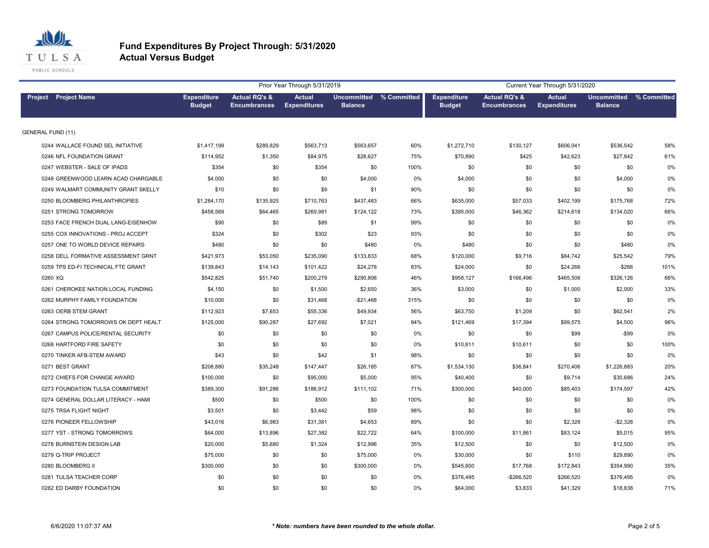

|                                     |                                     |                                                 | Prior Year Through 5/31/2019         |                |                         |                                     |                                                 | Current Year Through 5/31/2020       |                                      |             |
|-------------------------------------|-------------------------------------|-------------------------------------------------|--------------------------------------|----------------|-------------------------|-------------------------------------|-------------------------------------------------|--------------------------------------|--------------------------------------|-------------|
| Project Project Name                | <b>Expenditure</b><br><b>Budget</b> | <b>Actual RQ's &amp;</b><br><b>Encumbrances</b> | <b>Actual</b><br><b>Expenditures</b> | <b>Balance</b> | Uncommitted % Committed | <b>Expenditure</b><br><b>Budget</b> | <b>Actual RQ's &amp;</b><br><b>Encumbrances</b> | <b>Actual</b><br><b>Expenditures</b> | <b>Uncommitted</b><br><b>Balance</b> | % Committed |
| <b>GENERAL FUND (11)</b>            |                                     |                                                 |                                      |                |                         |                                     |                                                 |                                      |                                      |             |
| 0244 WALLACE FOUND SEL INITIATIVE   | \$1,417,199                         | \$289,829                                       | \$563,713                            | \$563,657      | 60%                     | \$1,272,710                         | \$130,127                                       | \$606,041                            | \$536,542                            | 58%         |
| 0246 NFL FOUNDATION GRANT           | \$114.952                           | \$1,350                                         | \$84,975                             | \$28,627       | 75%                     | \$70,890                            | \$425                                           | \$42,623                             | \$27,842                             | 61%         |
| 0247 WEBSTER - SALE OF IPADS        | \$354                               | \$0                                             | \$354                                | \$0            | 100%                    | \$0                                 | \$0                                             | \$0                                  | \$0                                  | 0%          |
| 0248 GREENWOOD LEARN ACAD CHARGABLE | \$4,000                             | \$0                                             | \$0                                  | \$4,000        | 0%                      | \$4,000                             | \$0                                             | \$0                                  | \$4,000                              | 0%          |
| 0249 WALMART COMMUNITY GRANT SKELLY | \$10                                | \$0                                             | \$9                                  | \$1            | 90%                     | \$0                                 | \$0                                             | \$0                                  | \$0                                  | 0%          |
| 0250 BLOOMBERG PHILANTHROPIES       | \$1,284,170                         | \$135,925                                       | \$710,763                            | \$437,483      | 66%                     | \$635,000                           | \$57,033                                        | \$402,199                            | \$175,768                            | 72%         |
| 0251 STRONG TOMORROW                | \$458,569                           | \$64,465                                        | \$269,981                            | \$124,122      | 73%                     | \$395,000                           | \$46,362                                        | \$214,618                            | \$134,020                            | 66%         |
| 0253 FACE FRENCH DUAL LANG-EISENHOW | \$90                                | \$0                                             | \$89                                 | \$1            | 99%                     | \$0                                 | \$0                                             | \$0                                  | \$0                                  | 0%          |
| 0255 COX INNOVATIONS - PROJ ACCEPT  | \$324                               | \$0                                             | \$302                                | \$23           | 93%                     | \$0                                 | \$0                                             | \$0                                  | \$0                                  | 0%          |
| 0257 ONE TO WORLD DEVICE REPAIRS    | \$480                               | \$0                                             | \$0                                  | \$480          | 0%                      | \$480                               | \$0                                             | \$0                                  | \$480                                | 0%          |
| 0258 DELL FORMATIVE ASSESSMENT GRNT | \$421,973                           | \$53,050                                        | \$235,090                            | \$133,833      | 68%                     | \$120,000                           | \$9,716                                         | \$84,742                             | \$25,542                             | 79%         |
| 0259 TPS ED-FI TECHNICAL FTE GRANT  | \$139,843                           | \$14,143                                        | \$101,422                            | \$24,278       | 83%                     | \$24,000                            | \$0                                             | \$24,266                             | $-$266$                              | 101%        |
| 0260 XQ                             | \$542,825                           | \$51,740                                        | \$200,279                            | \$290,806      | 46%                     | \$958,127                           | \$166,496                                       | \$465,506                            | \$326,126                            | 66%         |
| 0261 CHEROKEE NATION LOCAL FUNDING  | \$4,150                             | \$0                                             | \$1,500                              | \$2,650        | 36%                     | \$3,000                             | \$0                                             | \$1,000                              | \$2,000                              | 33%         |
| 0262 MURPHY FAMILY FOUNDATION       | \$10,000                            | \$0                                             | \$31,468                             | $-$21,468$     | 315%                    | \$0                                 | \$0                                             | \$0                                  | \$0                                  | 0%          |
| 0263 OERB STEM GRANT                | \$112,923                           | \$7,653                                         | \$55,336                             | \$49,934       | 56%                     | \$63,750                            | \$1,209                                         | \$0                                  | \$62,541                             | 2%          |
| 0264 STRONG TOMORROWS OK DEPT HEALT | \$125,000                           | \$90,287                                        | \$27,692                             | \$7,021        | 94%                     | \$121,469                           | \$17,394                                        | \$99,575                             | \$4,500                              | 96%         |
| 0267 CAMPUS POLICE/RENTAL SECURITY  | \$0                                 | \$0                                             | \$0                                  | \$0            | 0%                      | \$0                                 | \$0                                             | \$99                                 | $-$ \$99                             | 0%          |
| 0268 HARTFORD FIRE SAFETY           | \$0                                 | \$0                                             | \$0                                  | \$0            | 0%                      | \$10,611                            | \$10,611                                        | \$0                                  | \$0                                  | 100%        |
| 0270 TINKER AFB-STEM AWARD          | \$43                                | \$0                                             | \$42                                 | \$1            | 98%                     | \$0                                 | \$0                                             | \$0                                  | \$0                                  | 0%          |
| 0271 BEST GRANT                     | \$208,880                           | \$35,248                                        | \$147,447                            | \$26,185       | 87%                     | \$1,534,130                         | \$36,841                                        | \$270,406                            | \$1,226,883                          | 20%         |
| 0272 CHIEFS FOR CHANGE AWARD        | \$100,000                           | \$0                                             | \$95,000                             | \$5,000        | 95%                     | \$40,400                            | \$0                                             | \$9,714                              | \$30,686                             | 24%         |
| 0273 FOUNDATION TULSA COMMITMENT    | \$389,300                           | \$91,286                                        | \$186,912                            | \$111,102      | 71%                     | \$300,000                           | \$40,000                                        | \$85,403                             | \$174,597                            | 42%         |
| 0274 GENERAL DOLLAR LITERACY - HAMI | \$500                               | \$0                                             | \$500                                | \$0            | 100%                    | \$0                                 | \$0                                             | \$0                                  | \$0                                  | 0%          |
| 0275 TRSA FLIGHT NIGHT              | \$3,501                             | \$0                                             | \$3,442                              | \$59           | 98%                     | \$0                                 | \$0                                             | \$0                                  | \$0                                  | 0%          |
| 0276 PIONEER FELLOWSHIP             | \$43,016                            | \$6,983                                         | \$31,381                             | \$4,653        | 89%                     | \$0                                 | \$0                                             | \$2,328                              | $-$2,328$                            | 0%          |
| 0277 YST - STRONG TOMORROWS         | \$64,000                            | \$13,896                                        | \$27,382                             | \$22,722       | 64%                     | \$100,000                           | \$11,861                                        | \$83,124                             | \$5,015                              | 95%         |
| 0278 BURNSTEIN DESIGN LAB           | \$20,000                            | \$5,680                                         | \$1,324                              | \$12,996       | 35%                     | \$12,500                            | \$0                                             | \$0                                  | \$12,500                             | 0%          |
| 0279 Q-TRIP PROJECT                 | \$75,000                            | \$0                                             | \$0                                  | \$75,000       | 0%                      | \$30,000                            | \$0                                             | \$110                                | \$29,890                             | 0%          |
| 0280 BLOOMBERG II                   | \$300,000                           | \$0                                             | \$0                                  | \$300,000      | 0%                      | \$545,600                           | \$17,768                                        | \$172,843                            | \$354,990                            | 35%         |
| 0281 TULSA TEACHER CORP             | \$0                                 | \$0                                             | \$0                                  | \$0            | 0%                      | \$376,495                           | -\$266,520                                      | \$266,520                            | \$376,495                            | 0%          |
| 0282 ED DARBY FOUNDATION            | \$0                                 | \$0                                             | \$0                                  | \$0            | 0%                      | \$64,000                            | \$3,833                                         | \$41,329                             | \$18,838                             | 71%         |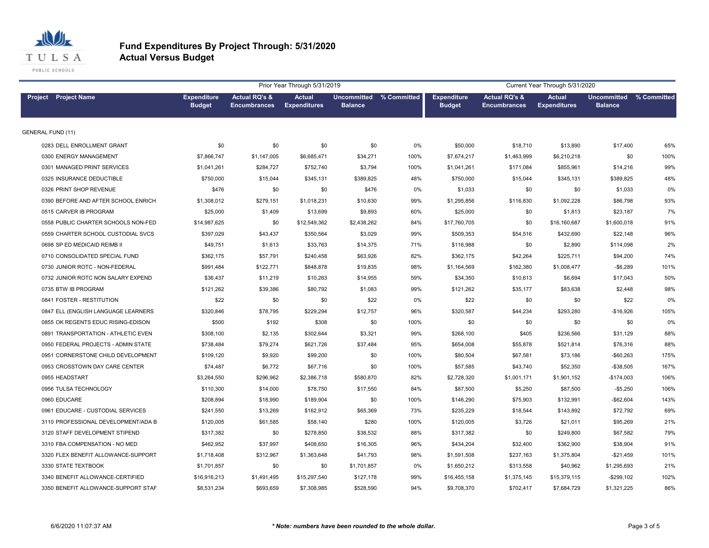

|                                     |                                     |                                                 | Prior Year Through 5/31/2019         |                |                         |                                     |                                                 | Current Year Through 5/31/2020       |                                      |             |
|-------------------------------------|-------------------------------------|-------------------------------------------------|--------------------------------------|----------------|-------------------------|-------------------------------------|-------------------------------------------------|--------------------------------------|--------------------------------------|-------------|
| Project Project Name                | <b>Expenditure</b><br><b>Budget</b> | <b>Actual RQ's &amp;</b><br><b>Encumbrances</b> | <b>Actual</b><br><b>Expenditures</b> | <b>Balance</b> | Uncommitted % Committed | <b>Expenditure</b><br><b>Budget</b> | <b>Actual RQ's &amp;</b><br><b>Encumbrances</b> | <b>Actual</b><br><b>Expenditures</b> | <b>Uncommitted</b><br><b>Balance</b> | % Committed |
| <b>GENERAL FUND (11)</b>            |                                     |                                                 |                                      |                |                         |                                     |                                                 |                                      |                                      |             |
| 0283 DELL ENROLLMENT GRANT          | \$0                                 | \$0                                             | \$0                                  | \$0            | 0%                      | \$50,000                            | \$18,710                                        | \$13,890                             | \$17,400                             | 65%         |
| 0300 ENERGY MANAGEMENT              | \$7,866,747                         | \$1,147,005                                     | \$6,685,471                          | \$34,271       | 100%                    | \$7,674,217                         | \$1,463,999                                     | \$6,210,218                          | \$0                                  | 100%        |
| 0301 MANAGED PRINT SERVICES         | \$1,041,261                         | \$284,727                                       | \$752,740                            | \$3,794        | 100%                    | \$1,041,261                         | \$171,084                                       | \$855,961                            | \$14,216                             | 99%         |
| 0325 INSURANCE DEDUCTIBLE           | \$750,000                           | \$15,044                                        | \$345,131                            | \$389,825      | 48%                     | \$750,000                           | \$15,044                                        | \$345,131                            | \$389,825                            | 48%         |
| 0326 PRINT SHOP REVENUE             | \$476                               | \$0                                             | \$0                                  | \$476          | 0%                      | \$1,033                             | \$0                                             | \$0                                  | \$1,033                              | 0%          |
| 0390 BEFORE AND AFTER SCHOOL ENRICH | \$1,308,012                         | \$279,151                                       | \$1,018,231                          | \$10,630       | 99%                     | \$1,295,856                         | \$116,830                                       | \$1,092,228                          | \$86,798                             | 93%         |
| 0515 CARVER IB PROGRAM              | \$25,000                            | \$1,409                                         | \$13,699                             | \$9,893        | 60%                     | \$25,000                            | \$0                                             | \$1,813                              | \$23,187                             | 7%          |
| 0558 PUBLIC CHARTER SCHOOLS NON-FED | \$14,987,625                        | \$0                                             | \$12,549,362                         | \$2,438,262    | 84%                     | \$17,760,705                        | \$0                                             | \$16,160,687                         | \$1,600,018                          | 91%         |
| 0559 CHARTER SCHOOL CUSTODIAL SVCS  | \$397,029                           | \$43,437                                        | \$350,564                            | \$3,029        | 99%                     | \$509,353                           | \$54,516                                        | \$432,690                            | \$22,148                             | 96%         |
| 0698 SP ED MEDICAID REIMB II        | \$49,751                            | \$1,613                                         | \$33,763                             | \$14,375       | 71%                     | \$116,988                           | \$0                                             | \$2,890                              | \$114,098                            | 2%          |
| 0710 CONSOLIDATED SPECIAL FUND      | \$362,175                           | \$57,791                                        | \$240,458                            | \$63,926       | 82%                     | \$362,175                           | \$42,264                                        | \$225,711                            | \$94,200                             | 74%         |
| 0730 JUNIOR ROTC - NON-FEDERAL      | \$991,484                           | \$122,771                                       | \$848,878                            | \$19,835       | 98%                     | \$1,164,569                         | \$162,380                                       | \$1,008,477                          | $-$6,289$                            | 101%        |
| 0732 JUNIOR ROTC NON SALARY EXPEND  | \$36,437                            | \$11,219                                        | \$10,263                             | \$14,955       | 59%                     | \$34,350                            | \$10,613                                        | \$6,694                              | \$17,043                             | 50%         |
| 0735 BTW IB PROGRAM                 | \$121,262                           | \$39,386                                        | \$80,792                             | \$1,083        | 99%                     | \$121,262                           | \$35,177                                        | \$83,638                             | \$2,448                              | 98%         |
| 0841 FOSTER - RESTITUTION           | \$22                                | \$0                                             | \$0                                  | \$22           | 0%                      | \$22                                | \$0                                             | \$0                                  | \$22                                 | 0%          |
| 0847 ELL (ENGLISH LANGUAGE LEARNERS | \$320,846                           | \$78,795                                        | \$229,294                            | \$12,757       | 96%                     | \$320,587                           | \$44,234                                        | \$293,280                            | $-$16,926$                           | 105%        |
| 0855 OK REGENTS EDUC RISING-EDISON  | \$500                               | \$192                                           | \$308                                | \$0            | 100%                    | \$0                                 | \$0                                             | \$0                                  | \$0                                  | 0%          |
| 0891 TRANSPORTATION - ATHLETIC EVEN | \$308,100                           | \$2,135                                         | \$302,644                            | \$3,321        | 99%                     | \$268,100                           | \$405                                           | \$236,566                            | \$31,129                             | 88%         |
| 0950 FEDERAL PROJECTS - ADMIN STATE | \$738,484                           | \$79,274                                        | \$621,726                            | \$37,484       | 95%                     | \$654,008                           | \$55,878                                        | \$521,814                            | \$76,316                             | 88%         |
| 0951 CORNERSTONE CHILD DEVELOPMENT  | \$109,120                           | \$9,920                                         | \$99,200                             | \$0            | 100%                    | \$80,504                            | \$67,581                                        | \$73,186                             | $-$60,263$                           | 175%        |
| 0953 CROSSTOWN DAY CARE CENTER      | \$74,487                            | \$6,772                                         | \$67,716                             | \$0            | 100%                    | \$57,585                            | \$43,740                                        | \$52,350                             | $-$38,505$                           | 167%        |
| 0955 HEADSTART                      | \$3,264,550                         | \$296,962                                       | \$2,386,718                          | \$580,870      | 82%                     | \$2,728,320                         | \$1,001,171                                     | \$1,901,152                          | $-$174,003$                          | 106%        |
| 0956 TULSA TECHNOLOGY               | \$110,300                           | \$14,000                                        | \$78,750                             | \$17,550       | 84%                     | \$87,500                            | \$5,250                                         | \$87,500                             | $-$5,250$                            | 106%        |
| 0960 EDUCARE                        | \$208,894                           | \$18,990                                        | \$189,904                            | \$0            | 100%                    | \$146,290                           | \$75,903                                        | \$132,991                            | $-$62,604$                           | 143%        |
| 0961 EDUCARE - CUSTODIAL SERVICES   | \$241,550                           | \$13,269                                        | \$162,912                            | \$65,369       | 73%                     | \$235,229                           | \$18,544                                        | \$143,892                            | \$72,792                             | 69%         |
| 3110 PROFESSIONAL DEVELOPMENT/ADA B | \$120,005                           | \$61,585                                        | \$58,140                             | \$280          | 100%                    | \$120,005                           | \$3,726                                         | \$21,011                             | \$95,269                             | 21%         |
| 3120 STAFF DEVELOPMENT STIPEND      | \$317,382                           | \$0                                             | \$278,850                            | \$38,532       | 88%                     | \$317,382                           | \$0                                             | \$249,800                            | \$67,582                             | 79%         |
| 3310 FBA COMPENSATION - NO MED      | \$462,952                           | \$37,997                                        | \$408,650                            | \$16,305       | 96%                     | \$434,204                           | \$32,400                                        | \$362,900                            | \$38,904                             | 91%         |
| 3320 FLEX BENEFIT ALLOWANCE-SUPPORT | \$1,718,408                         | \$312,967                                       | \$1,363,648                          | \$41,793       | 98%                     | \$1,591,508                         | \$237,163                                       | \$1,375,804                          | $-$21,459$                           | 101%        |
| 3330 STATE TEXTBOOK                 | \$1,701,857                         | \$0                                             | \$0                                  | \$1,701,857    | 0%                      | \$1,650,212                         | \$313,558                                       | \$40,962                             | \$1,295,693                          | 21%         |
| 3340 BENEFIT ALLOWANCE-CERTIFIED    | \$16,916,213                        | \$1,491,495                                     | \$15,297,540                         | \$127,178      | 99%                     | \$16,455,158                        | \$1,375,145                                     | \$15,379,115                         | $-$299,102$                          | 102%        |
| 3350 BENEFIT ALLOWANCE-SUPPORT STAF | \$8,531,234                         | \$693,659                                       | \$7,308,985                          | \$528,590      | 94%                     | \$9,708,370                         | \$702,417                                       | \$7,684,729                          | \$1,321,225                          | 86%         |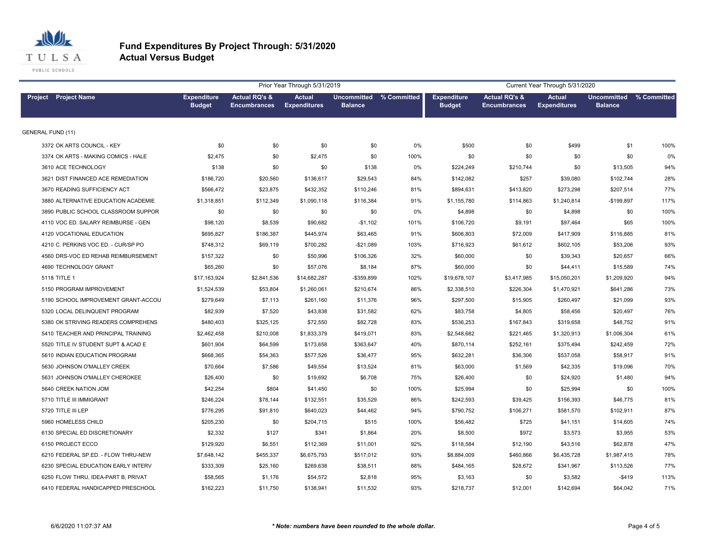

|                                     |                                     |                                                 | Prior Year Through 5/31/2019         |                                      |             |                                     |                                                 | Current Year Through 5/31/2020       |                                      |             |
|-------------------------------------|-------------------------------------|-------------------------------------------------|--------------------------------------|--------------------------------------|-------------|-------------------------------------|-------------------------------------------------|--------------------------------------|--------------------------------------|-------------|
| Project Project Name                | <b>Expenditure</b><br><b>Budget</b> | <b>Actual RQ's &amp;</b><br><b>Encumbrances</b> | <b>Actual</b><br><b>Expenditures</b> | <b>Uncommitted</b><br><b>Balance</b> | % Committed | <b>Expenditure</b><br><b>Budget</b> | <b>Actual RQ's &amp;</b><br><b>Encumbrances</b> | <b>Actual</b><br><b>Expenditures</b> | <b>Uncommitted</b><br><b>Balance</b> | % Committed |
| <b>GENERAL FUND (11)</b>            |                                     |                                                 |                                      |                                      |             |                                     |                                                 |                                      |                                      |             |
| 3372 OK ARTS COUNCIL - KEY          | \$0                                 | \$0                                             | \$0                                  | \$0                                  | 0%          | \$500                               | \$0                                             | \$499                                | \$1                                  | 100%        |
| 3374 OK ARTS - MAKING COMICS - HALE | \$2,475                             | \$0                                             | \$2,475                              | \$0                                  | 100%        | \$0                                 | \$0                                             | \$0                                  | \$0                                  | 0%          |
| 3610 ACE TECHNOLOGY                 | \$138                               | \$0                                             | \$0                                  | \$138                                | 0%          | \$224,249                           | \$210,744                                       | \$0                                  | \$13,505                             | 94%         |
| 3621 DIST FINANCED ACE REMEDIATION  | \$186,720                           | \$20,560                                        | \$136,617                            | \$29,543                             | 84%         | \$142,082                           | \$257                                           | \$39,080                             | \$102,744                            | 28%         |
| 3670 READING SUFFICIENCY ACT        | \$566,472                           | \$23,875                                        | \$432,352                            | \$110,246                            | 81%         | \$894,631                           | \$413,820                                       | \$273,298                            | \$207,514                            | 77%         |
| 3880 ALTERNATIVE EDUCATION ACADEMIE | \$1,318,851                         | \$112,349                                       | \$1,090,118                          | \$116,384                            | 91%         | \$1,155,780                         | \$114,863                                       | \$1,240,814                          | $-$199,897$                          | 117%        |
| 3890 PUBLIC SCHOOL CLASSROOM SUPPOR | \$0                                 | \$0                                             | \$0                                  | \$0                                  | 0%          | \$4,898                             | \$0                                             | \$4,898                              | \$0                                  | 100%        |
| 4110 VOC ED. SALARY REIMBURSE - GEN | \$98,120                            | \$8,539                                         | \$90,682                             | $-$1,102$                            | 101%        | \$106,720                           | \$9,191                                         | \$97,464                             | \$65                                 | 100%        |
| 4120 VOCATIONAL EDUCATION           | \$695,827                           | \$186,387                                       | \$445,974                            | \$63,465                             | 91%         | \$606,803                           | \$72,009                                        | \$417,909                            | \$116,885                            | 81%         |
| 4210 C. PERKINS VOC ED. - CUR/SP PO | \$748,312                           | \$69,119                                        | \$700,282                            | $-$21,089$                           | 103%        | \$716,923                           | \$61,612                                        | \$602,105                            | \$53,206                             | 93%         |
| 4560 DRS-VOC ED REHAB REIMBURSEMENT | \$157,322                           | \$0                                             | \$50,996                             | \$106,326                            | 32%         | \$60,000                            | \$0                                             | \$39,343                             | \$20,657                             | 66%         |
| 4690 TECHNOLOGY GRANT               | \$65,260                            | \$0                                             | \$57,076                             | \$8,184                              | 87%         | \$60,000                            | \$0                                             | \$44,411                             | \$15,589                             | 74%         |
| 5118 TITLE 1                        | \$17,163,924                        | \$2,841,536                                     | \$14,682,287                         | -\$359,899                           | 102%        | \$19,678,107                        | \$3,417,985                                     | \$15,050,201                         | \$1,209,920                          | 94%         |
| 5150 PROGRAM IMPROVEMENT            | \$1,524,539                         | \$53,804                                        | \$1,260,061                          | \$210,674                            | 86%         | \$2,338,510                         | \$226,304                                       | \$1,470,921                          | \$641,286                            | 73%         |
| 5190 SCHOOL IMPROVEMENT GRANT-ACCOU | \$279,649                           | \$7,113                                         | \$261,160                            | \$11,376                             | 96%         | \$297,500                           | \$15,905                                        | \$260,497                            | \$21,099                             | 93%         |
| 5320 LOCAL DELINQUENT PROGRAM       | \$82,939                            | \$7,520                                         | \$43,838                             | \$31,582                             | 62%         | \$83,758                            | \$4,805                                         | \$58,456                             | \$20,497                             | 76%         |
| 5380 OK STRIVING READERS COMPREHENS | \$480,403                           | \$325,125                                       | \$72,550                             | \$82,728                             | 83%         | \$536,253                           | \$167,843                                       | \$319,658                            | \$48,752                             | 91%         |
| 5410 TEACHER AND PRINCIPAL TRAINING | \$2,462,458                         | \$210,008                                       | \$1,833,379                          | \$419,071                            | 83%         | \$2,548,682                         | \$221,465                                       | \$1,320,913                          | \$1,006,304                          | 61%         |
| 5520 TITLE IV STUDENT SUPT & ACAD E | \$601,904                           | \$64,599                                        | \$173,658                            | \$363,647                            | 40%         | \$870,114                           | \$252,161                                       | \$375,494                            | \$242,459                            | 72%         |
| 5610 INDIAN EDUCATION PROGRAM       | \$668,365                           | \$54,363                                        | \$577,526                            | \$36,477                             | 95%         | \$632,281                           | \$36,306                                        | \$537,058                            | \$58,917                             | 91%         |
| 5630 JOHNSON O'MALLEY CREEK         | \$70,664                            | \$7,586                                         | \$49,554                             | \$13,524                             | 81%         | \$63,000                            | \$1,569                                         | \$42,335                             | \$19,096                             | 70%         |
| 5631 JOHNSON O'MALLEY CHEROKEE      | \$26,400                            | \$0                                             | \$19,692                             | \$6,708                              | 75%         | \$26,400                            | \$0                                             | \$24,920                             | \$1,480                              | 94%         |
| 5640 CREEK NATION JOM               | \$42,254                            | \$804                                           | \$41,450                             | \$0                                  | 100%        | \$25,994                            | \$0                                             | \$25,994                             | \$0                                  | 100%        |
| 5710 TITLE III IMMIGRANT            | \$246,224                           | \$78,144                                        | \$132,551                            | \$35,529                             | 86%         | \$242,593                           | \$39,425                                        | \$156,393                            | \$46,775                             | 81%         |
| 5720 TITLE III LEP                  | \$776,295                           | \$91,810                                        | \$640,023                            | \$44,462                             | 94%         | \$790,752                           | \$106,271                                       | \$581,570                            | \$102,911                            | 87%         |
| 5960 HOMELESS CHILD                 | \$205,230                           | \$0                                             | \$204,715                            | \$515                                | 100%        | \$56,482                            | \$725                                           | \$41,151                             | \$14,605                             | 74%         |
| 6130 SPECIAL ED DISCRETIONARY       | \$2,332                             | \$127                                           | \$341                                | \$1,864                              | 20%         | \$8,500                             | \$972                                           | \$3,573                              | \$3,955                              | 53%         |
| 6150 PROJECT ECCO                   | \$129,920                           | \$6,551                                         | \$112,369                            | \$11,001                             | 92%         | \$118,584                           | \$12,190                                        | \$43,516                             | \$62,878                             | 47%         |
| 6210 FEDERAL SP.ED. - FLOW THRU-NEW | \$7,648,142                         | \$455,337                                       | \$6,675,793                          | \$517,012                            | 93%         | \$8,884,009                         | \$460,866                                       | \$6,435,728                          | \$1,987,415                          | 78%         |
| 6230 SPECIAL EDUCATION EARLY INTERV | \$333,309                           | \$25,160                                        | \$269,638                            | \$38,511                             | 88%         | \$484,165                           | \$28,672                                        | \$341,967                            | \$113,526                            | 77%         |
| 6250 FLOW THRU, IDEA-PART B, PRIVAT | \$58,565                            | \$1,176                                         | \$54,572                             | \$2,818                              | 95%         | \$3,163                             | \$0                                             | \$3,582                              | $-$419$                              | 113%        |
| 6410 FEDERAL HANDICAPPED PRESCHOOL  | \$162,223                           | \$11.750                                        | \$138,941                            | \$11,532                             | 93%         | \$218.737                           | \$12.001                                        | \$142.694                            | \$64.042                             | 71%         |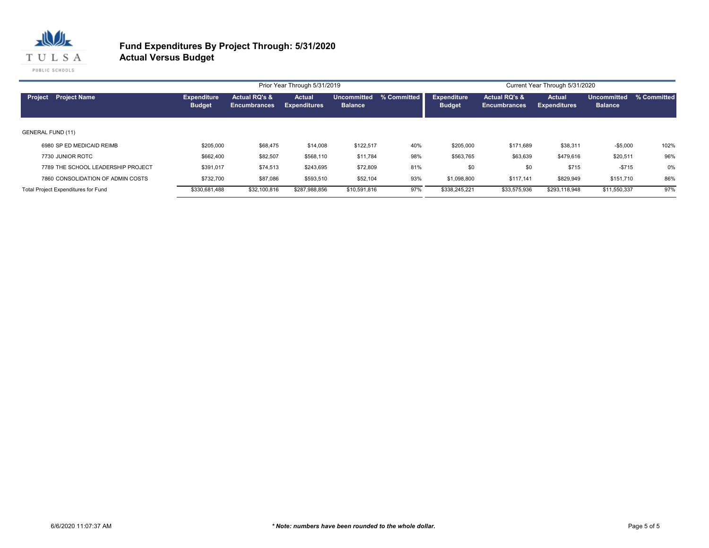

|                          |                                     |                                     |                                                 | Prior Year Through 5/31/2019         |                               |             |                                     |                                      | Current Year Through 5/31/2020       |                               |             |
|--------------------------|-------------------------------------|-------------------------------------|-------------------------------------------------|--------------------------------------|-------------------------------|-------------|-------------------------------------|--------------------------------------|--------------------------------------|-------------------------------|-------------|
| Project                  | <b>Project Name</b>                 | <b>Expenditure</b><br><b>Budget</b> | <b>Actual RQ's &amp;</b><br><b>Encumbrances</b> | <b>Actual</b><br><b>Expenditures</b> | Uncommitted<br><b>Balance</b> | % Committed | <b>Expenditure</b><br><b>Budget</b> | Actual RQ's &<br><b>Encumbrances</b> | <b>Actual</b><br><b>Expenditures</b> | Uncommitted<br><b>Balance</b> | % Committed |
| <b>GENERAL FUND (11)</b> |                                     |                                     |                                                 |                                      |                               |             |                                     |                                      |                                      |                               |             |
|                          | 6980 SP ED MEDICAID REIMB           | \$205,000                           | \$68,475                                        | \$14,008                             | \$122,517                     | 40%         | \$205,000                           | \$171,689                            | \$38,311                             | $-$5,000$                     | 102%        |
|                          | 7730 JUNIOR ROTC                    | \$662,400                           | \$82,507                                        | \$568,110                            | \$11,784                      | 98%         | \$563,765                           | \$63,639                             | \$479,616                            | \$20,511                      | 96%         |
|                          | 7789 THE SCHOOL LEADERSHIP PROJECT  | \$391.017                           | \$74,513                                        | \$243,695                            | \$72,809                      | 81%         | \$0                                 | \$0                                  | \$715                                | $-$715$                       | 0%          |
|                          | 7860 CONSOLIDATION OF ADMIN COSTS   | \$732,700                           | \$87,086                                        | \$593,510                            | \$52,104                      | 93%         | \$1,098,800                         | \$117.141                            | \$829,949                            | \$151,710                     | 86%         |
|                          | Total Project Expenditures for Fund | \$330,681,488                       | \$32,100,816                                    | \$287,988,856                        | \$10,591,816                  | 97%         | \$338,245,221                       | \$33,575,936                         | \$293,118,948                        | \$11,550,337                  | 97%         |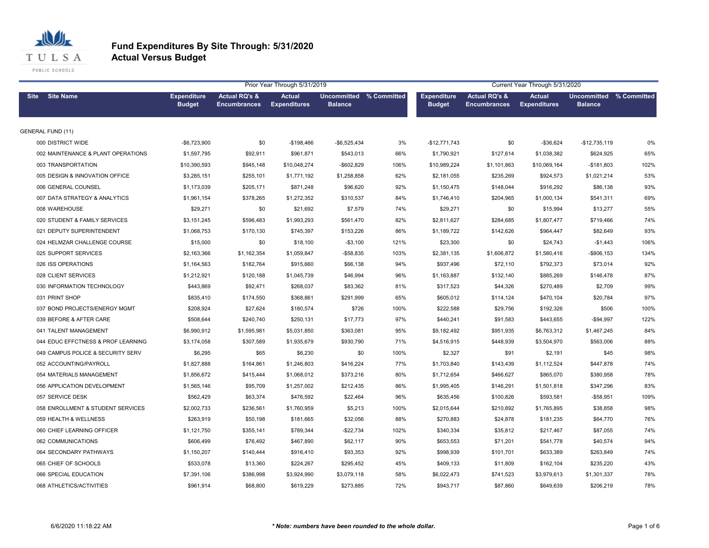

| Prior Year Through 5/31/2019       |                                     |                                                 |                                      |                                                  |      | Current Year Through 5/31/2020      |                                                 |                                      |                                           |      |  |  |
|------------------------------------|-------------------------------------|-------------------------------------------------|--------------------------------------|--------------------------------------------------|------|-------------------------------------|-------------------------------------------------|--------------------------------------|-------------------------------------------|------|--|--|
| <b>Site Name</b><br><b>Site</b>    | <b>Expenditure</b><br><b>Budget</b> | <b>Actual RQ's &amp;</b><br><b>Encumbrances</b> | <b>Actual</b><br><b>Expenditures</b> | <b>Uncommitted % Committed</b><br><b>Balance</b> |      | <b>Expenditure</b><br><b>Budget</b> | <b>Actual RQ's &amp;</b><br><b>Encumbrances</b> | <b>Actual</b><br><b>Expenditures</b> | Uncommitted % Committed<br><b>Balance</b> |      |  |  |
| <b>GENERAL FUND (11)</b>           |                                     |                                                 |                                      |                                                  |      |                                     |                                                 |                                      |                                           |      |  |  |
| 000 DISTRICT WIDE                  | -\$6,723,900                        | \$0                                             | $-$198,466$                          | $-$6,525,434$                                    | 3%   | $-$12,771,743$                      | \$0                                             | $-$36,624$                           | $-$12,735,119$                            | 0%   |  |  |
| 002 MAINTENANCE & PLANT OPERATIONS | \$1,597,795                         | \$92,911                                        | \$961,871                            | \$543,013                                        | 66%  | \$1,790,921                         | \$127,614                                       | \$1,038,382                          | \$624,925                                 | 65%  |  |  |
| 003 TRANSPORTATION                 | \$10,390,593                        | \$945,148                                       | \$10,048,274                         | $-$602,829$                                      | 106% | \$10,989,224                        | \$1,101,863                                     | \$10,069,164                         | $-$181,803$                               | 102% |  |  |
| 005 DESIGN & INNOVATION OFFICE     | \$3,285,151                         | \$255,101                                       | \$1,771,192                          | \$1,258,858                                      | 62%  | \$2,181,055                         | \$235,269                                       | \$924,573                            | \$1,021,214                               | 53%  |  |  |
| 006 GENERAL COUNSEL                | \$1,173,039                         | \$205,171                                       | \$871,248                            | \$96,620                                         | 92%  | \$1,150,475                         | \$148,044                                       | \$916,292                            | \$86,138                                  | 93%  |  |  |
| 007 DATA STRATEGY & ANALYTICS      | \$1,961,154                         | \$378,265                                       | \$1,272,352                          | \$310,537                                        | 84%  | \$1,746,410                         | \$204,965                                       | \$1,000,134                          | \$541,311                                 | 69%  |  |  |
| 008 WAREHOUSE                      | \$29,271                            | \$0                                             | \$21,692                             | \$7,579                                          | 74%  | \$29,271                            | \$0                                             | \$15,994                             | \$13,277                                  | 55%  |  |  |
| 020 STUDENT & FAMILY SERVICES      | \$3,151,245                         | \$596,483                                       | \$1,993,293                          | \$561,470                                        | 82%  | \$2,811,627                         | \$284,685                                       | \$1,807,477                          | \$719,466                                 | 74%  |  |  |
| 021 DEPUTY SUPERINTENDENT          | \$1,068,753                         | \$170,130                                       | \$745,397                            | \$153,226                                        | 86%  | \$1,189,722                         | \$142,626                                       | \$964,447                            | \$82,649                                  | 93%  |  |  |
| 024 HELMZAR CHALLENGE COURSE       | \$15,000                            | \$0                                             | \$18,100                             | $- $3,100$                                       | 121% | \$23,300                            | \$0                                             | \$24,743                             | $-$1,443$                                 | 106% |  |  |
| 025 SUPPORT SERVICES               | \$2,163,366                         | \$1,162,354                                     | \$1,059,847                          | $-$58,835$                                       | 103% | \$2,381,135                         | \$1,606,872                                     | \$1,580,416                          | -\$806,153                                | 134% |  |  |
| 026 ISS OPERATIONS                 | \$1,164,563                         | \$182,764                                       | \$915,660                            | \$66,138                                         | 94%  | \$937,496                           | \$72,110                                        | \$792,373                            | \$73,014                                  | 92%  |  |  |
| 028 CLIENT SERVICES                | \$1,212,921                         | \$120,188                                       | \$1,045,739                          | \$46,994                                         | 96%  | \$1,163,887                         | \$132,140                                       | \$885,269                            | \$146,478                                 | 87%  |  |  |
| 030 INFORMATION TECHNOLOGY         | \$443,869                           | \$92,471                                        | \$268,037                            | \$83,362                                         | 81%  | \$317,523                           | \$44,326                                        | \$270,489                            | \$2,709                                   | 99%  |  |  |
| 031 PRINT SHOP                     | \$835,410                           | \$174,550                                       | \$368,861                            | \$291,999                                        | 65%  | \$605,012                           | \$114,124                                       | \$470,104                            | \$20,784                                  | 97%  |  |  |
| 037 BOND PROJECTS/ENERGY MGMT      | \$208,924                           | \$27,624                                        | \$180,574                            | \$726                                            | 100% | \$222,588                           | \$29,756                                        | \$192,326                            | \$506                                     | 100% |  |  |
| 039 BEFORE & AFTER CARE            | \$508,644                           | \$240,740                                       | \$250,131                            | \$17,773                                         | 97%  | \$440,241                           | \$91,583                                        | \$443,655                            | $-$94,997$                                | 122% |  |  |
| 041 TALENT MANAGEMENT              | \$6,990,912                         | \$1,595,981                                     | \$5,031,850                          | \$363,081                                        | 95%  | \$9,182,492                         | \$951,935                                       | \$6,763,312                          | \$1,467,245                               | 84%  |  |  |
| 044 EDUC EFFCTNESS & PROF LEARNING | \$3,174,058                         | \$307,589                                       | \$1,935,679                          | \$930,790                                        | 71%  | \$4,516,915                         | \$448,939                                       | \$3,504,970                          | \$563,006                                 | 88%  |  |  |
| 049 CAMPUS POLICE & SECURITY SERV  | \$6,295                             | \$65                                            | \$6,230                              | \$0                                              | 100% | \$2,327                             | \$91                                            | \$2,191                              | \$45                                      | 98%  |  |  |
| 052 ACCOUNTING/PAYROLL             | \$1,827,888                         | \$164,861                                       | \$1,246,803                          | \$416,224                                        | 77%  | \$1,703,840                         | \$143,439                                       | \$1,112,524                          | \$447,878                                 | 74%  |  |  |
| 054 MATERIALS MANAGEMENT           | \$1,856,672                         | \$415,444                                       | \$1,068,012                          | \$373,216                                        | 80%  | \$1,712,654                         | \$466,627                                       | \$865,070                            | \$380,958                                 | 78%  |  |  |
| 056 APPLICATION DEVELOPMENT        | \$1,565,146                         | \$95,709                                        | \$1,257,002                          | \$212,435                                        | 86%  | \$1,995,405                         | \$146,291                                       | \$1,501,818                          | \$347,296                                 | 83%  |  |  |
| 057 SERVICE DESK                   | \$562,429                           | \$63,374                                        | \$476,592                            | \$22,464                                         | 96%  | \$635,456                           | \$100,826                                       | \$593,581                            | $-$58,951$                                | 109% |  |  |
| 058 ENROLLMENT & STUDENT SERVICES  | \$2,002,733                         | \$236,561                                       | \$1,760,959                          | \$5,213                                          | 100% | \$2,015,644                         | \$210,892                                       | \$1,765,895                          | \$38,858                                  | 98%  |  |  |
| 059 HEALTH & WELLNESS              | \$263,919                           | \$50,198                                        | \$181,665                            | \$32,056                                         | 88%  | \$270,883                           | \$24,878                                        | \$181,235                            | \$64,770                                  | 76%  |  |  |
| 060 CHIEF LEARNING OFFICER         | \$1,121,750                         | \$355,141                                       | \$789,344                            | $-$22,734$                                       | 102% | \$340,334                           | \$35,812                                        | \$217,467                            | \$87,055                                  | 74%  |  |  |
| 062 COMMUNICATIONS                 | \$606,499                           | \$76,492                                        | \$467,890                            | \$62,117                                         | 90%  | \$653,553                           | \$71,201                                        | \$541,778                            | \$40,574                                  | 94%  |  |  |
| 064 SECONDARY PATHWAYS             | \$1,150,207                         | \$140,444                                       | \$916,410                            | \$93,353                                         | 92%  | \$998,939                           | \$101,701                                       | \$633,389                            | \$263,849                                 | 74%  |  |  |
| 065 CHIEF OF SCHOOLS               | \$533,078                           | \$13,360                                        | \$224,267                            | \$295,452                                        | 45%  | \$409,133                           | \$11,809                                        | \$162,104                            | \$235,220                                 | 43%  |  |  |
| 066 SPECIAL EDUCATION              | \$7,391,106                         | \$386,998                                       | \$3,924,990                          | \$3,079,118                                      | 58%  | \$6,022,473                         | \$741,523                                       | \$3,979,613                          | \$1,301,337                               | 78%  |  |  |
| 068 ATHLETICS/ACTIVITIES           | \$961,914                           | \$68,800                                        | \$619,229                            | \$273,885                                        | 72%  | \$943,717                           | \$87,860                                        | \$649,639                            | \$206,219                                 | 78%  |  |  |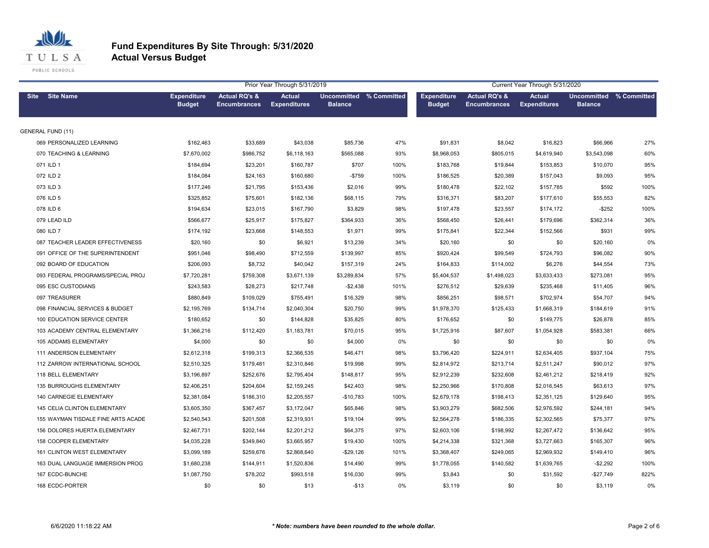

|                                    | Current Year Through 5/31/2020      |                                                 |                                      |                                           |      |                                     |                                      |                                      |                                                  |      |
|------------------------------------|-------------------------------------|-------------------------------------------------|--------------------------------------|-------------------------------------------|------|-------------------------------------|--------------------------------------|--------------------------------------|--------------------------------------------------|------|
| <b>Site</b><br><b>Site Name</b>    | <b>Expenditure</b><br><b>Budget</b> | <b>Actual RQ's &amp;</b><br><b>Encumbrances</b> | <b>Actual</b><br><b>Expenditures</b> | Uncommitted % Committed<br><b>Balance</b> |      | <b>Expenditure</b><br><b>Budget</b> | Actual RQ's &<br><b>Encumbrances</b> | <b>Actual</b><br><b>Expenditures</b> | <b>Uncommitted % Committed</b><br><b>Balance</b> |      |
| <b>GENERAL FUND (11)</b>           |                                     |                                                 |                                      |                                           |      |                                     |                                      |                                      |                                                  |      |
| 069 PERSONALIZED LEARNING          | \$162,463                           | \$33,689                                        | \$43,038                             | \$85,736                                  | 47%  | \$91,831                            | \$8,042                              | \$16,823                             | \$66,966                                         | 27%  |
| 070 TEACHING & LEARNING            | \$7,670,002                         | \$986,752                                       | \$6,118,163                          | \$565,088                                 | 93%  | \$8,968,053                         | \$805,015                            | \$4,619,940                          | \$3,543,098                                      | 60%  |
| 071 ILD 1                          | \$184,694                           | \$23,201                                        | \$160,787                            | \$707                                     | 100% | \$183,768                           | \$19,844                             | \$153,853                            | \$10,070                                         | 95%  |
| 072 ILD 2                          | \$184,084                           | \$24,163                                        | \$160,680                            | $-$759$                                   | 100% | \$186,525                           | \$20,389                             | \$157,043                            | \$9,093                                          | 95%  |
| 073 ILD 3                          | \$177,246                           | \$21,795                                        | \$153,436                            | \$2,016                                   | 99%  | \$180,478                           | \$22,102                             | \$157,785                            | \$592                                            | 100% |
| 076 ILD 5                          | \$325,852                           | \$75,601                                        | \$182,136                            | \$68,115                                  | 79%  | \$316,371                           | \$83,207                             | \$177,610                            | \$55,553                                         | 82%  |
| 078 ILD 6                          | \$194,634                           | \$23,015                                        | \$167,790                            | \$3,829                                   | 98%  | \$197,478                           | \$23,557                             | \$174,172                            | $-$ \$252                                        | 100% |
| 079 LEAD ILD                       | \$566,677                           | \$25,917                                        | \$175,827                            | \$364,933                                 | 36%  | \$568,450                           | \$26,441                             | \$179,696                            | \$362,314                                        | 36%  |
| 080 ILD 7                          | \$174,192                           | \$23,668                                        | \$148,553                            | \$1,971                                   | 99%  | \$175,841                           | \$22,344                             | \$152,566                            | \$931                                            | 99%  |
| 087 TEACHER LEADER EFFECTIVENESS   | \$20,160                            | \$0                                             | \$6,921                              | \$13,239                                  | 34%  | \$20,160                            | \$0                                  | \$0                                  | \$20,160                                         | 0%   |
| 091 OFFICE OF THE SUPERINTENDENT   | \$951,046                           | \$98,490                                        | \$712,559                            | \$139,997                                 | 85%  | \$920,424                           | \$99,549                             | \$724,793                            | \$96,082                                         | 90%  |
| 092 BOARD OF EDUCATION             | \$206,093                           | \$8,732                                         | \$40,042                             | \$157,319                                 | 24%  | \$164,833                           | \$114,002                            | \$6,276                              | \$44,554                                         | 73%  |
| 093 FEDERAL PROGRAMS/SPECIAL PROJ  | \$7,720,281                         | \$759,308                                       | \$3,671,139                          | \$3,289,834                               | 57%  | \$5,404,537                         | \$1,498,023                          | \$3,633,433                          | \$273,081                                        | 95%  |
| 095 ESC CUSTODIANS                 | \$243,583                           | \$28,273                                        | \$217,748                            | $-$2,438$                                 | 101% | \$276,512                           | \$29,639                             | \$235,468                            | \$11,405                                         | 96%  |
| 097 TREASURER                      | \$880,849                           | \$109,029                                       | \$755,491                            | \$16,329                                  | 98%  | \$856,251                           | \$98,571                             | \$702,974                            | \$54,707                                         | 94%  |
| 098 FINANCIAL SERVICES & BUDGET    | \$2,195,769                         | \$134,714                                       | \$2,040,304                          | \$20,750                                  | 99%  | \$1,978,370                         | \$125,433                            | \$1,668,319                          | \$184,619                                        | 91%  |
| 100 EDUCATION SERVICE CENTER       | \$180,652                           | \$0                                             | \$144,828                            | \$35,825                                  | 80%  | \$176,652                           | \$0                                  | \$149,775                            | \$26,878                                         | 85%  |
| 103 ACADEMY CENTRAL ELEMENTARY     | \$1,366,216                         | \$112,420                                       | \$1,183,781                          | \$70,015                                  | 95%  | \$1,725,916                         | \$87,607                             | \$1,054,928                          | \$583,381                                        | 66%  |
| 105 ADDAMS ELEMENTARY              | \$4,000                             | \$0                                             | \$0                                  | \$4,000                                   | 0%   | \$0                                 | \$0                                  | \$0                                  | \$0                                              | 0%   |
| 111 ANDERSON ELEMENTARY            | \$2,612,318                         | \$199,313                                       | \$2,366,535                          | \$46,471                                  | 98%  | \$3,796,420                         | \$224,911                            | \$2,634,405                          | \$937,104                                        | 75%  |
| 112 ZARROW INTERNATIONAL SCHOOL    | \$2,510,325                         | \$179,481                                       | \$2,310,846                          | \$19,998                                  | 99%  | \$2,814,972                         | \$213,714                            | \$2,511,247                          | \$90,012                                         | 97%  |
| 118 BELL ELEMENTARY                | \$3,196,897                         | \$252,676                                       | \$2,795,404                          | \$148,817                                 | 95%  | \$2,912,239                         | \$232,608                            | \$2,461,212                          | \$218,419                                        | 92%  |
| <b>135 BURROUGHS ELEMENTARY</b>    | \$2,406,251                         | \$204,604                                       | \$2,159,245                          | \$42,403                                  | 98%  | \$2,250,966                         | \$170,808                            | \$2,016,545                          | \$63,613                                         | 97%  |
| <b>140 CARNEGIE ELEMENTARY</b>     | \$2,381,084                         | \$186,310                                       | \$2,205,557                          | $-$10,783$                                | 100% | \$2,679,178                         | \$198,413                            | \$2,351,125                          | \$129,640                                        | 95%  |
| 145 CELIA CLINTON ELEMENTARY       | \$3,605,350                         | \$367,457                                       | \$3,172,047                          | \$65,846                                  | 98%  | \$3,903,279                         | \$682,506                            | \$2,976,592                          | \$244,181                                        | 94%  |
| 155 WAYMAN TISDALE FINE ARTS ACADE | \$2,540,543                         | \$201,508                                       | \$2,319,931                          | \$19,104                                  | 99%  | \$2,564,278                         | \$186,335                            | \$2,302,565                          | \$75,377                                         | 97%  |
| 156 DOLORES HUERTA ELEMENTARY      | \$2,467,731                         | \$202,144                                       | \$2,201,212                          | \$64,375                                  | 97%  | \$2,603,106                         | \$198,992                            | \$2,267,472                          | \$136,642                                        | 95%  |
| 158 COOPER ELEMENTARY              | \$4,035,228                         | \$349,840                                       | \$3,665,957                          | \$19,430                                  | 100% | \$4,214,338                         | \$321,368                            | \$3,727,663                          | \$165,307                                        | 96%  |
| 161 CLINTON WEST ELEMENTARY        | \$3,099,189                         | \$259,676                                       | \$2,868,640                          | $-$29,126$                                | 101% | \$3,368,407                         | \$249,065                            | \$2,969,932                          | \$149,410                                        | 96%  |
| 163 DUAL LANGUAGE IMMERSION PROG   | \$1,680,238                         | \$144,911                                       | \$1,520,836                          | \$14,490                                  | 99%  | \$1,778,055                         | \$140,582                            | \$1,639,765                          | $-$2,292$                                        | 100% |
| 167 ECDC-BUNCHE                    | \$1,087,750                         | \$78,202                                        | \$993,518                            | \$16,030                                  | 99%  | \$3,843                             | \$0                                  | \$31,592                             | $-$27,749$                                       | 822% |
| 168 ECDC-PORTER                    | \$0                                 | \$0                                             | \$13                                 | $-$13$                                    | 0%   | \$3,119                             | \$0                                  | \$0                                  | \$3,119                                          | 0%   |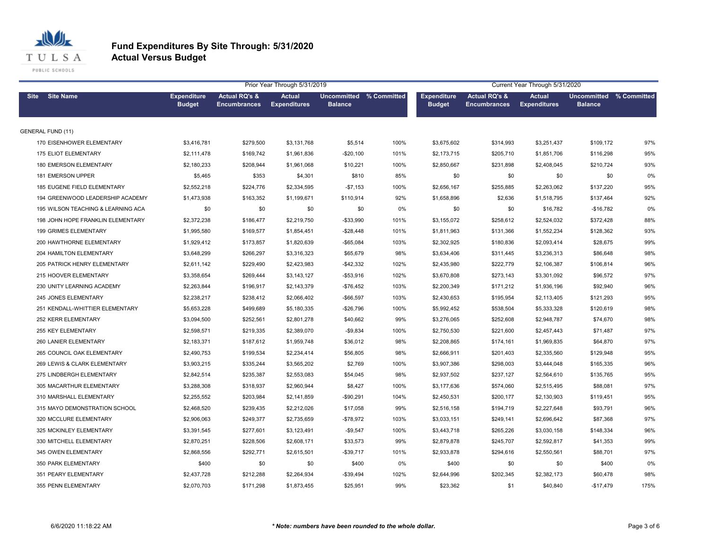

| Prior Year Through 5/31/2019       |                                     |                                                 |                                      |                                           |      |                                     | Current Year Through 5/31/2020                  |                                      |                                           |      |  |
|------------------------------------|-------------------------------------|-------------------------------------------------|--------------------------------------|-------------------------------------------|------|-------------------------------------|-------------------------------------------------|--------------------------------------|-------------------------------------------|------|--|
| Site Site Name                     | <b>Expenditure</b><br><b>Budget</b> | <b>Actual RQ's &amp;</b><br><b>Encumbrances</b> | <b>Actual</b><br><b>Expenditures</b> | Uncommitted % Committed<br><b>Balance</b> |      | <b>Expenditure</b><br><b>Budget</b> | <b>Actual RQ's &amp;</b><br><b>Encumbrances</b> | <b>Actual</b><br><b>Expenditures</b> | Uncommitted % Committed<br><b>Balance</b> |      |  |
| <b>GENERAL FUND (11)</b>           |                                     |                                                 |                                      |                                           |      |                                     |                                                 |                                      |                                           |      |  |
| 170 EISENHOWER ELEMENTARY          | \$3,416,781                         | \$279,500                                       | \$3,131,768                          | \$5,514                                   | 100% | \$3,675,602                         | \$314,993                                       | \$3,251,437                          | \$109,172                                 | 97%  |  |
| 175 ELIOT ELEMENTARY               | \$2,111,478                         | \$169,742                                       | \$1,961,836                          | $-$20,100$                                | 101% | \$2,173,715                         | \$205,710                                       | \$1,851,706                          | \$116,298                                 | 95%  |  |
| 180 EMERSON ELEMENTARY             | \$2,180,233                         | \$208,944                                       | \$1,961,068                          | \$10,221                                  | 100% | \$2,850,667                         | \$231,898                                       | \$2,408,045                          | \$210,724                                 | 93%  |  |
| 181 EMERSON UPPER                  | \$5,465                             | \$353                                           | \$4,301                              | \$810                                     | 85%  | \$0                                 | \$0                                             | \$0                                  | \$0                                       | 0%   |  |
| 185 EUGENE FIELD ELEMENTARY        | \$2,552,218                         | \$224,776                                       | \$2,334,595                          | $-$7,153$                                 | 100% | \$2,656,167                         | \$255,885                                       | \$2,263,062                          | \$137,220                                 | 95%  |  |
| 194 GREENWOOD LEADERSHIP ACADEMY   | \$1,473,938                         | \$163,352                                       | \$1,199,671                          | \$110,914                                 | 92%  | \$1,658,896                         | \$2,636                                         | \$1,518,795                          | \$137,464                                 | 92%  |  |
| 195 WILSON TEACHING & LEARNING ACA | \$0                                 | \$0                                             | \$0                                  | \$0                                       | 0%   | \$0                                 | \$0                                             | \$16,782                             | $-$16,782$                                | 0%   |  |
| 198 JOHN HOPE FRANKLIN ELEMENTARY  | \$2,372,238                         | \$186,477                                       | \$2,219,750                          | -\$33,990                                 | 101% | \$3,155,072                         | \$258,612                                       | \$2,524,032                          | \$372,428                                 | 88%  |  |
| 199 GRIMES ELEMENTARY              | \$1,995,580                         | \$169,577                                       | \$1,854,451                          | $-$28,448$                                | 101% | \$1,811,963                         | \$131,366                                       | \$1,552,234                          | \$128,362                                 | 93%  |  |
| 200 HAWTHORNE ELEMENTARY           | \$1,929,412                         | \$173,857                                       | \$1,820,639                          | $-$65,084$                                | 103% | \$2,302,925                         | \$180,836                                       | \$2,093,414                          | \$28,675                                  | 99%  |  |
| 204 HAMILTON ELEMENTARY            | \$3,648,299                         | \$266,297                                       | \$3,316,323                          | \$65,679                                  | 98%  | \$3,634,406                         | \$311,445                                       | \$3,236,313                          | \$86,648                                  | 98%  |  |
| 205 PATRICK HENRY ELEMENTARY       | \$2,611,142                         | \$229,490                                       | \$2,423,983                          | $-$42,332$                                | 102% | \$2,435,980                         | \$222,779                                       | \$2,106,387                          | \$106,814                                 | 96%  |  |
| 215 HOOVER ELEMENTARY              | \$3,358,654                         | \$269,444                                       | \$3,143,127                          | -\$53,916                                 | 102% | \$3,670,808                         | \$273,143                                       | \$3,301,092                          | \$96,572                                  | 97%  |  |
| 230 UNITY LEARNING ACADEMY         | \$2,263,844                         | \$196,917                                       | \$2,143,379                          | -\$76,452                                 | 103% | \$2,200,349                         | \$171,212                                       | \$1,936,196                          | \$92,940                                  | 96%  |  |
| 245 JONES ELEMENTARY               | \$2,238,217                         | \$238,412                                       | \$2,066,402                          | $-$66,597$                                | 103% | \$2,430,653                         | \$195,954                                       | \$2,113,405                          | \$121,293                                 | 95%  |  |
| 251 KENDALL-WHITTIER ELEMENTARY    | \$5,653,228                         | \$499,689                                       | \$5,180,335                          | $-$26,796$                                | 100% | \$5,992,452                         | \$538,504                                       | \$5,333,328                          | \$120,619                                 | 98%  |  |
| 252 KERR ELEMENTARY                | \$3,094,500                         | \$252,561                                       | \$2,801,278                          | \$40,662                                  | 99%  | \$3,276,065                         | \$252,608                                       | \$2,948,787                          | \$74,670                                  | 98%  |  |
| 255 KEY ELEMENTARY                 | \$2,598,571                         | \$219,335                                       | \$2,389,070                          | $-$9,834$                                 | 100% | \$2,750,530                         | \$221,600                                       | \$2,457,443                          | \$71,487                                  | 97%  |  |
| 260 LANIER ELEMENTARY              | \$2,183,371                         | \$187,612                                       | \$1,959,748                          | \$36,012                                  | 98%  | \$2,208,865                         | \$174,161                                       | \$1,969,835                          | \$64,870                                  | 97%  |  |
| 265 COUNCIL OAK ELEMENTARY         | \$2,490,753                         | \$199,534                                       | \$2,234,414                          | \$56,805                                  | 98%  | \$2,666,911                         | \$201,403                                       | \$2,335,560                          | \$129,948                                 | 95%  |  |
| 269 LEWIS & CLARK ELEMENTARY       | \$3,903,215                         | \$335,244                                       | \$3,565,202                          | \$2,769                                   | 100% | \$3,907,386                         | \$298,003                                       | \$3,444,048                          | \$165,335                                 | 96%  |  |
| 275 LINDBERGH ELEMENTARY           | \$2,842,514                         | \$235,387                                       | \$2,553,083                          | \$54,045                                  | 98%  | \$2,937,502                         | \$237,127                                       | \$2,564,610                          | \$135,765                                 | 95%  |  |
| 305 MACARTHUR ELEMENTARY           | \$3,288,308                         | \$318,937                                       | \$2,960,944                          | \$8,427                                   | 100% | \$3,177,636                         | \$574,060                                       | \$2,515,495                          | \$88,081                                  | 97%  |  |
| 310 MARSHALL ELEMENTARY            | \$2,255,552                         | \$203,984                                       | \$2,141,859                          | $-$90,291$                                | 104% | \$2,450,531                         | \$200,177                                       | \$2,130,903                          | \$119,451                                 | 95%  |  |
| 315 MAYO DEMONSTRATION SCHOOL      | \$2,468,520                         | \$239,435                                       | \$2,212,026                          | \$17,058                                  | 99%  | \$2,516,158                         | \$194,719                                       | \$2,227,648                          | \$93,791                                  | 96%  |  |
| 320 MCCLURE ELEMENTARY             | \$2,906,063                         | \$249,377                                       | \$2,735,659                          | $-$78,972$                                | 103% | \$3,033,151                         | \$249,141                                       | \$2,696,642                          | \$87,368                                  | 97%  |  |
| 325 MCKINLEY ELEMENTARY            | \$3,391,545                         | \$277,601                                       | \$3,123,491                          | $-$9,547$                                 | 100% | \$3,443,718                         | \$265,226                                       | \$3,030,158                          | \$148,334                                 | 96%  |  |
| 330 MITCHELL ELEMENTARY            | \$2,870,251                         | \$228,506                                       | \$2,608,171                          | \$33,573                                  | 99%  | \$2,879,878                         | \$245,707                                       | \$2,592,817                          | \$41,353                                  | 99%  |  |
| 345 OWEN ELEMENTARY                | \$2,868,556                         | \$292,771                                       | \$2,615,501                          | $-$ \$39,717                              | 101% | \$2,933,878                         | \$294,616                                       | \$2,550,561                          | \$88,701                                  | 97%  |  |
| 350 PARK ELEMENTARY                | \$400                               | \$0                                             | \$0                                  | \$400                                     | 0%   | \$400                               | \$0                                             | \$0                                  | \$400                                     | 0%   |  |
| 351 PEARY ELEMENTARY               | \$2,437,728                         | \$212,288                                       | \$2,264,934                          | $-$39,494$                                | 102% | \$2,644,996                         | \$202,345                                       | \$2,382,173                          | \$60,478                                  | 98%  |  |
| 355 PENN ELEMENTARY                | \$2,070,703                         | \$171,298                                       | \$1,873,455                          | \$25,951                                  | 99%  | \$23,362                            | \$1                                             | \$40,840                             | $-$17,479$                                | 175% |  |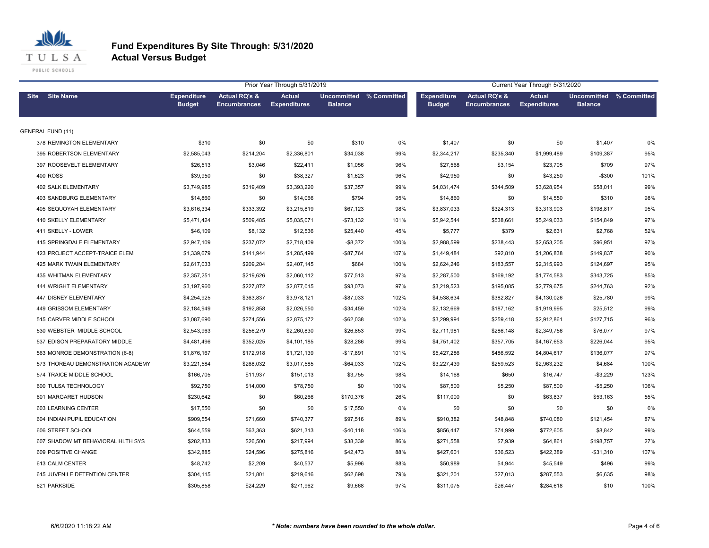

|             |                                   |                                     |                                                 | Prior Year Through 5/31/2019         |                                           |      | Current Year Through 5/31/2020      |                                                 |                                      |                                           |      |
|-------------|-----------------------------------|-------------------------------------|-------------------------------------------------|--------------------------------------|-------------------------------------------|------|-------------------------------------|-------------------------------------------------|--------------------------------------|-------------------------------------------|------|
| <b>Site</b> | <b>Site Name</b>                  | <b>Expenditure</b><br><b>Budget</b> | <b>Actual RQ's &amp;</b><br><b>Encumbrances</b> | <b>Actual</b><br><b>Expenditures</b> | Uncommitted % Committed<br><b>Balance</b> |      | <b>Expenditure</b><br><b>Budget</b> | <b>Actual RQ's &amp;</b><br><b>Encumbrances</b> | <b>Actual</b><br><b>Expenditures</b> | Uncommitted % Committed<br><b>Balance</b> |      |
|             | <b>GENERAL FUND (11)</b>          |                                     |                                                 |                                      |                                           |      |                                     |                                                 |                                      |                                           |      |
|             | 378 REMINGTON ELEMENTARY          | \$310                               | \$0                                             | \$0                                  | \$310                                     | 0%   | \$1,407                             | \$0                                             | \$0                                  | \$1,407                                   | 0%   |
|             | 395 ROBERTSON ELEMENTARY          | \$2,585,043                         | \$214,204                                       | \$2,336,801                          | \$34,038                                  | 99%  | \$2,344,217                         | \$235,340                                       | \$1,999,489                          | \$109,387                                 | 95%  |
|             | 397 ROOSEVELT ELEMENTARY          | \$26,513                            | \$3,046                                         | \$22,411                             | \$1,056                                   | 96%  | \$27,568                            | \$3,154                                         | \$23,705                             | \$709                                     | 97%  |
|             | 400 ROSS                          | \$39,950                            | \$0                                             | \$38,327                             | \$1,623                                   | 96%  | \$42,950                            | \$0                                             | \$43,250                             | -\$300                                    | 101% |
|             | <b>402 SALK ELEMENTARY</b>        | \$3,749,985                         | \$319,409                                       | \$3,393,220                          | \$37,357                                  | 99%  | \$4,031,474                         | \$344,509                                       | \$3,628,954                          | \$58,011                                  | 99%  |
|             | <b>403 SANDBURG ELEMENTARY</b>    | \$14,860                            | \$0                                             | \$14,066                             | \$794                                     | 95%  | \$14,860                            | \$0                                             | \$14,550                             | \$310                                     | 98%  |
|             | <b>405 SEQUOYAH ELEMENTARY</b>    | \$3,616,334                         | \$333,392                                       | \$3,215,819                          | \$67,123                                  | 98%  | \$3,837,033                         | \$324,313                                       | \$3,313,903                          | \$198,817                                 | 95%  |
|             | 410 SKELLY ELEMENTARY             | \$5,471,424                         | \$509,485                                       | \$5,035,071                          | $- $73,132$                               | 101% | \$5,942,544                         | \$538,661                                       | \$5,249,033                          | \$154,849                                 | 97%  |
|             | 411 SKELLY - LOWER                | \$46,109                            | \$8,132                                         | \$12,536                             | \$25,440                                  | 45%  | \$5,777                             | \$379                                           | \$2,631                              | \$2,768                                   | 52%  |
|             | 415 SPRINGDALE ELEMENTARY         | \$2,947,109                         | \$237,072                                       | \$2,718,409                          | $-$ \$8,372                               | 100% | \$2,988,599                         | \$238,443                                       | \$2,653,205                          | \$96,951                                  | 97%  |
|             | 423 PROJECT ACCEPT-TRAICE ELEM    | \$1,339,679                         | \$141,944                                       | \$1,285,499                          | $-$87,764$                                | 107% | \$1,449,484                         | \$92,810                                        | \$1,206,838                          | \$149,837                                 | 90%  |
|             | 425 MARK TWAIN ELEMENTARY         | \$2,617,033                         | \$209,204                                       | \$2,407,145                          | \$684                                     | 100% | \$2,624,246                         | \$183,557                                       | \$2,315,993                          | \$124,697                                 | 95%  |
|             | 435 WHITMAN ELEMENTARY            | \$2,357,251                         | \$219,626                                       | \$2,060,112                          | \$77,513                                  | 97%  | \$2,287,500                         | \$169,192                                       | \$1,774,583                          | \$343,725                                 | 85%  |
|             | <b>444 WRIGHT ELEMENTARY</b>      | \$3,197,960                         | \$227,872                                       | \$2,877,015                          | \$93,073                                  | 97%  | \$3,219,523                         | \$195,085                                       | \$2,779,675                          | \$244,763                                 | 92%  |
|             | 447 DISNEY ELEMENTARY             | \$4,254,925                         | \$363,837                                       | \$3,978,121                          | $-$87,033$                                | 102% | \$4,538,634                         | \$382,827                                       | \$4,130,026                          | \$25,780                                  | 99%  |
|             | 449 GRISSOM ELEMENTARY            | \$2,184,949                         | \$192,858                                       | \$2,026,550                          | $-$34,459$                                | 102% | \$2,132,669                         | \$187,162                                       | \$1,919,995                          | \$25,512                                  | 99%  |
|             | 515 CARVER MIDDLE SCHOOL          | \$3,087,690                         | \$274,556                                       | \$2,875,172                          | $-$62,038$                                | 102% | \$3,299,994                         | \$259,418                                       | \$2,912,861                          | \$127,715                                 | 96%  |
|             | 530 WEBSTER MIDDLE SCHOOL         | \$2,543,963                         | \$256,279                                       | \$2,260,830                          | \$26,853                                  | 99%  | \$2,711,981                         | \$286,148                                       | \$2,349,756                          | \$76,077                                  | 97%  |
|             | 537 EDISON PREPARATORY MIDDLE     | \$4,481,496                         | \$352,025                                       | \$4,101,185                          | \$28,286                                  | 99%  | \$4,751,402                         | \$357,705                                       | \$4,167,653                          | \$226,044                                 | 95%  |
|             | 563 MONROE DEMONSTRATION (6-8)    | \$1,876,167                         | \$172,918                                       | \$1,721,139                          | $-$17,891$                                | 101% | \$5,427,286                         | \$486,592                                       | \$4,804,617                          | \$136,077                                 | 97%  |
|             | 573 THOREAU DEMONSTRATION ACADEMY | \$3,221,584                         | \$268,032                                       | \$3,017,585                          | $-$64,033$                                | 102% | \$3,227,439                         | \$259,523                                       | \$2,963,232                          | \$4,684                                   | 100% |
|             | 574 TRAICE MIDDLE SCHOOL          | \$166,705                           | \$11,937                                        | \$151,013                            | \$3,755                                   | 98%  | \$14,168                            | \$650                                           | \$16,747                             | $-$3,229$                                 | 123% |
|             | 600 TULSA TECHNOLOGY              | \$92,750                            | \$14,000                                        | \$78,750                             | \$0                                       | 100% | \$87,500                            | \$5,250                                         | \$87,500                             | $-$5,250$                                 | 106% |
|             | 601 MARGARET HUDSON               | \$230,642                           | \$0                                             | \$60,266                             | \$170,376                                 | 26%  | \$117,000                           | \$0                                             | \$63,837                             | \$53,163                                  | 55%  |
|             | 603 LEARNING CENTER               | \$17,550                            | \$0                                             | \$0                                  | \$17,550                                  | 0%   | \$0                                 | \$0                                             | \$0                                  | \$0                                       | 0%   |
|             | 604 INDIAN PUPIL EDUCATION        | \$909,554                           | \$71,660                                        | \$740,377                            | \$97,516                                  | 89%  | \$910,382                           | \$48,848                                        | \$740,080                            | \$121,454                                 | 87%  |
|             | 606 STREET SCHOOL                 | \$644,559                           | \$63,363                                        | \$621,313                            | $-$40,118$                                | 106% | \$856,447                           | \$74,999                                        | \$772,605                            | \$8,842                                   | 99%  |
|             | 607 SHADOW MT BEHAVIORAL HLTH SYS | \$282,833                           | \$26,500                                        | \$217,994                            | \$38,339                                  | 86%  | \$271,558                           | \$7,939                                         | \$64,861                             | \$198,757                                 | 27%  |
|             | 609 POSITIVE CHANGE               | \$342,885                           | \$24,596                                        | \$275,816                            | \$42,473                                  | 88%  | \$427,601                           | \$36,523                                        | \$422,389                            | $- $31,310$                               | 107% |
|             | 613 CALM CENTER                   | \$48,742                            | \$2,209                                         | \$40,537                             | \$5,996                                   | 88%  | \$50,989                            | \$4,944                                         | \$45,549                             | \$496                                     | 99%  |
|             | 615 JUVENILE DETENTION CENTER     | \$304,115                           | \$21,801                                        | \$219,616                            | \$62,698                                  | 79%  | \$321,201                           | \$27,013                                        | \$287,553                            | \$6,635                                   | 98%  |
|             | 621 PARKSIDE                      | \$305,858                           | \$24,229                                        | \$271,962                            | \$9,668                                   | 97%  | \$311,075                           | \$26,447                                        | \$284,618                            | \$10                                      | 100% |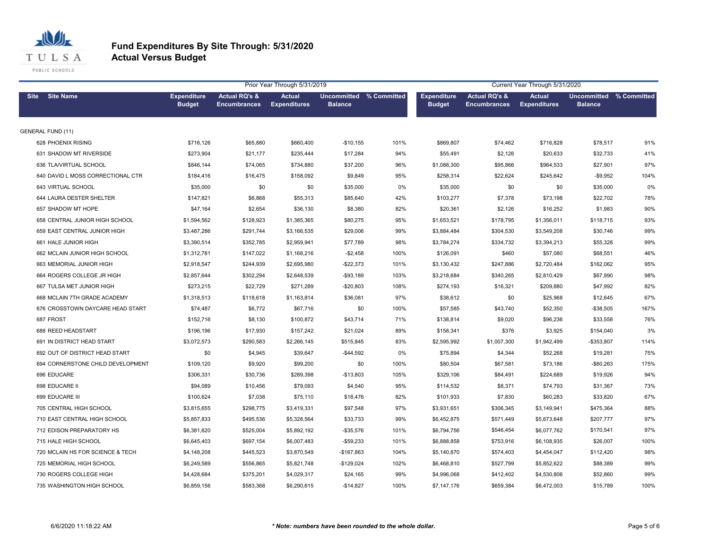

|                                   | Prior Year Through 5/31/2019        |                                                 |                                      |                                           |      |                                     |                                                 |                                      | Current Year Through 5/31/2020                   |      |  |  |  |
|-----------------------------------|-------------------------------------|-------------------------------------------------|--------------------------------------|-------------------------------------------|------|-------------------------------------|-------------------------------------------------|--------------------------------------|--------------------------------------------------|------|--|--|--|
| <b>Site</b><br><b>Site Name</b>   | <b>Expenditure</b><br><b>Budget</b> | <b>Actual RQ's &amp;</b><br><b>Encumbrances</b> | <b>Actual</b><br><b>Expenditures</b> | Uncommitted % Committed<br><b>Balance</b> |      | <b>Expenditure</b><br><b>Budget</b> | <b>Actual RQ's &amp;</b><br><b>Encumbrances</b> | <b>Actual</b><br><b>Expenditures</b> | <b>Uncommitted % Committed</b><br><b>Balance</b> |      |  |  |  |
| <b>GENERAL FUND (11)</b>          |                                     |                                                 |                                      |                                           |      |                                     |                                                 |                                      |                                                  |      |  |  |  |
| 628 PHOENIX RISING                | \$716,126                           | \$65,880                                        | \$660,400                            | $-$10,155$                                | 101% | \$869,807                           | \$74,462                                        | \$716,828                            | \$78,517                                         | 91%  |  |  |  |
| 631 SHADOW MT RIVERSIDE           | \$273,904                           | \$21,177                                        | \$235,444                            | \$17,284                                  | 94%  | \$55,491                            | \$2,126                                         | \$20,633                             | \$32,733                                         | 41%  |  |  |  |
| 636 TLA/VIRTUAL SCHOOL            | \$846,144                           | \$74,065                                        | \$734,880                            | \$37,200                                  | 96%  | \$1,088,300                         | \$95,866                                        | \$964,533                            | \$27,901                                         | 97%  |  |  |  |
| 640 DAVID L MOSS CORRECTIONAL CTR | \$184,416                           | \$16,475                                        | \$158,092                            | \$9,849                                   | 95%  | \$258,314                           | \$22,624                                        | \$245,642                            | $-$9,952$                                        | 104% |  |  |  |
| 643 VIRTUAL SCHOOL                | \$35,000                            | \$0                                             | \$0                                  | \$35,000                                  | 0%   | \$35,000                            | \$0                                             | \$0                                  | \$35,000                                         | 0%   |  |  |  |
| 644 LAURA DESTER SHELTER          | \$147,821                           | \$6,868                                         | \$55,313                             | \$85,640                                  | 42%  | \$103,277                           | \$7,378                                         | \$73,198                             | \$22,702                                         | 78%  |  |  |  |
| 657 SHADOW MT HOPE                | \$47,164                            | \$2,654                                         | \$36,130                             | \$8,380                                   | 82%  | \$20,361                            | \$2,126                                         | \$16,252                             | \$1,983                                          | 90%  |  |  |  |
| 658 CENTRAL JUNIOR HIGH SCHOOL    | \$1,594,562                         | \$128,923                                       | \$1,385,365                          | \$80,275                                  | 95%  | \$1,653,521                         | \$178,795                                       | \$1,356,011                          | \$118,715                                        | 93%  |  |  |  |
| 659 EAST CENTRAL JUNIOR HIGH      | \$3,487,286                         | \$291,744                                       | \$3,166,535                          | \$29,006                                  | 99%  | \$3,884,484                         | \$304,530                                       | \$3,549,208                          | \$30,746                                         | 99%  |  |  |  |
| 661 HALE JUNIOR HIGH              | \$3,390,514                         | \$352,785                                       | \$2,959,941                          | \$77,789                                  | 98%  | \$3,784,274                         | \$334,732                                       | \$3,394,213                          | \$55,328                                         | 99%  |  |  |  |
| 662 MCLAIN JUNIOR HIGH SCHOOL     | \$1,312,781                         | \$147,022                                       | \$1,168,216                          | $-$2,458$                                 | 100% | \$126,091                           | \$460                                           | \$57,080                             | \$68,551                                         | 46%  |  |  |  |
| 663 MEMORIAL JUNIOR HIGH          | \$2,918,547                         | \$244,939                                       | \$2,695,980                          | $-$22,373$                                | 101% | \$3,130,432                         | \$247,886                                       | \$2,720,484                          | \$162,062                                        | 95%  |  |  |  |
| 664 ROGERS COLLEGE JR HIGH        | \$2,857,644                         | \$302,294                                       | \$2,648,539                          | $-$93,189$                                | 103% | \$3,218,684                         | \$340,265                                       | \$2,810,429                          | \$67,990                                         | 98%  |  |  |  |
| 667 TULSA MET JUNIOR HIGH         | \$273,215                           | \$22,729                                        | \$271,289                            | $-$20,803$                                | 108% | \$274,193                           | \$16,321                                        | \$209,880                            | \$47,992                                         | 82%  |  |  |  |
| 668 MCLAIN 7TH GRADE ACADEMY      | \$1,318,513                         | \$118,618                                       | \$1,163,814                          | \$36,081                                  | 97%  | \$38,612                            | \$0                                             | \$25,968                             | \$12,645                                         | 67%  |  |  |  |
| 676 CROSSTOWN DAYCARE HEAD START  | \$74,487                            | \$6,772                                         | \$67,716                             | \$0                                       | 100% | \$57,585                            | \$43,740                                        | \$52,350                             | -\$38,505                                        | 167% |  |  |  |
| 687 FROST                         | \$152,716                           | \$8,130                                         | \$100,872                            | \$43,714                                  | 71%  | \$138,814                           | \$9,020                                         | \$96,236                             | \$33,558                                         | 76%  |  |  |  |
| 688 REED HEADSTART                | \$196,196                           | \$17,930                                        | \$157,242                            | \$21,024                                  | 89%  | \$158,341                           | \$376                                           | \$3,925                              | \$154,040                                        | 3%   |  |  |  |
| 691 IN DISTRICT HEAD START        | \$3,072,573                         | \$290,583                                       | \$2,266,145                          | \$515,845                                 | 83%  | \$2,595,992                         | \$1,007,300                                     | \$1,942,499                          | $-$353,807$                                      | 114% |  |  |  |
| 692 OUT OF DISTRICT HEAD START    | \$0                                 | \$4,945                                         | \$39,647                             | $-$44,592$                                | 0%   | \$75,894                            | \$4,344                                         | \$52,268                             | \$19,281                                         | 75%  |  |  |  |
| 694 CORNERSTONE CHILD DEVELOPMENT | \$109,120                           | \$9,920                                         | \$99,200                             | \$0                                       | 100% | \$80,504                            | \$67,581                                        | \$73,186                             | $-$60,263$                                       | 175% |  |  |  |
| 696 EDUCARE                       | \$306,331                           | \$30,736                                        | \$289,398                            | $-$13,803$                                | 105% | \$329,106                           | \$84,491                                        | \$224,689                            | \$19,926                                         | 94%  |  |  |  |
| 698 EDUCARE II                    | \$94,089                            | \$10,456                                        | \$79,093                             | \$4,540                                   | 95%  | \$114,532                           | \$8,371                                         | \$74,793                             | \$31,367                                         | 73%  |  |  |  |
| 699 EDUCARE III                   | \$100,624                           | \$7,038                                         | \$75,110                             | \$18,476                                  | 82%  | \$101,933                           | \$7,830                                         | \$60,283                             | \$33,820                                         | 67%  |  |  |  |
| 705 CENTRAL HIGH SCHOOL           | \$3,815,655                         | \$298,775                                       | \$3,419,331                          | \$97,548                                  | 97%  | \$3,931,651                         | \$306,345                                       | \$3,149,941                          | \$475,364                                        | 88%  |  |  |  |
| 710 EAST CENTRAL HIGH SCHOOL      | \$5,857,833                         | \$495,536                                       | \$5,328,564                          | \$33,733                                  | 99%  | \$6,452,875                         | \$571,449                                       | \$5,673,648                          | \$207,777                                        | 97%  |  |  |  |
| 712 EDISON PREPARATORY HS         | \$6,381,620                         | \$525,004                                       | \$5,892,192                          | $-$35,576$                                | 101% | \$6,794,756                         | \$546,454                                       | \$6,077,762                          | \$170,541                                        | 97%  |  |  |  |
| 715 HALE HIGH SCHOOL              | \$6,645,403                         | \$697,154                                       | \$6,007,483                          | $-$59,233$                                | 101% | \$6,888,858                         | \$753,916                                       | \$6,108,935                          | \$26,007                                         | 100% |  |  |  |
| 720 MCLAIN HS FOR SCIENCE & TECH  | \$4,148,208                         | \$445,523                                       | \$3,870,549                          | -\$167,863                                | 104% | \$5,140,870                         | \$574,403                                       | \$4,454,047                          | \$112,420                                        | 98%  |  |  |  |
| 725 MEMORIAL HIGH SCHOOL          | \$6,249,589                         | \$556,865                                       | \$5,821,748                          | $-$129,024$                               | 102% | \$6,468,810                         | \$527,799                                       | \$5,852,622                          | \$88,389                                         | 99%  |  |  |  |
| 730 ROGERS COLLEGE HIGH           | \$4,428,684                         | \$375,201                                       | \$4,029,317                          | \$24,165                                  | 99%  | \$4,996,068                         | \$412,402                                       | \$4,530,806                          | \$52,860                                         | 99%  |  |  |  |
| 735 WASHINGTON HIGH SCHOOL        | \$6,859,156                         | \$583,368                                       | \$6,290,615                          | $-$14,827$                                | 100% | \$7,147,176                         | \$659,384                                       | \$6,472,003                          | \$15,789                                         | 100% |  |  |  |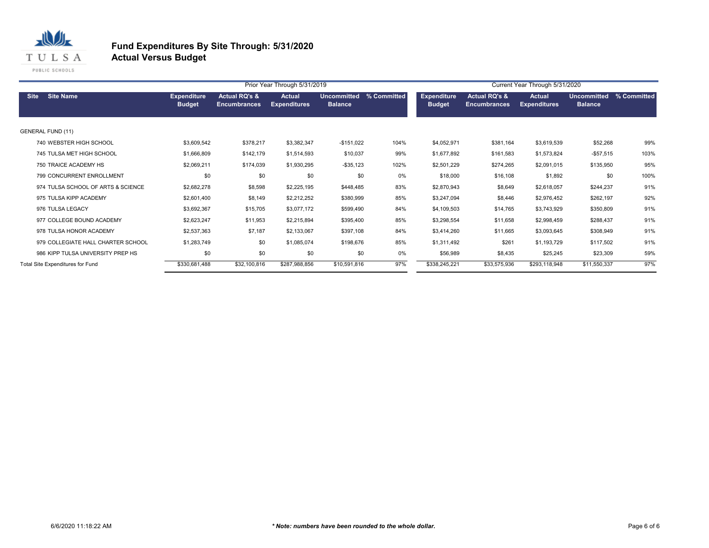

|                                                                                                                                                                                                                          |                                    |               |              | Prior Year Through 5/31/2019 |              | Current Year Through 5/31/2020 |                                     |                                                 |                                      |                                      |             |
|--------------------------------------------------------------------------------------------------------------------------------------------------------------------------------------------------------------------------|------------------------------------|---------------|--------------|------------------------------|--------------|--------------------------------|-------------------------------------|-------------------------------------------------|--------------------------------------|--------------------------------------|-------------|
| <b>Site</b><br><b>Site Name</b><br><b>Actual RQ's &amp;</b><br><b>Actual</b><br>% Committed<br><b>Expenditure</b><br><b>Uncommitted</b><br><b>Budget</b><br><b>Balance</b><br><b>Encumbrances</b><br><b>Expenditures</b> |                                    |               |              |                              |              |                                | <b>Expenditure</b><br><b>Budget</b> | <b>Actual RQ's &amp;</b><br><b>Encumbrances</b> | <b>Actual</b><br><b>Expenditures</b> | <b>Uncommitted</b><br><b>Balance</b> | % Committed |
|                                                                                                                                                                                                                          | GENERAL FUND (11)                  |               |              |                              |              |                                |                                     |                                                 |                                      |                                      |             |
|                                                                                                                                                                                                                          | 740 WEBSTER HIGH SCHOOL            | \$3,609,542   | \$378,217    | \$3,382,347                  | $-$151,022$  | 104%                           | \$4,052,971                         | \$381,164                                       | \$3,619,539                          | \$52,268                             | 99%         |
|                                                                                                                                                                                                                          | 745 TULSA MET HIGH SCHOOL          | \$1,666,809   | \$142,179    | \$1,514,593                  | \$10,037     | 99%                            | \$1,677,892                         | \$161,583                                       | \$1,573,824                          | $-$ \$57,515                         | 103%        |
|                                                                                                                                                                                                                          | 750 TRAICE ACADEMY HS              | \$2,069,211   | \$174,039    | \$1,930,295                  | $-$ \$35,123 | 102%                           | \$2,501,229                         | \$274,265                                       | \$2,091,015                          | \$135,950                            | 95%         |
|                                                                                                                                                                                                                          | 799 CONCURRENT ENROLLMENT          | \$0           | \$0          | \$0                          | \$0          | 0%                             | \$18,000                            | \$16,108                                        | \$1,892                              | \$0                                  | 100%        |
|                                                                                                                                                                                                                          | 974 TULSA SCHOOL OF ARTS & SCIENCE | \$2,682,278   | \$8,598      | \$2,225,195                  | \$448,485    | 83%                            | \$2,870,943                         | \$8,649                                         | \$2,618,057                          | \$244,237                            | 91%         |
|                                                                                                                                                                                                                          | 975 TULSA KIPP ACADEMY             | \$2,601,400   | \$8,149      | \$2,212,252                  | \$380,999    | 85%                            | \$3,247,094                         | \$8,446                                         | \$2,976,452                          | \$262,197                            | 92%         |
|                                                                                                                                                                                                                          | 976 TULSA LEGACY                   | \$3,692,367   | \$15,705     | \$3,077,172                  | \$599,490    | 84%                            | \$4,109,503                         | \$14,765                                        | \$3,743,929                          | \$350,809                            | 91%         |
|                                                                                                                                                                                                                          | 977 COLLEGE BOUND ACADEMY          | \$2,623,247   | \$11,953     | \$2,215,894                  | \$395,400    | 85%                            | \$3,298,554                         | \$11,658                                        | \$2,998,459                          | \$288,437                            | 91%         |
|                                                                                                                                                                                                                          | 978 TULSA HONOR ACADEMY            | \$2,537,363   | \$7,187      | \$2,133,067                  | \$397,108    | 84%                            | \$3,414,260                         | \$11,665                                        | \$3,093,645                          | \$308,949                            | 91%         |
|                                                                                                                                                                                                                          | 979 COLLEGIATE HALL CHARTER SCHOOL | \$1,283,749   | \$0          | \$1,085,074                  | \$198,676    | 85%                            | \$1,311,492                         | \$261                                           | \$1,193,729                          | \$117,502                            | 91%         |
|                                                                                                                                                                                                                          | 986 KIPP TULSA UNIVERSITY PREP HS  | \$0           | \$0          | \$0                          | \$0          | 0%                             | \$56,989                            | \$8,435                                         | \$25,245                             | \$23,309                             | 59%         |
|                                                                                                                                                                                                                          | Total Site Expenditures for Fund   | \$330,681,488 | \$32,100,816 | \$287,988,856                | \$10,591,816 | 97%                            | \$338,245,221                       | \$33,575,936                                    | \$293,118,948                        | \$11,550,337                         | 97%         |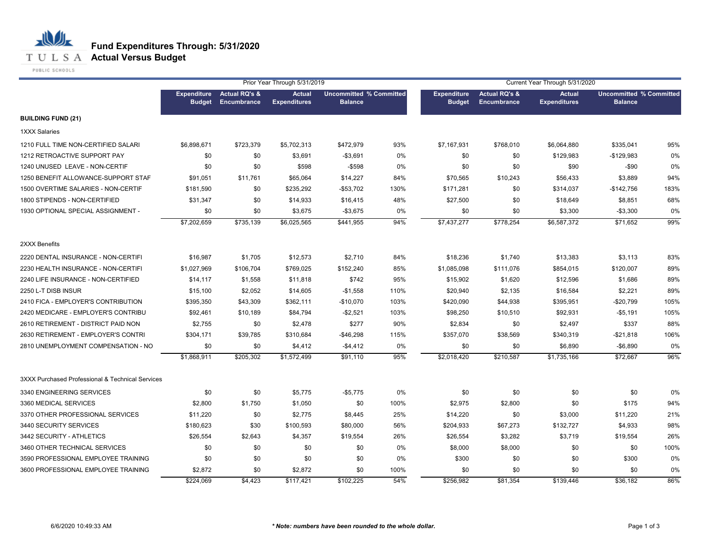## **T U L S A Actual Versus Budget**

PUBLIC SCHOOLS

|                                                  |                                     |                                         | Prior Year Through 5/31/2019         |                                                  |      |                                     |                                                | Current Year Through 5/31/2020       |                                                  |      |
|--------------------------------------------------|-------------------------------------|-----------------------------------------|--------------------------------------|--------------------------------------------------|------|-------------------------------------|------------------------------------------------|--------------------------------------|--------------------------------------------------|------|
|                                                  | <b>Expenditure</b><br><b>Budget</b> | <b>Actual RQ's &amp;</b><br>Encumbrance | <b>Actual</b><br><b>Expenditures</b> | <b>Uncommitted % Committed</b><br><b>Balance</b> |      | <b>Expenditure</b><br><b>Budget</b> | <b>Actual RQ's &amp;</b><br><b>Encumbrance</b> | <b>Actual</b><br><b>Expenditures</b> | <b>Uncommitted % Committed</b><br><b>Balance</b> |      |
| <b>BUILDING FUND (21)</b>                        |                                     |                                         |                                      |                                                  |      |                                     |                                                |                                      |                                                  |      |
| <b>1XXX Salaries</b>                             |                                     |                                         |                                      |                                                  |      |                                     |                                                |                                      |                                                  |      |
| 1210 FULL TIME NON-CERTIFIED SALARI              | \$6,898,671                         | \$723,379                               | \$5,702,313                          | \$472,979                                        | 93%  | \$7,167,931                         | \$768,010                                      | \$6,064,880                          | \$335,041                                        | 95%  |
| 1212 RETROACTIVE SUPPORT PAY                     | \$0                                 | \$0                                     | \$3,691                              | $-$ \$3,691                                      | 0%   | \$0                                 | \$0                                            | \$129,983                            | $-$129,983$                                      | 0%   |
| 1240 UNUSED LEAVE - NON-CERTIF                   | \$0                                 | \$0                                     | \$598                                | $-$598$                                          | 0%   | \$0                                 | \$0                                            | \$90                                 | $-$ \$90                                         | 0%   |
| 1250 BENEFIT ALLOWANCE-SUPPORT STAF              | \$91,051                            | \$11,761                                | \$65,064                             | \$14,227                                         | 84%  | \$70,565                            | \$10,243                                       | \$56,433                             | \$3,889                                          | 94%  |
| 1500 OVERTIME SALARIES - NON-CERTIF              | \$181,590                           | \$0                                     | \$235,292                            | -\$53,702                                        | 130% | \$171,281                           | \$0                                            | \$314,037                            | $-$142,756$                                      | 183% |
| 1800 STIPENDS - NON-CERTIFIED                    | \$31,347                            | \$0                                     | \$14,933                             | \$16,415                                         | 48%  | \$27,500                            | \$0                                            | \$18,649                             | \$8,851                                          | 68%  |
| 1930 OPTIONAL SPECIAL ASSIGNMENT -               | \$0                                 | \$0                                     | \$3,675                              | $-$3,675$                                        | 0%   | \$0                                 | \$0                                            | \$3,300                              | $-$3,300$                                        | 0%   |
|                                                  | \$7,202,659                         | \$735,139                               | \$6,025,565                          | \$441,955                                        | 94%  | \$7,437,277                         | \$778,254                                      | \$6,587,372                          | \$71,652                                         | 99%  |
| 2XXX Benefits                                    |                                     |                                         |                                      |                                                  |      |                                     |                                                |                                      |                                                  |      |
| 2220 DENTAL INSURANCE - NON-CERTIFI              | \$16,987                            | \$1,705                                 | \$12,573                             | \$2,710                                          | 84%  | \$18,236                            | \$1,740                                        | \$13,383                             | \$3,113                                          | 83%  |
| 2230 HEALTH INSURANCE - NON-CERTIFI              | \$1,027,969                         | \$106,704                               | \$769,025                            | \$152,240                                        | 85%  | \$1,085,098                         | \$111,076                                      | \$854,015                            | \$120,007                                        | 89%  |
| 2240 LIFE INSURANCE - NON-CERTIFIED              | \$14,117                            | \$1,558                                 | \$11,818                             | \$742                                            | 95%  | \$15,902                            | \$1,620                                        | \$12,596                             | \$1,686                                          | 89%  |
| 2250 L-T DISB INSUR                              | \$15,100                            | \$2,052                                 | \$14,605                             | $-$1,558$                                        | 110% | \$20,940                            | \$2,135                                        | \$16,584                             | \$2,221                                          | 89%  |
| 2410 FICA - EMPLOYER'S CONTRIBUTION              | \$395,350                           | \$43,309                                | \$362,111                            | $-$10,070$                                       | 103% | \$420,090                           | \$44,938                                       | \$395,951                            | $-$20,799$                                       | 105% |
| 2420 MEDICARE - EMPLOYER'S CONTRIBU              | \$92,461                            | \$10,189                                | \$84,794                             | $-$2,521$                                        | 103% | \$98,250                            | \$10,510                                       | \$92,931                             | $-$5,191$                                        | 105% |
| 2610 RETIREMENT - DISTRICT PAID NON              | \$2,755                             | \$0                                     | \$2,478                              | \$277                                            | 90%  | \$2,834                             | \$0                                            | \$2,497                              | \$337                                            | 88%  |
| 2630 RETIREMENT - EMPLOYER'S CONTRI              | \$304,171                           | \$39,785                                | \$310,684                            | -\$46,298                                        | 115% | \$357,070                           | \$38,569                                       | \$340,319                            | -\$21,818                                        | 106% |
| 2810 UNEMPLOYMENT COMPENSATION - NO              | \$0                                 | \$0                                     | \$4,412                              | $-$4,412$                                        | 0%   | \$0                                 | \$0                                            | \$6,890                              | $-$ \$6,890                                      | 0%   |
|                                                  | \$1,868,911                         | \$205,302                               | \$1,572,499                          | \$91,110                                         | 95%  | \$2,018,420                         | \$210,587                                      | \$1,735,166                          | \$72,667                                         | 96%  |
| 3XXX Purchased Professional & Technical Services |                                     |                                         |                                      |                                                  |      |                                     |                                                |                                      |                                                  |      |
| 3340 ENGINEERING SERVICES                        | \$0                                 | \$0                                     | \$5,775                              | $-$5,775$                                        | 0%   | \$0                                 | \$0                                            | \$0                                  | \$0                                              | 0%   |
| 3360 MEDICAL SERVICES                            | \$2,800                             | \$1,750                                 | \$1,050                              | \$0                                              | 100% | \$2,975                             | \$2,800                                        | \$0                                  | \$175                                            | 94%  |
| 3370 OTHER PROFESSIONAL SERVICES                 | \$11,220                            | \$0                                     | \$2,775                              | \$8,445                                          | 25%  | \$14,220                            | \$0                                            | \$3,000                              | \$11,220                                         | 21%  |
| 3440 SECURITY SERVICES                           | \$180,623                           | \$30                                    | \$100,593                            | \$80,000                                         | 56%  | \$204,933                           | \$67,273                                       | \$132,727                            | \$4,933                                          | 98%  |
| 3442 SECURITY - ATHLETICS                        | \$26,554                            | \$2,643                                 | \$4,357                              | \$19,554                                         | 26%  | \$26,554                            | \$3,282                                        | \$3,719                              | \$19,554                                         | 26%  |
| 3460 OTHER TECHNICAL SERVICES                    | \$0                                 | \$0                                     | \$0                                  | \$0                                              | 0%   | \$8,000                             | \$8,000                                        | \$0                                  | \$0                                              | 100% |
| 3590 PROFESSIONAL EMPLOYEE TRAINING              | \$0                                 | \$0                                     | \$0                                  | \$0                                              | 0%   | \$300                               | \$0                                            | \$0                                  | \$300                                            | 0%   |
| 3600 PROFESSIONAL EMPLOYEE TRAINING              | \$2,872                             | \$0                                     | \$2,872                              | \$0                                              | 100% | \$0                                 | \$0                                            | \$0                                  | \$0                                              | 0%   |
|                                                  | \$224,069                           | \$4,423                                 | \$117,421                            | \$102,225                                        | 54%  | \$256,982                           | \$81,354                                       | \$139,446                            | \$36,182                                         | 86%  |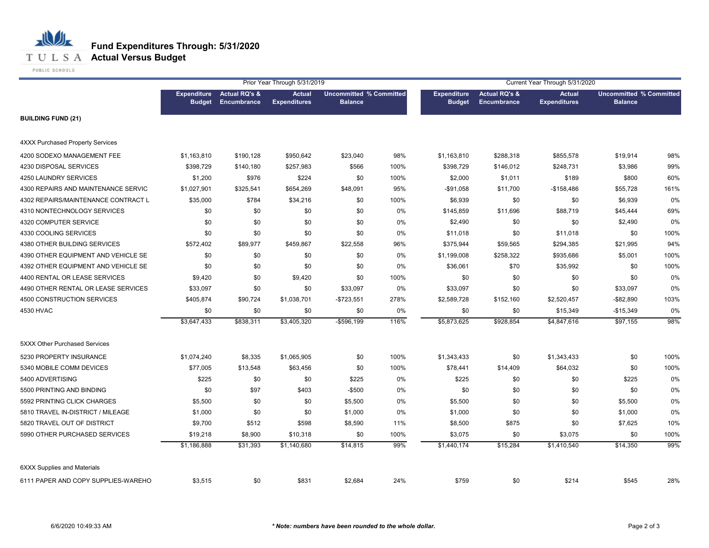## **Fund Expenditures Through: 5/31/2020 T U L S A Actual Versus Budget**

PUBLIC SCHOOLS

|                                     |                                     |                                                | Prior Year Through 5/31/2019         |                |                                | Current Year Through 5/31/2020      |                                                |                                      |                |                                |
|-------------------------------------|-------------------------------------|------------------------------------------------|--------------------------------------|----------------|--------------------------------|-------------------------------------|------------------------------------------------|--------------------------------------|----------------|--------------------------------|
|                                     | <b>Expenditure</b><br><b>Budget</b> | <b>Actual RQ's &amp;</b><br><b>Encumbrance</b> | <b>Actual</b><br><b>Expenditures</b> | <b>Balance</b> | <b>Uncommitted % Committed</b> | <b>Expenditure</b><br><b>Budget</b> | <b>Actual RQ's &amp;</b><br><b>Encumbrance</b> | <b>Actual</b><br><b>Expenditures</b> | <b>Balance</b> | <b>Uncommitted % Committed</b> |
| <b>BUILDING FUND (21)</b>           |                                     |                                                |                                      |                |                                |                                     |                                                |                                      |                |                                |
| 4XXX Purchased Property Services    |                                     |                                                |                                      |                |                                |                                     |                                                |                                      |                |                                |
| 4200 SODEXO MANAGEMENT FEE          | \$1,163,810                         | \$190,128                                      | \$950,642                            | \$23,040       | 98%                            | \$1,163,810                         | \$288,318                                      | \$855,578                            | \$19,914       | 98%                            |
| 4230 DISPOSAL SERVICES              | \$398,729                           | \$140,180                                      | \$257,983                            | \$566          | 100%                           | \$398,729                           | \$146,012                                      | \$248,731                            | \$3,986        | 99%                            |
| 4250 LAUNDRY SERVICES               | \$1,200                             | \$976                                          | \$224                                | \$0            | 100%                           | \$2,000                             | \$1,011                                        | \$189                                | \$800          | 60%                            |
| 4300 REPAIRS AND MAINTENANCE SERVIC | \$1,027,901                         | \$325,541                                      | \$654,269                            | \$48,091       | 95%                            | $-$91,058$                          | \$11,700                                       | -\$158,486                           | \$55,728       | 161%                           |
| 4302 REPAIRS/MAINTENANCE CONTRACT L | \$35,000                            | \$784                                          | \$34,216                             | \$0            | 100%                           | \$6,939                             | \$0                                            | \$0                                  | \$6,939        | 0%                             |
| 4310 NONTECHNOLOGY SERVICES         | \$0                                 | \$0                                            | \$0                                  | \$0            | 0%                             | \$145,859                           | \$11,696                                       | \$88,719                             | \$45,444       | 69%                            |
| 4320 COMPUTER SERVICE               | \$0                                 | \$0                                            | \$0                                  | \$0            | 0%                             | \$2,490                             | \$0                                            | \$0                                  | \$2,490        | 0%                             |
| 4330 COOLING SERVICES               | \$0                                 | \$0                                            | \$0                                  | \$0            | 0%                             | \$11,018                            | \$0                                            | \$11,018                             | \$0            | 100%                           |
| 4380 OTHER BUILDING SERVICES        | \$572,402                           | \$89,977                                       | \$459,867                            | \$22,558       | 96%                            | \$375,944                           | \$59,565                                       | \$294,385                            | \$21,995       | 94%                            |
| 4390 OTHER EQUIPMENT AND VEHICLE SE | \$0                                 | \$0                                            | \$0                                  | \$0            | 0%                             | \$1,199,008                         | \$258,322                                      | \$935,686                            | \$5,001        | 100%                           |
| 4392 OTHER EQUIPMENT AND VEHICLE SE | \$0                                 | \$0                                            | \$0                                  | \$0            | 0%                             | \$36,061                            | \$70                                           | \$35,992                             | \$0            | 100%                           |
| 4400 RENTAL OR LEASE SERVICES       | \$9,420                             | \$0                                            | \$9,420                              | \$0            | 100%                           | \$0                                 | \$0                                            | \$0                                  | \$0            | 0%                             |
| 4490 OTHER RENTAL OR LEASE SERVICES | \$33,097                            | \$0                                            | \$0                                  | \$33,097       | 0%                             | \$33,097                            | \$0                                            | \$0                                  | \$33,097       | 0%                             |
| 4500 CONSTRUCTION SERVICES          | \$405,874                           | \$90,724                                       | \$1,038,701                          | $-$723,551$    | 278%                           | \$2,589,728                         | \$152,160                                      | \$2,520,457                          | $-$ \$82,890   | 103%                           |
| 4530 HVAC                           | \$0                                 | \$0                                            | \$0                                  | \$0            | 0%                             | \$0                                 | \$0                                            | \$15,349                             | $-$15,349$     | 0%                             |
|                                     | \$3,647,433                         | \$838,311                                      | \$3,405,320                          | $-$596,199$    | 116%                           | \$5,873,625                         | \$928,854                                      | \$4,847,616                          | \$97,155       | 98%                            |
| 5XXX Other Purchased Services       |                                     |                                                |                                      |                |                                |                                     |                                                |                                      |                |                                |
| 5230 PROPERTY INSURANCE             | \$1,074,240                         | \$8,335                                        | \$1,065,905                          | \$0            | 100%                           | \$1,343,433                         | \$0                                            | \$1,343,433                          | \$0            | 100%                           |
| 5340 MOBILE COMM DEVICES            | \$77,005                            | \$13,548                                       | \$63,456                             | \$0            | 100%                           | \$78,441                            | \$14,409                                       | \$64,032                             | \$0            | 100%                           |
| 5400 ADVERTISING                    | \$225                               | \$0                                            | \$0                                  | \$225          | 0%                             | \$225                               | \$0                                            | \$0                                  | \$225          | 0%                             |
| 5500 PRINTING AND BINDING           | \$0                                 | \$97                                           | \$403                                | $-$500$        | 0%                             | \$0                                 | \$0                                            | \$0                                  | \$0            | 0%                             |
| 5592 PRINTING CLICK CHARGES         | \$5,500                             | \$0                                            | \$0                                  | \$5,500        | 0%                             | \$5,500                             | \$0                                            | \$0                                  | \$5,500        | 0%                             |
| 5810 TRAVEL IN-DISTRICT / MILEAGE   | \$1,000                             | \$0                                            | \$0                                  | \$1,000        | 0%                             | \$1,000                             | \$0                                            | \$0                                  | \$1,000        | 0%                             |
| 5820 TRAVEL OUT OF DISTRICT         | \$9,700                             | \$512                                          | \$598                                | \$8,590        | 11%                            | \$8,500                             | \$875                                          | \$0                                  | \$7,625        | 10%                            |
| 5990 OTHER PURCHASED SERVICES       | \$19,218                            | \$8,900                                        | \$10,318                             | \$0            | 100%                           | \$3,075                             | \$0                                            | \$3,075                              | \$0            | 100%                           |
|                                     | \$1,186,888                         | \$31,393                                       | \$1,140,680                          | \$14,815       | 99%                            | \$1,440,174                         | \$15,284                                       | \$1,410,540                          | \$14,350       | 99%                            |
| <b>6XXX Supplies and Materials</b>  |                                     |                                                |                                      |                |                                |                                     |                                                |                                      |                |                                |
| 6111 PAPER AND COPY SUPPLIES-WAREHO | \$3,515                             | \$0                                            | \$831                                | \$2,684        | 24%                            | \$759                               | \$0                                            | \$214                                | \$545          | 28%                            |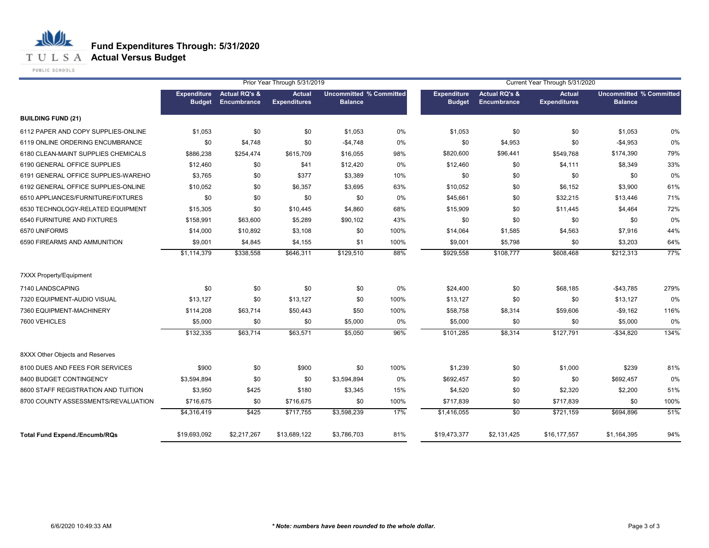**T U L S A Actual Versus Budget** 

PUBLIC SCHOOLS

|                                      |                                     |                                         | Prior Year Through 5/31/2019         |                                                  |       | Current Year Through 5/31/2020      |                                         |                                      |                                                  |      |
|--------------------------------------|-------------------------------------|-----------------------------------------|--------------------------------------|--------------------------------------------------|-------|-------------------------------------|-----------------------------------------|--------------------------------------|--------------------------------------------------|------|
|                                      | <b>Expenditure</b><br><b>Budget</b> | <b>Actual RQ's &amp;</b><br>Encumbrance | <b>Actual</b><br><b>Expenditures</b> | <b>Uncommitted % Committed</b><br><b>Balance</b> |       | <b>Expenditure</b><br><b>Budget</b> | <b>Actual RQ's &amp;</b><br>Encumbrance | <b>Actual</b><br><b>Expenditures</b> | <b>Uncommitted % Committed</b><br><b>Balance</b> |      |
| <b>BUILDING FUND (21)</b>            |                                     |                                         |                                      |                                                  |       |                                     |                                         |                                      |                                                  |      |
| 6112 PAPER AND COPY SUPPLIES-ONLINE  | \$1,053                             | \$0                                     | \$0                                  | \$1,053                                          | $0\%$ | \$1,053                             | \$0                                     | \$0                                  | \$1,053                                          | 0%   |
| 6119 ONLINE ORDERING ENCUMBRANCE     | \$0                                 | \$4,748                                 | \$0                                  | $-$4,748$                                        | 0%    | \$0                                 | \$4,953                                 | \$0                                  | $-$4,953$                                        | 0%   |
| 6180 CLEAN-MAINT SUPPLIES CHEMICALS  | \$886,238                           | \$254,474                               | \$615,709                            | \$16,055                                         | 98%   | \$820,600                           | \$96,441                                | \$549,768                            | \$174,390                                        | 79%  |
| 6190 GENERAL OFFICE SUPPLIES         | \$12,460                            | \$0                                     | \$41                                 | \$12,420                                         | 0%    | \$12,460                            | \$0                                     | \$4,111                              | \$8,349                                          | 33%  |
| 6191 GENERAL OFFICE SUPPLIES-WAREHO  | \$3,765                             | \$0                                     | \$377                                | \$3,389                                          | 10%   | \$0                                 | \$0                                     | \$0                                  | \$0                                              | 0%   |
| 6192 GENERAL OFFICE SUPPLIES-ONLINE  | \$10,052                            | \$0                                     | \$6,357                              | \$3,695                                          | 63%   | \$10,052                            | \$0                                     | \$6,152                              | \$3,900                                          | 61%  |
| 6510 APPLIANCES/FURNITURE/FIXTURES   | \$0                                 | \$0                                     | \$0                                  | \$0                                              | 0%    | \$45,661                            | \$0                                     | \$32,215                             | \$13,446                                         | 71%  |
| 6530 TECHNOLOGY-RELATED EQUIPMENT    | \$15,305                            | \$0                                     | \$10,445                             | \$4,860                                          | 68%   | \$15,909                            | \$0                                     | \$11,445                             | \$4,464                                          | 72%  |
| 6540 FURNITURE AND FIXTURES          | \$158,991                           | \$63,600                                | \$5,289                              | \$90,102                                         | 43%   | \$0                                 | \$0                                     | \$0                                  | \$0                                              | 0%   |
| 6570 UNIFORMS                        | \$14,000                            | \$10,892                                | \$3,108                              | \$0                                              | 100%  | \$14,064                            | \$1,585                                 | \$4,563                              | \$7,916                                          | 44%  |
| 6590 FIREARMS AND AMMUNITION         | \$9,001                             | \$4,845                                 | \$4,155                              | \$1                                              | 100%  | \$9,001                             | \$5,798                                 | \$0                                  | \$3,203                                          | 64%  |
|                                      | \$1,114,379                         | \$338,558                               | \$646,311                            | \$129,510                                        | 88%   | \$929,558                           | \$108,777                               | \$608,468                            | \$212,313                                        | 77%  |
| <b>7XXX Property/Equipment</b>       |                                     |                                         |                                      |                                                  |       |                                     |                                         |                                      |                                                  |      |
| 7140 LANDSCAPING                     | \$0                                 | \$0                                     | \$0                                  | \$0                                              | 0%    | \$24,400                            | \$0                                     | \$68,185                             | $-$43,785$                                       | 279% |
| 7320 EQUIPMENT-AUDIO VISUAL          | \$13,127                            | \$0                                     | \$13,127                             | \$0                                              | 100%  | \$13,127                            | \$0                                     | \$0                                  | \$13,127                                         | 0%   |
| 7360 EQUIPMENT-MACHINERY             | \$114,208                           | \$63,714                                | \$50,443                             | \$50                                             | 100%  | \$58,758                            | \$8,314                                 | \$59,606                             | $-$9,162$                                        | 116% |
| 7600 VEHICLES                        | \$5,000                             | \$0                                     | \$0                                  | \$5,000                                          | 0%    | \$5,000                             | \$0                                     | \$0                                  | \$5,000                                          | 0%   |
|                                      | \$132,335                           | \$63,714                                | \$63,571                             | \$5,050                                          | 96%   | \$101,285                           | \$8,314                                 | \$127,791                            | $-$ \$34,820                                     | 134% |
| 8XXX Other Objects and Reserves      |                                     |                                         |                                      |                                                  |       |                                     |                                         |                                      |                                                  |      |
| 8100 DUES AND FEES FOR SERVICES      | \$900                               | \$0                                     | \$900                                | \$0                                              | 100%  | \$1,239                             | \$0                                     | \$1,000                              | \$239                                            | 81%  |
| 8400 BUDGET CONTINGENCY              | \$3,594,894                         | \$0                                     | \$0                                  | \$3,594,894                                      | 0%    | \$692,457                           | \$0                                     | \$0                                  | \$692,457                                        | 0%   |
| 8600 STAFF REGISTRATION AND TUITION  | \$3,950                             | \$425                                   | \$180                                | \$3,345                                          | 15%   | \$4,520                             | \$0                                     | \$2,320                              | \$2,200                                          | 51%  |
| 8700 COUNTY ASSESSMENTS/REVALUATION  | \$716,675                           | \$0                                     | \$716,675                            | \$0                                              | 100%  | \$717,839                           | \$0                                     | \$717,839                            | \$0                                              | 100% |
|                                      | \$4,316,419                         | \$425                                   | \$717,755                            | \$3,598,239                                      | 17%   | \$1,416,055                         | $\overline{50}$                         | \$721,159                            | \$694,896                                        | 51%  |
| <b>Total Fund Expend./Encumb/RQs</b> | \$19,693,092                        | \$2,217,267                             | \$13,689,122                         | \$3,786,703                                      | 81%   | \$19,473,377                        | \$2,131,425                             | \$16,177,557                         | \$1,164,395                                      | 94%  |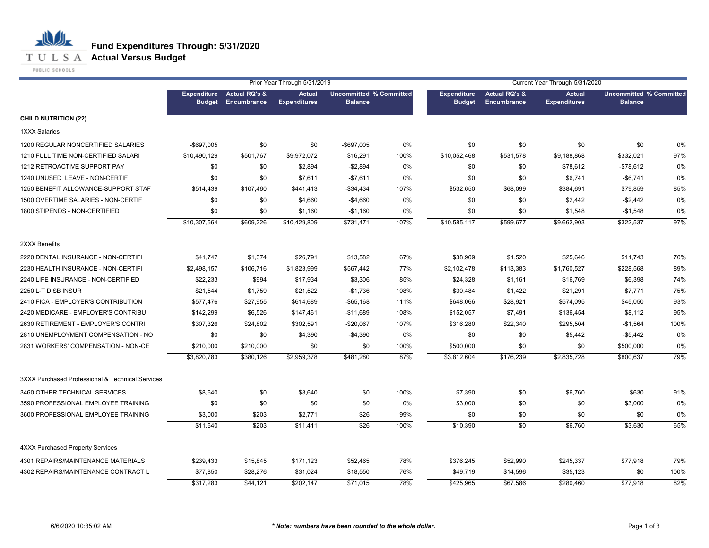**T U L S A Actual Versus Budget** 

PUBLIC SCHOOLS

|                                                  |               |                                                 | Prior Year Through 5/31/2019         |                                                  |      | Current Year Through 5/31/2020      |                                                |                                      |                                                  |      |
|--------------------------------------------------|---------------|-------------------------------------------------|--------------------------------------|--------------------------------------------------|------|-------------------------------------|------------------------------------------------|--------------------------------------|--------------------------------------------------|------|
|                                                  | <b>Budget</b> | Expenditure Actual RQ's &<br><b>Encumbrance</b> | <b>Actual</b><br><b>Expenditures</b> | <b>Uncommitted % Committed</b><br><b>Balance</b> |      | <b>Expenditure</b><br><b>Budget</b> | <b>Actual RQ's &amp;</b><br><b>Encumbrance</b> | <b>Actual</b><br><b>Expenditures</b> | <b>Uncommitted % Committed</b><br><b>Balance</b> |      |
| <b>CHILD NUTRITION (22)</b>                      |               |                                                 |                                      |                                                  |      |                                     |                                                |                                      |                                                  |      |
| <b>1XXX Salaries</b>                             |               |                                                 |                                      |                                                  |      |                                     |                                                |                                      |                                                  |      |
| 1200 REGULAR NONCERTIFIED SALARIES               | $-$ \$697,005 | \$0                                             | \$0                                  | -\$697,005                                       | 0%   | \$0                                 | \$0                                            | \$0                                  | \$0                                              | 0%   |
| 1210 FULL TIME NON-CERTIFIED SALARI              | \$10,490,129  | \$501,767                                       | \$9,972,072                          | \$16,291                                         | 100% | \$10,052,468                        | \$531,578                                      | \$9,188,868                          | \$332,021                                        | 97%  |
| 1212 RETROACTIVE SUPPORT PAY                     | \$0           | \$0                                             | \$2,894                              | $-$2,894$                                        | 0%   | \$0                                 | \$0                                            | \$78,612                             | $-$78,612$                                       | 0%   |
| 1240 UNUSED LEAVE - NON-CERTIF                   | \$0           | \$0                                             | \$7,611                              | $-$7,611$                                        | 0%   | \$0                                 | \$0                                            | \$6,741                              | $-$6,741$                                        | 0%   |
| 1250 BENEFIT ALLOWANCE-SUPPORT STAF              | \$514,439     | \$107,460                                       | \$441,413                            | -\$34,434                                        | 107% | \$532,650                           | \$68,099                                       | \$384,691                            | \$79,859                                         | 85%  |
| 1500 OVERTIME SALARIES - NON-CERTIF              | \$0           | \$0                                             | \$4,660                              | $-$4,660$                                        | 0%   | \$0                                 | \$0                                            | \$2,442                              | $-$2,442$                                        | 0%   |
| 1800 STIPENDS - NON-CERTIFIED                    | \$0           | \$0                                             | \$1,160                              | $-$1,160$                                        | 0%   | \$0                                 | \$0                                            | \$1,548                              | $-$1,548$                                        | 0%   |
|                                                  | \$10,307,564  | \$609,226                                       | \$10,429,809                         | $-$731,471$                                      | 107% | \$10,585,117                        | \$599,677                                      | \$9,662,903                          | \$322,537                                        | 97%  |
| 2XXX Benefits                                    |               |                                                 |                                      |                                                  |      |                                     |                                                |                                      |                                                  |      |
| 2220 DENTAL INSURANCE - NON-CERTIFI              | \$41,747      | \$1,374                                         | \$26,791                             | \$13,582                                         | 67%  | \$38,909                            | \$1,520                                        | \$25,646                             | \$11,743                                         | 70%  |
| 2230 HEALTH INSURANCE - NON-CERTIFI              | \$2,498,157   | \$106,716                                       | \$1,823,999                          | \$567,442                                        | 77%  | \$2,102,478                         | \$113,383                                      | \$1,760,527                          | \$228,568                                        | 89%  |
| 2240 LIFE INSURANCE - NON-CERTIFIED              | \$22,233      | \$994                                           | \$17,934                             | \$3,306                                          | 85%  | \$24,328                            | \$1,161                                        | \$16,769                             | \$6,398                                          | 74%  |
| 2250 L-T DISB INSUR                              | \$21,544      | \$1,759                                         | \$21,522                             | $-$1,736$                                        | 108% | \$30,484                            | \$1,422                                        | \$21,291                             | \$7,771                                          | 75%  |
| 2410 FICA - EMPLOYER'S CONTRIBUTION              | \$577,476     | \$27,955                                        | \$614,689                            | $-$ \$65,168                                     | 111% | \$648,066                           | \$28,921                                       | \$574,095                            | \$45,050                                         | 93%  |
| 2420 MEDICARE - EMPLOYER'S CONTRIBU              | \$142,299     | \$6,526                                         | \$147,461                            | $-$11,689$                                       | 108% | \$152,057                           | \$7,491                                        | \$136,454                            | \$8,112                                          | 95%  |
| 2630 RETIREMENT - EMPLOYER'S CONTRI              | \$307,326     | \$24,802                                        | \$302,591                            | $-$20,067$                                       | 107% | \$316,280                           | \$22,340                                       | \$295,504                            | $-$1,564$                                        | 100% |
| 2810 UNEMPLOYMENT COMPENSATION - NO              | \$0           | \$0                                             | \$4,390                              | $-$4,390$                                        | 0%   | \$0                                 | \$0                                            | \$5,442                              | $-$5,442$                                        | 0%   |
| 2831 WORKERS' COMPENSATION - NON-CE              | \$210,000     | \$210,000                                       | \$0                                  | \$0                                              | 100% | \$500,000                           | \$0                                            | \$0                                  | \$500,000                                        | 0%   |
|                                                  | \$3,820,783   | \$380,126                                       | \$2,959,378                          | \$481,280                                        | 87%  | \$3,812,604                         | \$176,239                                      | \$2,835,728                          | \$800,637                                        | 79%  |
| 3XXX Purchased Professional & Technical Services |               |                                                 |                                      |                                                  |      |                                     |                                                |                                      |                                                  |      |
| 3460 OTHER TECHNICAL SERVICES                    | \$8,640       | \$0                                             | \$8,640                              | \$0                                              | 100% | \$7,390                             | \$0                                            | \$6,760                              | \$630                                            | 91%  |
| 3590 PROFESSIONAL EMPLOYEE TRAINING              | \$0           | \$0                                             | \$0                                  | \$0                                              | 0%   | \$3,000                             | \$0                                            | \$0                                  | \$3,000                                          | 0%   |
| 3600 PROFESSIONAL EMPLOYEE TRAINING              | \$3,000       | \$203                                           | \$2,771                              | \$26                                             | 99%  | \$0                                 | \$0                                            | \$0                                  | \$0                                              | 0%   |
|                                                  | \$11,640      | \$203                                           | \$11,411                             | \$26                                             | 100% | \$10,390                            | \$0                                            | \$6,760                              | \$3,630                                          | 65%  |
| <b>4XXX Purchased Property Services</b>          |               |                                                 |                                      |                                                  |      |                                     |                                                |                                      |                                                  |      |
| 4301 REPAIRS/MAINTENANCE MATERIALS               | \$239,433     | \$15,845                                        | \$171,123                            | \$52,465                                         | 78%  | \$376,245                           | \$52,990                                       | \$245,337                            | \$77,918                                         | 79%  |
| 4302 REPAIRS/MAINTENANCE CONTRACT L              | \$77,850      | \$28,276                                        | \$31,024                             | \$18,550                                         | 76%  | \$49,719                            | \$14,596                                       | \$35,123                             | \$0                                              | 100% |
|                                                  | \$317,283     | \$44,121                                        | \$202,147                            | $\sqrt{$71,015}$                                 | 78%  | \$425,965                           | \$67,586                                       | \$280,460                            | \$77.918                                         | 82%  |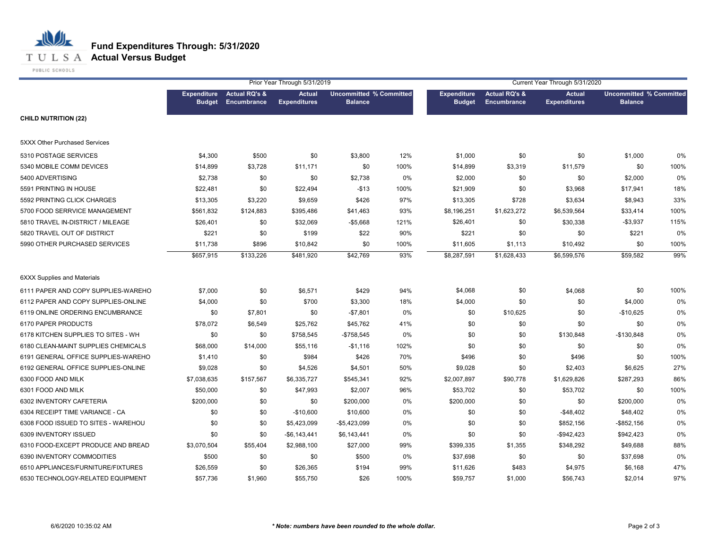

|                                     |               |                                                 | Prior Year Through 5/31/2019         | Current Year Through 5/31/2020                   |      |                                     |                                                |                                      |                                                  |       |
|-------------------------------------|---------------|-------------------------------------------------|--------------------------------------|--------------------------------------------------|------|-------------------------------------|------------------------------------------------|--------------------------------------|--------------------------------------------------|-------|
|                                     | <b>Budget</b> | <b>Expenditure</b> Actual RQ's &<br>Encumbrance | <b>Actual</b><br><b>Expenditures</b> | <b>Uncommitted % Committed</b><br><b>Balance</b> |      | <b>Expenditure</b><br><b>Budget</b> | <b>Actual RQ's &amp;</b><br><b>Encumbrance</b> | <b>Actual</b><br><b>Expenditures</b> | <b>Uncommitted % Committed</b><br><b>Balance</b> |       |
| <b>CHILD NUTRITION (22)</b>         |               |                                                 |                                      |                                                  |      |                                     |                                                |                                      |                                                  |       |
| 5XXX Other Purchased Services       |               |                                                 |                                      |                                                  |      |                                     |                                                |                                      |                                                  |       |
| 5310 POSTAGE SERVICES               | \$4,300       | \$500                                           | \$0                                  | \$3,800                                          | 12%  | \$1,000                             | \$0                                            | \$0                                  | \$1,000                                          | 0%    |
| 5340 MOBILE COMM DEVICES            | \$14,899      | \$3,728                                         | \$11,171                             | \$0                                              | 100% | \$14,899                            | \$3,319                                        | \$11,579                             | \$0                                              | 100%  |
| 5400 ADVERTISING                    | \$2,738       | \$0                                             | \$0                                  | \$2,738                                          | 0%   | \$2,000                             | \$0                                            | \$0                                  | \$2,000                                          | 0%    |
| 5591 PRINTING IN HOUSE              | \$22,481      | \$0                                             | \$22,494                             | $-$13$                                           | 100% | \$21,909                            | \$0                                            | \$3,968                              | \$17,941                                         | 18%   |
| 5592 PRINTING CLICK CHARGES         | \$13,305      | \$3,220                                         | \$9,659                              | \$426                                            | 97%  | \$13,305                            | \$728                                          | \$3,634                              | \$8,943                                          | 33%   |
| 5700 FOOD SERRVICE MANAGEMENT       | \$561,832     | \$124,883                                       | \$395,486                            | \$41,463                                         | 93%  | \$8,196,251                         | \$1,623,272                                    | \$6,539,564                          | \$33,414                                         | 100%  |
| 5810 TRAVEL IN-DISTRICT / MILEAGE   | \$26,401      | \$0                                             | \$32,069                             | $-$5,668$                                        | 121% | \$26,401                            | \$0                                            | \$30,338                             | $-$3,937$                                        | 115%  |
| 5820 TRAVEL OUT OF DISTRICT         | \$221         | \$0                                             | \$199                                | \$22                                             | 90%  | \$221                               | \$0                                            | \$0                                  | \$221                                            | 0%    |
| 5990 OTHER PURCHASED SERVICES       | \$11,738      | \$896                                           | \$10,842                             | \$0                                              | 100% | \$11,605                            | \$1,113                                        | \$10,492                             | \$0                                              | 100%  |
|                                     | \$657,915     | \$133,226                                       | \$481,920                            | \$42,769                                         | 93%  | \$8,287,591                         | \$1,628,433                                    | \$6,599,576                          | \$59,582                                         | 99%   |
| <b>6XXX Supplies and Materials</b>  |               |                                                 |                                      |                                                  |      |                                     |                                                |                                      |                                                  |       |
| 6111 PAPER AND COPY SUPPLIES-WAREHO | \$7,000       | \$0                                             | \$6,571                              | \$429                                            | 94%  | \$4,068                             | \$0                                            | \$4,068                              | \$0                                              | 100%  |
| 6112 PAPER AND COPY SUPPLIES-ONLINE | \$4,000       | \$0                                             | \$700                                | \$3,300                                          | 18%  | \$4,000                             | \$0                                            | \$0                                  | \$4,000                                          | 0%    |
| 6119 ONLINE ORDERING ENCUMBRANCE    | \$0           | \$7,801                                         | \$0                                  | $-$7,801$                                        | 0%   | \$0                                 | \$10,625                                       | \$0                                  | $-$10,625$                                       | 0%    |
| 6170 PAPER PRODUCTS                 | \$78,072      | \$6,549                                         | \$25,762                             | \$45,762                                         | 41%  | \$0                                 | \$0                                            | \$0                                  | \$0                                              | 0%    |
| 6178 KITCHEN SUPPLIES TO SITES - WH | \$0           | \$0                                             | \$758,545                            | $-$758,545$                                      | 0%   | \$0                                 | \$0                                            | \$130,848                            | $-$130,848$                                      | $0\%$ |
| 6180 CLEAN-MAINT SUPPLIES CHEMICALS | \$68,000      | \$14,000                                        | \$55,116                             | $-$1,116$                                        | 102% | \$0                                 | \$0                                            | \$0                                  | \$0                                              | 0%    |
| 6191 GENERAL OFFICE SUPPLIES-WAREHO | \$1,410       | \$0                                             | \$984                                | \$426                                            | 70%  | \$496                               | \$0                                            | \$496                                | \$0                                              | 100%  |
| 6192 GENERAL OFFICE SUPPLIES-ONLINE | \$9,028       | \$0                                             | \$4,526                              | \$4,501                                          | 50%  | \$9,028                             | \$0                                            | \$2,403                              | \$6,625                                          | 27%   |
| 6300 FOOD AND MILK                  | \$7,038,635   | \$157,567                                       | \$6,335,727                          | \$545,341                                        | 92%  | \$2,007,897                         | \$90,778                                       | \$1,629,826                          | \$287,293                                        | 86%   |
| 6301 FOOD AND MILK                  | \$50,000      | \$0                                             | \$47,993                             | \$2,007                                          | 96%  | \$53,702                            | \$0                                            | \$53,702                             | \$0                                              | 100%  |
| 6302 INVENTORY CAFETERIA            | \$200,000     | \$0                                             | \$0                                  | \$200,000                                        | 0%   | \$200,000                           | \$0                                            | \$0                                  | \$200,000                                        | 0%    |
| 6304 RECEIPT TIME VARIANCE - CA     | \$0           | \$0                                             | $-$10,600$                           | \$10,600                                         | 0%   | \$0                                 | \$0                                            | $-$48,402$                           | \$48,402                                         | 0%    |
| 6308 FOOD ISSUED TO SITES - WAREHOU | \$0           | \$0                                             | \$5,423,099                          | $-$5,423,099$                                    | 0%   | \$0                                 | \$0                                            | \$852,156                            | $-$ \$852,156                                    | $0\%$ |
| 6309 INVENTORY ISSUED               | \$0           | \$0                                             | $-$6,143,441$                        | \$6,143,441                                      | 0%   | \$0                                 | \$0                                            | $-$942,423$                          | \$942,423                                        | 0%    |
| 6310 FOOD-EXCEPT PRODUCE AND BREAD  | \$3,070,504   | \$55,404                                        | \$2,988,100                          | \$27,000                                         | 99%  | \$399,335                           | \$1,355                                        | \$348,292                            | \$49,688                                         | 88%   |
| 6390 INVENTORY COMMODITIES          | \$500         | \$0                                             | \$0                                  | \$500                                            | 0%   | \$37,698                            | \$0                                            | \$0                                  | \$37,698                                         | 0%    |
| 6510 APPLIANCES/FURNITURE/FIXTURES  | \$26,559      | \$0                                             | \$26,365                             | \$194                                            | 99%  | \$11,626                            | \$483                                          | \$4,975                              | \$6,168                                          | 47%   |
| 6530 TECHNOLOGY-RELATED EQUIPMENT   | \$57,736      | \$1,960                                         | \$55,750                             | \$26                                             | 100% | \$59,757                            | \$1,000                                        | \$56,743                             | \$2,014                                          | 97%   |
|                                     |               |                                                 |                                      |                                                  |      |                                     |                                                |                                      |                                                  |       |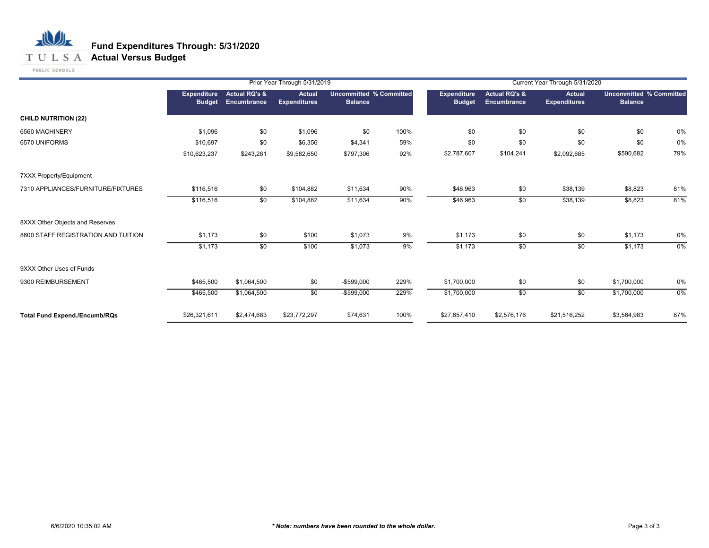## **T U L S A Actual Versus Budget**

PUBLIC SCHOOLS

|                                      |                                     |                                         | Prior Year Through 5/31/2019         |                                                  |      |                                     |                                         | Current Year Through 5/31/2020       |                                                  |     |
|--------------------------------------|-------------------------------------|-----------------------------------------|--------------------------------------|--------------------------------------------------|------|-------------------------------------|-----------------------------------------|--------------------------------------|--------------------------------------------------|-----|
|                                      | <b>Expenditure</b><br><b>Budget</b> | <b>Actual RQ's &amp;</b><br>Encumbrance | <b>Actual</b><br><b>Expenditures</b> | <b>Uncommitted % Committed</b><br><b>Balance</b> |      | <b>Expenditure</b><br><b>Budget</b> | <b>Actual RQ's &amp;</b><br>Encumbrance | <b>Actual</b><br><b>Expenditures</b> | <b>Uncommitted % Committed</b><br><b>Balance</b> |     |
| <b>CHILD NUTRITION (22)</b>          |                                     |                                         |                                      |                                                  |      |                                     |                                         |                                      |                                                  |     |
| 6560 MACHINERY                       | \$1,096                             | \$0                                     | \$1,096                              | \$0                                              | 100% | \$0                                 | \$0                                     | \$0                                  | \$0                                              | 0%  |
| 6570 UNIFORMS                        | \$10,697                            | \$0                                     | \$6,356                              | \$4,341                                          | 59%  | \$0                                 | \$0                                     | \$0                                  | \$0                                              | 0%  |
|                                      | \$10,623,237                        | \$243,281                               | \$9,582,650                          | \$797,306                                        | 92%  | \$2,787,607                         | \$104,241                               | \$2,092,685                          | \$590,682                                        | 79% |
| <b>7XXX Property/Equipment</b>       |                                     |                                         |                                      |                                                  |      |                                     |                                         |                                      |                                                  |     |
| 7310 APPLIANCES/FURNITURE/FIXTURES   | \$116,516                           | \$0                                     | \$104,882                            | \$11,634                                         | 90%  | \$46,963                            | \$0                                     | \$38,139                             | \$8,823                                          | 81% |
|                                      | \$116,516                           | \$0                                     | \$104,882                            | \$11,634                                         | 90%  | \$46,963                            | \$0                                     | \$38,139                             | \$8,823                                          | 81% |
| 8XXX Other Objects and Reserves      |                                     |                                         |                                      |                                                  |      |                                     |                                         |                                      |                                                  |     |
| 8600 STAFF REGISTRATION AND TUITION  | \$1,173                             | \$0                                     | \$100                                | \$1,073                                          | 9%   | \$1,173                             | \$0                                     | \$0                                  | \$1,173                                          | 0%  |
|                                      | \$1,173                             | $\overline{50}$                         | \$100                                | \$1,073                                          | 9%   | \$1,173                             | $\overline{50}$                         | \$0                                  | \$1,173                                          | 0%  |
| 9XXX Other Uses of Funds             |                                     |                                         |                                      |                                                  |      |                                     |                                         |                                      |                                                  |     |
| 9300 REIMBURSEMENT                   | \$465,500                           | \$1,064,500                             | \$0                                  | $-$599,000$                                      | 229% | \$1,700,000                         | \$0                                     | \$0                                  | \$1,700,000                                      | 0%  |
|                                      | \$465,500                           | \$1,064,500                             | \$0                                  | $-$599,000$                                      | 229% | \$1,700,000                         | \$0                                     | \$0                                  | \$1,700,000                                      | 0%  |
| <b>Total Fund Expend./Encumb/RQs</b> | \$26,321,611                        | \$2,474,683                             | \$23,772,297                         | \$74,631                                         | 100% | \$27,657,410                        | \$2,576,176                             | \$21,516,252                         | \$3,564,983                                      | 87% |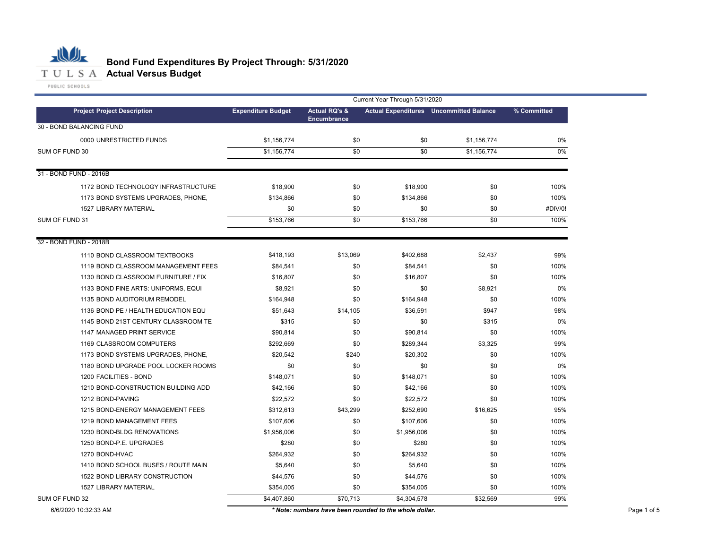

#### **Bond Fund Expenditures By Project Through: 5/31/2020**

**Project Expenditure Budget Actual RQ's & Encumbrance Actual Expenditures Uncommitted Balance Project Description % Committed** 0000 UNRESTRICTED FUNDS \$1,156,774 \$0 \$1,156,774 0% \$1,156,774 \$0 \$0 \$1,156,774 1172 BOND TECHNOLOGY INFRASTRUCTURE \$18,900 \$0 \$18,900 \$18,900 \$0 \$100% \$0 \$100% 1173 BOND SYSTEMS UPGRADES, PHONE, \$134,866 \$0 \$134,866 \$0 100% 1527 \$0 \$0 \$0 \$0  $$153,766$   $$0$   $$153,766$   $$0$ 1110 BOND CLASSROOM TEXTBOOKS \$418,193 \$13,069 \$402,688 \$2,437 99% 1119 BOND CLASSROOM MANAGEMENT FEES \$84,541 \$0 \$84,541 \$0 100% 1130 BOND CLASSROOM FURNITURE / FIX \$16,807 \$0 \$16,807 \$0 100% 1133 \$8,921 \$0 \$0 \$8,921 BOND FINE ARTS: UNIFORMS, EQUI 0% 1135 \$164,948 \$0 \$164,948 \$0 BOND AUDITORIUM REMODEL 100% 1136 \$51,643 \$14,105 \$36,591 \$947 BOND PE / HEALTH EDUCATION EQU 98% 1145 BOND 21ST CENTURY CLASSROOM TE \$315 \$0 \$315 0% 1147 MANAGED PRINT SERVICE \$90,814 \$0 \$90,814 \$0 100% 1169 CLASSROOM COMPUTERS \$292,669 \$0 \$289,344 \$3,325 99% 1173 BOND SYSTEMS UPGRADES, PHONE, \$20,542 \$240 \$20,302 \$0 100% 1180 \$0 \$0 \$0 \$0 BOND UPGRADE POOL LOCKER ROOMS 0% 1200 FACILITIES - BOND \$148,071 \$148,071 \$10 \$148,071 \$148,071 \$148,071 \$1 1210 BOND-CONSTRUCTION BUILDING ADD \$42,166 \$42,166 \$0 \$42,166 \$100% \$100% \$100% \$100% \$100% 1212 BOND-PAVING \$22,572 \$0 \$22,572 \$12.572 \$12.572 \$12.572 \$12.572 \$13.572 \$13.572 \$13.572 \$13.572 \$13.572 \$1 1215 BOND-ENERGY MANAGEMENT FEES \$312,613 \$43,299 \$252,690 \$16,625 \$16,625 \$16,625 1219 BOND MANAGEMENT FEES \$107,606 \$0 \$107,606 \$0 100% 1230 \$1,956,006 \$0 \$1,956,006 \$0 BOND-BLDG RENOVATIONS 100% 1250 \$280 \$0 \$280 \$0 BOND-P.E. UPGRADES 100% 1270 \$264,932 \$0 \$264,932 \$0 1410 BOND SCHOOL BUSES / ROUTE MAIN 100% \$5,640 \$0 \$5,640 \$5,640 \$0 \$5,640 \$0 \$0 \$100% 1522 \$44,576 \$0 \$44,576 \$0 BOND LIBRARY CONSTRUCTION 100% 1527 \$354,005 \$0 \$354,005 \$0 \$4,407,860 \$70,713 \$4,304,578 \$32,569 Current Year Through 5/31/2020 31 - BOND FUND - 2016B 30 - BOND BALANCING FUND SUM OF FUND 30 \$1,156,774 \$0 \$1,156,774 0% 32 - BOND FUND - 2018B LIBRARY MATERIAL #DIV/0! SUM OF FUND 31 100% FACILITIES - BOND 100% BOND-HVAC 100% BOND-PAVING 100% SUM OF FUND 32 \$4,407,860 \$70,713 \$4,304,578 \$32,569 99% LIBRARY MATERIAL 100%

6/6/2020 10:32:33 AM *\* Note: numbers have been rounded to the whole dollar.* Page 1 of 5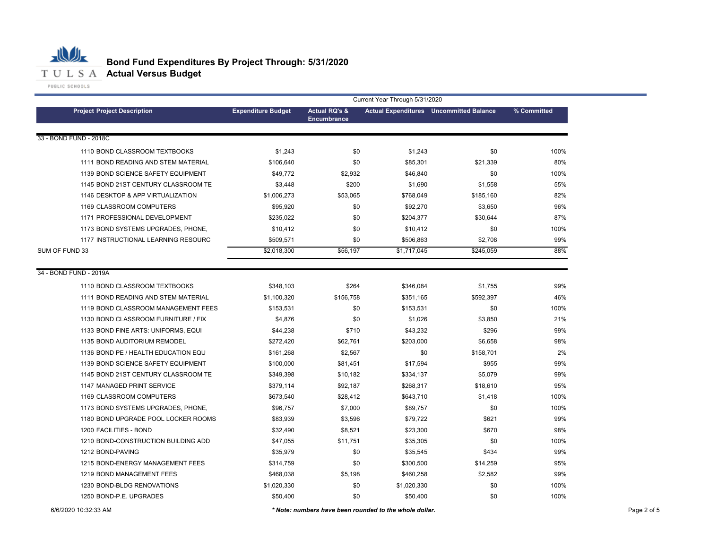

# **Bond Fund Expenditures By Project Through: 5/31/2020**

|                                     |                           |                                                | Current Year Through 5/31/2020 |                                                |             |
|-------------------------------------|---------------------------|------------------------------------------------|--------------------------------|------------------------------------------------|-------------|
| <b>Project Project Description</b>  | <b>Expenditure Budget</b> | <b>Actual RQ's &amp;</b><br><b>Encumbrance</b> |                                | <b>Actual Expenditures</b> Uncommitted Balance | % Committed |
| 33 - BOND FUND - 2018C              |                           |                                                |                                |                                                |             |
| 1110 BOND CLASSROOM TEXTBOOKS       | \$1,243                   | \$0                                            | \$1,243                        | \$0                                            | 100%        |
| 1111 BOND READING AND STEM MATERIAL | \$106,640                 | \$0                                            | \$85,301                       | \$21,339                                       | 80%         |
| 1139 BOND SCIENCE SAFETY EQUIPMENT  | \$49,772                  | \$2,932                                        | \$46,840                       | \$0                                            | 100%        |
| 1145 BOND 21ST CENTURY CLASSROOM TE | \$3,448                   | \$200                                          | \$1,690                        | \$1,558                                        | 55%         |
| 1146 DESKTOP & APP VIRTUALIZATION   | \$1,006,273               | \$53,065                                       | \$768,049                      | \$185,160                                      | 82%         |
| 1169 CLASSROOM COMPUTERS            | \$95,920                  | \$0                                            | \$92,270                       | \$3,650                                        | 96%         |
| 1171 PROFESSIONAL DEVELOPMENT       | \$235,022                 | \$0                                            | \$204,377                      | \$30,644                                       | 87%         |
| 1173 BOND SYSTEMS UPGRADES, PHONE,  | \$10,412                  | \$0                                            | \$10,412                       | \$0                                            | 100%        |
| 1177 INSTRUCTIONAL LEARNING RESOURC | \$509,571                 | \$0                                            | \$506,863                      | \$2,708                                        | 99%         |
| SUM OF FUND 33                      | \$2,018,300               | \$56,197                                       | \$1,717,045                    | \$245,059                                      | 88%         |
| 34 - BOND FUND - 2019A              |                           |                                                |                                |                                                |             |
| 1110 BOND CLASSROOM TEXTBOOKS       | \$348,103                 | \$264                                          | \$346,084                      | \$1,755                                        | 99%         |
| 1111 BOND READING AND STEM MATERIAL | \$1,100,320               | \$156,758                                      | \$351,165                      | \$592,397                                      | 46%         |
| 1119 BOND CLASSROOM MANAGEMENT FEES | \$153,531                 | \$0                                            | \$153,531                      | \$0                                            | 100%        |
| 1130 BOND CLASSROOM FURNITURE / FIX | \$4,876                   | \$0                                            | \$1,026                        | \$3,850                                        | 21%         |
| 1133 BOND FINE ARTS: UNIFORMS, EQUI | \$44,238                  | \$710                                          | \$43,232                       | \$296                                          | 99%         |
| 1135 BOND AUDITORIUM REMODEL        | \$272,420                 | \$62,761                                       | \$203,000                      | \$6,658                                        | 98%         |
| 1136 BOND PE / HEALTH EDUCATION EQU | \$161,268                 | \$2,567                                        | \$0                            | \$158,701                                      | 2%          |
| 1139 BOND SCIENCE SAFETY EQUIPMENT  | \$100,000                 | \$81,451                                       | \$17,594                       | \$955                                          | 99%         |
| 1145 BOND 21ST CENTURY CLASSROOM TE | \$349,398                 | \$10,182                                       | \$334,137                      | \$5,079                                        | 99%         |
| 1147 MANAGED PRINT SERVICE          | \$379,114                 | \$92,187                                       | \$268,317                      | \$18,610                                       | 95%         |
| 1169 CLASSROOM COMPUTERS            | \$673,540                 | \$28,412                                       | \$643,710                      | \$1,418                                        | 100%        |
| 1173 BOND SYSTEMS UPGRADES, PHONE,  | \$96,757                  | \$7,000                                        | \$89,757                       | \$0                                            | 100%        |
| 1180 BOND UPGRADE POOL LOCKER ROOMS | \$83,939                  | \$3,596                                        | \$79,722                       | \$621                                          | 99%         |
| 1200 FACILITIES - BOND              | \$32,490                  | \$8,521                                        | \$23,300                       | \$670                                          | 98%         |
| 1210 BOND-CONSTRUCTION BUILDING ADD | \$47,055                  | \$11,751                                       | \$35,305                       | \$0                                            | 100%        |
| 1212 BOND-PAVING                    | \$35,979                  | \$0                                            | \$35,545                       | \$434                                          | 99%         |
| 1215 BOND-ENERGY MANAGEMENT FEES    | \$314,759                 | \$0                                            | \$300,500                      | \$14,259                                       | 95%         |
| 1219 BOND MANAGEMENT FEES           | \$468,038                 | \$5,198                                        | \$460,258                      | \$2,582                                        | 99%         |
| 1230 BOND-BLDG RENOVATIONS          | \$1,020,330               | \$0                                            | \$1,020,330                    | \$0                                            | 100%        |
| 1250 BOND-P.E. UPGRADES             | \$50,400                  | \$0                                            | \$50,400                       | \$0                                            | 100%        |
|                                     |                           |                                                |                                |                                                |             |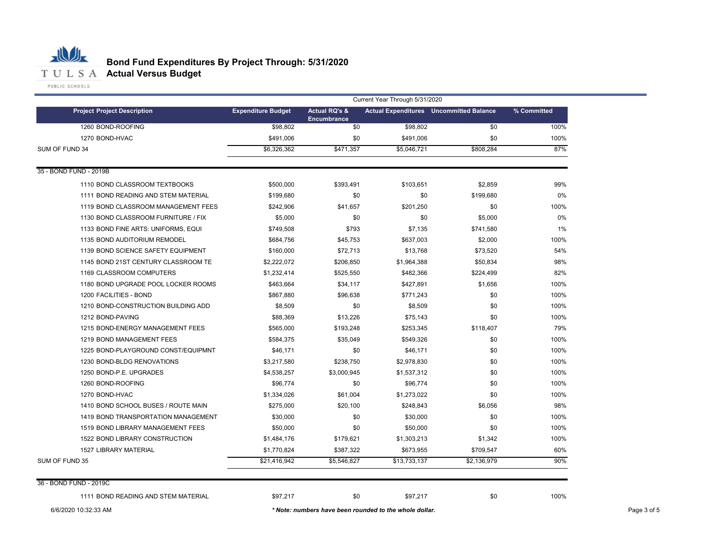#### 心儿 **Bond Fund Expenditures By Project Through: 5/31/2020** T U L S A **Actual Versus Budget**

|                |                                     | Current Year Through 5/31/2020 |                                                |                                                        |             |             |
|----------------|-------------------------------------|--------------------------------|------------------------------------------------|--------------------------------------------------------|-------------|-------------|
|                | <b>Project Project Description</b>  | <b>Expenditure Budget</b>      | <b>Actual RQ's &amp;</b><br><b>Encumbrance</b> | <b>Actual Expenditures</b> Uncommitted Balance         |             | % Committed |
|                | 1260 BOND-ROOFING                   | \$98,802                       | \$0                                            | \$98,802                                               | \$0         | 100%        |
|                | 1270 BOND-HVAC                      | \$491,006                      | \$0                                            | \$491,006                                              | \$0         | 100%        |
| SUM OF FUND 34 |                                     | \$6,326,362                    | \$471,357                                      | \$5.046.721                                            | \$808,284   | 87%         |
|                | 35 - BOND FUND - 2019B              |                                |                                                |                                                        |             |             |
|                | 1110 BOND CLASSROOM TEXTBOOKS       | \$500,000                      | \$393,491                                      | \$103,651                                              | \$2,859     | 99%         |
|                | 1111 BOND READING AND STEM MATERIAL | \$199,680                      | \$0                                            | \$0                                                    | \$199,680   | 0%          |
|                | 1119 BOND CLASSROOM MANAGEMENT FEES | \$242,906                      | \$41,657                                       | \$201,250                                              | \$0         | 100%        |
|                | 1130 BOND CLASSROOM FURNITURE / FIX | \$5,000                        | \$0                                            | \$0                                                    | \$5,000     | 0%          |
|                | 1133 BOND FINE ARTS: UNIFORMS, EQUI | \$749,508                      | \$793                                          | \$7,135                                                | \$741,580   | 1%          |
|                | 1135 BOND AUDITORIUM REMODEL        | \$684,756                      | \$45,753                                       | \$637,003                                              | \$2,000     | 100%        |
|                | 1139 BOND SCIENCE SAFETY EQUIPMENT  | \$160,000                      | \$72,713                                       | \$13,768                                               | \$73,520    | 54%         |
|                | 1145 BOND 21ST CENTURY CLASSROOM TE | \$2,222,072                    | \$206,850                                      | \$1,964,388                                            | \$50,834    | 98%         |
|                | 1169 CLASSROOM COMPUTERS            | \$1,232,414                    | \$525,550                                      | \$482,366                                              | \$224,499   | 82%         |
|                | 1180 BOND UPGRADE POOL LOCKER ROOMS | \$463,664                      | \$34,117                                       | \$427,891                                              | \$1,656     | 100%        |
|                | 1200 FACILITIES - BOND              | \$867,880                      | \$96,638                                       | \$771,243                                              | \$0         | 100%        |
|                | 1210 BOND-CONSTRUCTION BUILDING ADD | \$8,509                        | \$0                                            | \$8,509                                                | \$0         | 100%        |
|                | 1212 BOND-PAVING                    | \$88,369                       | \$13,226                                       | \$75,143                                               | \$0         | 100%        |
|                | 1215 BOND-ENERGY MANAGEMENT FEES    | \$565,000                      | \$193,248                                      | \$253,345                                              | \$118,407   | 79%         |
|                | 1219 BOND MANAGEMENT FEES           | \$584,375                      | \$35,049                                       | \$549,326                                              | \$0         | 100%        |
|                | 1225 BOND-PLAYGROUND CONST/EQUIPMNT | \$46,171                       | \$0                                            | \$46,171                                               | \$0         | 100%        |
|                | 1230 BOND-BLDG RENOVATIONS          | \$3,217,580                    | \$238,750                                      | \$2,978,830                                            | \$0         | 100%        |
|                | 1250 BOND-P.E. UPGRADES             | \$4,538,257                    | \$3,000,945                                    | \$1,537,312                                            | \$0         | 100%        |
|                | 1260 BOND-ROOFING                   | \$96,774                       | \$0                                            | \$96,774                                               | \$0         | 100%        |
|                | 1270 BOND-HVAC                      | \$1,334,026                    | \$61,004                                       | \$1,273,022                                            | \$0         | 100%        |
|                | 1410 BOND SCHOOL BUSES / ROUTE MAIN | \$275,000                      | \$20,100                                       | \$248,843                                              | \$6,056     | 98%         |
|                | 1419 BOND TRANSPORTATION MANAGEMENT | \$30,000                       | \$0                                            | \$30,000                                               | \$0         | 100%        |
|                | 1519 BOND LIBRARY MANAGEMENT FEES   | \$50,000                       | \$0                                            | \$50,000                                               | \$0         | 100%        |
|                | 1522 BOND LIBRARY CONSTRUCTION      | \$1,484,176                    | \$179,621                                      | \$1,303,213                                            | \$1,342     | 100%        |
|                | <b>1527 LIBRARY MATERIAL</b>        | \$1,770,824                    | \$387,322                                      | \$673,955                                              | \$709,547   | 60%         |
| SUM OF FUND 35 |                                     | \$21,416,942                   | \$5,546,827                                    | \$13,733,137                                           | \$2,136,979 | 90%         |
|                | 36 - BOND FUND - 2019C              |                                |                                                |                                                        |             |             |
|                |                                     |                                |                                                |                                                        |             |             |
|                | 1111 BOND READING AND STEM MATERIAL | \$97,217                       | \$0                                            | \$97,217                                               | \$0         | 100%        |
|                | 6/6/2020 10:32:33 AM                |                                |                                                | * Note: numbers have been rounded to the whole dollar. |             |             |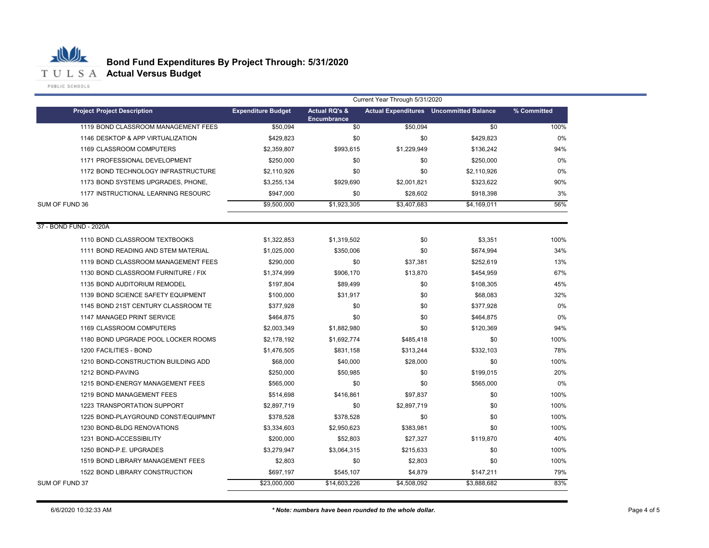

|                                     | Current Year Through 5/31/2020 |                                                |             |                                                |             |  |  |
|-------------------------------------|--------------------------------|------------------------------------------------|-------------|------------------------------------------------|-------------|--|--|
| <b>Project Project Description</b>  | <b>Expenditure Budget</b>      | <b>Actual RQ's &amp;</b><br><b>Encumbrance</b> |             | <b>Actual Expenditures</b> Uncommitted Balance | % Committed |  |  |
| 1119 BOND CLASSROOM MANAGEMENT FEES | \$50,094                       | \$0                                            | \$50,094    | \$0                                            | 100%        |  |  |
| 1146 DESKTOP & APP VIRTUALIZATION   | \$429.823                      | \$0                                            | \$0         | \$429,823                                      | $0\%$       |  |  |
| 1169 CLASSROOM COMPUTERS            | \$2,359,807                    | \$993,615                                      | \$1,229,949 | \$136,242                                      | 94%         |  |  |
| 1171 PROFESSIONAL DEVELOPMENT       | \$250,000                      | \$0                                            | \$0         | \$250,000                                      | $0\%$       |  |  |
| 1172 BOND TECHNOLOGY INFRASTRUCTURE | \$2,110,926                    | \$0                                            | \$0         | \$2,110,926                                    | 0%          |  |  |
| 1173 BOND SYSTEMS UPGRADES, PHONE,  | \$3,255,134                    | \$929,690                                      | \$2,001,821 | \$323,622                                      | 90%         |  |  |
| 1177 INSTRUCTIONAL LEARNING RESOURC | \$947,000                      | \$0                                            | \$28,602    | \$918,398                                      | 3%          |  |  |
| SUM OF FUND 36                      | \$9,500,000                    | \$1,923,305                                    | \$3,407,683 | \$4,169,011                                    | 56%         |  |  |
| 37 - BOND FUND - 2020A              |                                |                                                |             |                                                |             |  |  |
| 1110 BOND CLASSROOM TEXTBOOKS       | \$1,322,853                    | \$1,319,502                                    | \$0         | \$3,351                                        | 100%        |  |  |
| 1111 BOND READING AND STEM MATERIAL | \$1,025,000                    | \$350,006                                      | \$0         | \$674,994                                      | 34%         |  |  |
| 1119 BOND CLASSROOM MANAGEMENT FEES | \$290,000                      | \$0                                            | \$37,381    | \$252,619                                      | 13%         |  |  |
| 1130 BOND CLASSROOM FURNITURE / FIX | \$1,374,999                    | \$906,170                                      | \$13,870    | \$454,959                                      | 67%         |  |  |
| 1135 BOND AUDITORIUM REMODEL        | \$197,804                      | \$89,499                                       | \$0         | \$108,305                                      | 45%         |  |  |
| 1139 BOND SCIENCE SAFETY EQUIPMENT  | \$100,000                      | \$31,917                                       | \$0         | \$68,083                                       | 32%         |  |  |
| 1145 BOND 21ST CENTURY CLASSROOM TE | \$377,928                      | \$0                                            | \$0         | \$377,928                                      | 0%          |  |  |
| 1147 MANAGED PRINT SERVICE          | \$464,875                      | \$0                                            | \$0         | \$464,875                                      | 0%          |  |  |
| 1169 CLASSROOM COMPUTERS            | \$2,003,349                    | \$1,882,980                                    | \$0         | \$120,369                                      | 94%         |  |  |
| 1180 BOND UPGRADE POOL LOCKER ROOMS | \$2,178,192                    | \$1,692,774                                    | \$485,418   | \$0                                            | 100%        |  |  |
| 1200 FACILITIES - BOND              | \$1,476,505                    | \$831,158                                      | \$313,244   | \$332,103                                      | 78%         |  |  |
| 1210 BOND-CONSTRUCTION BUILDING ADD | \$68,000                       | \$40,000                                       | \$28,000    | \$0                                            | 100%        |  |  |
| 1212 BOND-PAVING                    | \$250,000                      | \$50,985                                       | \$0         | \$199,015                                      | 20%         |  |  |
| 1215 BOND-ENERGY MANAGEMENT FEES    | \$565,000                      | \$0                                            | \$0         | \$565,000                                      | 0%          |  |  |
| 1219 BOND MANAGEMENT FEES           | \$514,698                      | \$416,861                                      | \$97,837    | \$0                                            | 100%        |  |  |
| 1223 TRANSPORTATION SUPPORT         | \$2,897,719                    | \$0                                            | \$2,897,719 | \$0                                            | 100%        |  |  |
| 1225 BOND-PLAYGROUND CONST/EQUIPMNT | \$378,528                      | \$378,528                                      | \$0         | \$0                                            | 100%        |  |  |
| 1230 BOND-BLDG RENOVATIONS          | \$3,334,603                    | \$2,950,623                                    | \$383,981   | \$0                                            | 100%        |  |  |
| 1231 BOND-ACCESSIBILITY             | \$200,000                      | \$52,803                                       | \$27,327    | \$119,870                                      | 40%         |  |  |
| 1250 BOND-P.E. UPGRADES             | \$3,279,947                    | \$3,064,315                                    | \$215,633   | \$0                                            | 100%        |  |  |
| 1519 BOND LIBRARY MANAGEMENT FEES   | \$2,803                        | \$0                                            | \$2,803     | \$0                                            | 100%        |  |  |
| 1522 BOND LIBRARY CONSTRUCTION      | \$697,197                      | \$545,107                                      | \$4,879     | \$147,211                                      | 79%         |  |  |
| SUM OF FUND 37                      | \$23,000,000                   | \$14,603,226                                   | \$4,508,092 | \$3,888,682                                    | 83%         |  |  |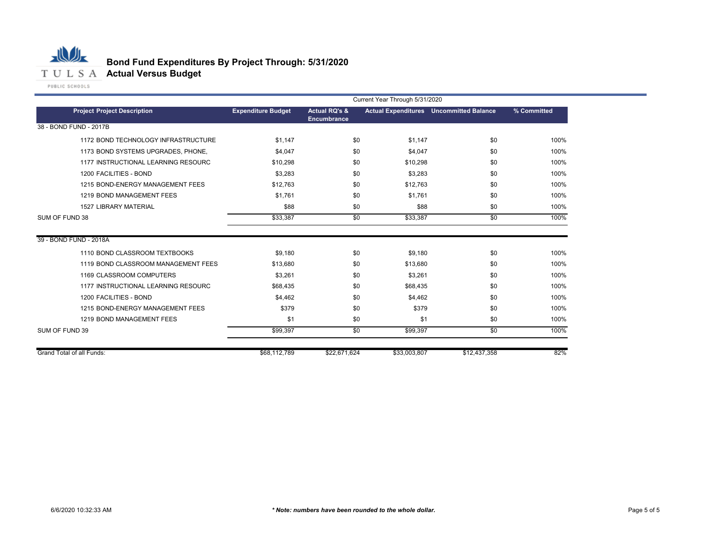

 $\sim$ 

|                | Current Year Through 5/31/2020      |                           |                                                |          |                                                |             |  |
|----------------|-------------------------------------|---------------------------|------------------------------------------------|----------|------------------------------------------------|-------------|--|
|                | <b>Project Project Description</b>  | <b>Expenditure Budget</b> | <b>Actual RQ's &amp;</b><br><b>Encumbrance</b> |          | <b>Actual Expenditures</b> Uncommitted Balance | % Committed |  |
|                | 38 - BOND FUND - 2017B              |                           |                                                |          |                                                |             |  |
|                | 1172 BOND TECHNOLOGY INFRASTRUCTURE | \$1,147                   | \$0                                            | \$1,147  | \$0                                            | 100%        |  |
|                | 1173 BOND SYSTEMS UPGRADES, PHONE,  | \$4,047                   | \$0                                            | \$4,047  | \$0                                            | 100%        |  |
|                | 1177 INSTRUCTIONAL LEARNING RESOURC | \$10,298                  | \$0                                            | \$10,298 | \$0                                            | 100%        |  |
|                | 1200 FACILITIES - BOND              | \$3,283                   | \$0                                            | \$3,283  | \$0                                            | 100%        |  |
|                | 1215 BOND-ENERGY MANAGEMENT FEES    | \$12,763                  | \$0                                            | \$12,763 | \$0                                            | 100%        |  |
|                | 1219 BOND MANAGEMENT FEES           | \$1,761                   | \$0                                            | \$1,761  | \$0                                            | 100%        |  |
|                | <b>1527 LIBRARY MATERIAL</b>        | \$88                      | \$0                                            | \$88     | \$0                                            | 100%        |  |
| SUM OF FUND 38 |                                     | \$33,387                  | \$0                                            | \$33,387 | \$0                                            | 100%        |  |
|                | 39 - BOND FUND - 2018A              |                           |                                                |          |                                                |             |  |
|                | 1110 BOND CLASSROOM TEXTBOOKS       | \$9,180                   | \$0                                            | \$9,180  | \$0                                            | 100%        |  |
|                | 1119 BOND CLASSROOM MANAGEMENT FEES | \$13,680                  | \$0                                            | \$13,680 | \$0                                            | 100%        |  |
|                | 1169 CLASSROOM COMPUTERS            | \$3,261                   | \$0                                            | \$3,261  | \$0                                            | 100%        |  |
|                | 1177 INSTRUCTIONAL LEARNING RESOURC | \$68,435                  | \$0                                            | \$68,435 | \$0                                            | 100%        |  |
|                | 1200 FACILITIES - BOND              | \$4,462                   | \$0                                            | \$4,462  | \$0                                            | 100%        |  |

1215 BOND-ENERGY MANAGEMENT FEES \$379 \$0 \$579 100% 1219 BOND MANAGEMENT FEES \$1 \$0 \$1 \$0 100%

Grand Total of all Funds: 82%

SUM OF FUND 39 100%

\$99,397 \$0 \$99,397 \$0

\$68,112,789 \$22,671,624 \$33,003,807 \$12,437,358

٠